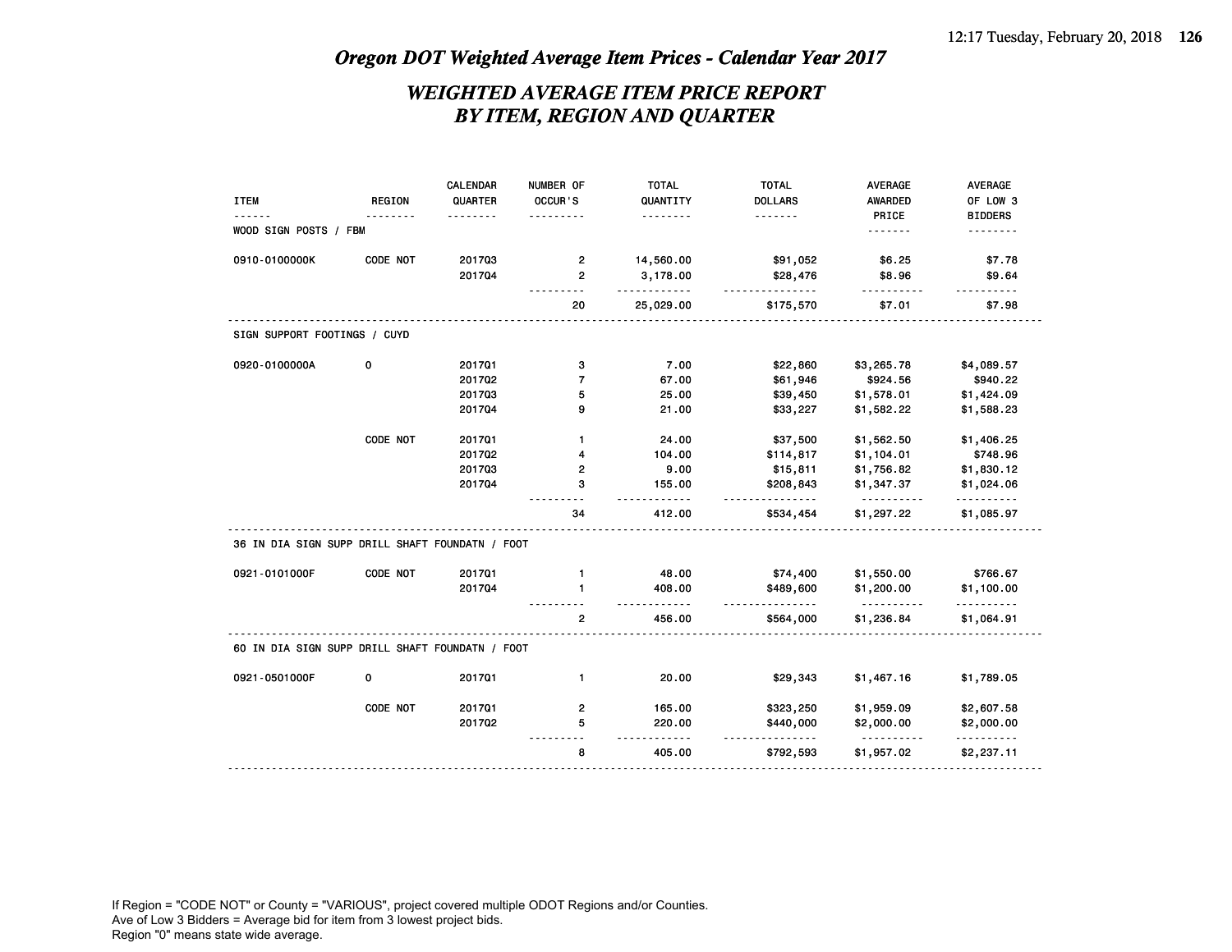## *WEIGHTED AVERAGE ITEM PRICE REPORT BY ITEM, REGION AND QUARTER*

|                                                                                   |               | CALENDAR      | NUMBER OF      | <b>TOTAL</b>            | <b>TOTAL</b>              | <b>AVERAGE</b>         | <b>AVERAGE</b>         |
|-----------------------------------------------------------------------------------|---------------|---------------|----------------|-------------------------|---------------------------|------------------------|------------------------|
| <b>ITEM</b>                                                                       | <b>REGION</b> | QUARTER       | OCCUR'S        | QUANTITY                | <b>DOLLARS</b>            | AWARDED                | OF LOW 3               |
| WOOD SIGN POSTS / FBM                                                             |               | $\frac{1}{2}$ |                | .                       | .                         | PRICE<br>.             | <b>BIDDERS</b>         |
|                                                                                   |               |               |                |                         |                           |                        |                        |
| 0910-0100000K                                                                     | CODE NOT      | 201703        | 2              | 14,560.00               | \$91,052                  | \$6.25                 | \$7.78                 |
|                                                                                   |               | 201704        | $\overline{2}$ | 3,178.00                | \$28,476                  | \$8.96                 | \$9.64                 |
|                                                                                   |               |               | 20             | 25,029.00               | \$175,570                 | \$7.01                 | \$7.98                 |
| SIGN SUPPORT FOOTINGS / CUYD                                                      |               |               |                |                         |                           |                        |                        |
| 0920-0100000A                                                                     | 0             | 201701        | 3              | 7.00                    | \$22,860                  | \$3,265.78             | \$4,089.57             |
|                                                                                   |               | 201702        | 7              | 67.00                   | \$61,946                  | \$924.56               | \$940.22               |
|                                                                                   |               | 201703        | 5              | 25.00                   | \$39,450                  | \$1,578.01             | \$1,424.09             |
|                                                                                   |               | 201704        | 9              | 21.00                   | \$33,227                  | \$1,582.22             | \$1,588.23             |
|                                                                                   | CODE NOT      | 201701        | 1              | 24.00                   | \$37,500                  | \$1,562.50             | \$1,406.25             |
|                                                                                   |               | 201702        | 4              | 104.00                  | \$114,817                 | \$1,104.01             | \$748.96               |
|                                                                                   |               | 201703        | 2              | 9.00                    | \$15,811                  | \$1,756.82             | \$1,830.12             |
|                                                                                   |               | 201704        | 3              | 155.00                  | \$208,843<br>.            | \$1,347.37<br><u>.</u> | \$1,024.06<br>.        |
|                                                                                   |               |               | 34             | 412.00                  | \$534,454                 | \$1,297.22             | \$1,085.97             |
| 36 IN DIA SIGN SUPP DRILL SHAFT FOUNDATN / FOOT                                   |               |               |                |                         |                           |                        |                        |
|                                                                                   |               |               |                |                         |                           |                        |                        |
|                                                                                   | CODE NOT      | 201701        | 1              | 48.00                   | \$74,400                  | \$1,550.00             |                        |
|                                                                                   |               | 201704        | $\mathbf{1}$   | 408.00                  | \$489,600                 | \$1,200.00             | \$766.67<br>\$1,100.00 |
|                                                                                   |               |               | $\mathbf{2}$   | $\sim$ $\sim$<br>456.00 | . <b>.</b> .<br>\$564,000 | .<br>\$1,236.84        | .<br>\$1,064.91        |
|                                                                                   |               |               |                |                         |                           |                        |                        |
|                                                                                   | 0             | 201701        | $\mathbf{1}$   | 20.00                   | \$29,343                  | \$1,467.16             | \$1,789.05             |
|                                                                                   | CODE NOT      | 201701        | $\mathbf{2}$   | 165.00                  | \$323,250                 | \$1,959.09             | \$2,607.58             |
| 0921-0101000F<br>60 IN DIA SIGN SUPP DRILL SHAFT FOUNDATN / FOOT<br>0921-0501000F |               | 201702        | 5              | 220.00                  | \$440,000                 | \$2,000.00             | \$2,000.00             |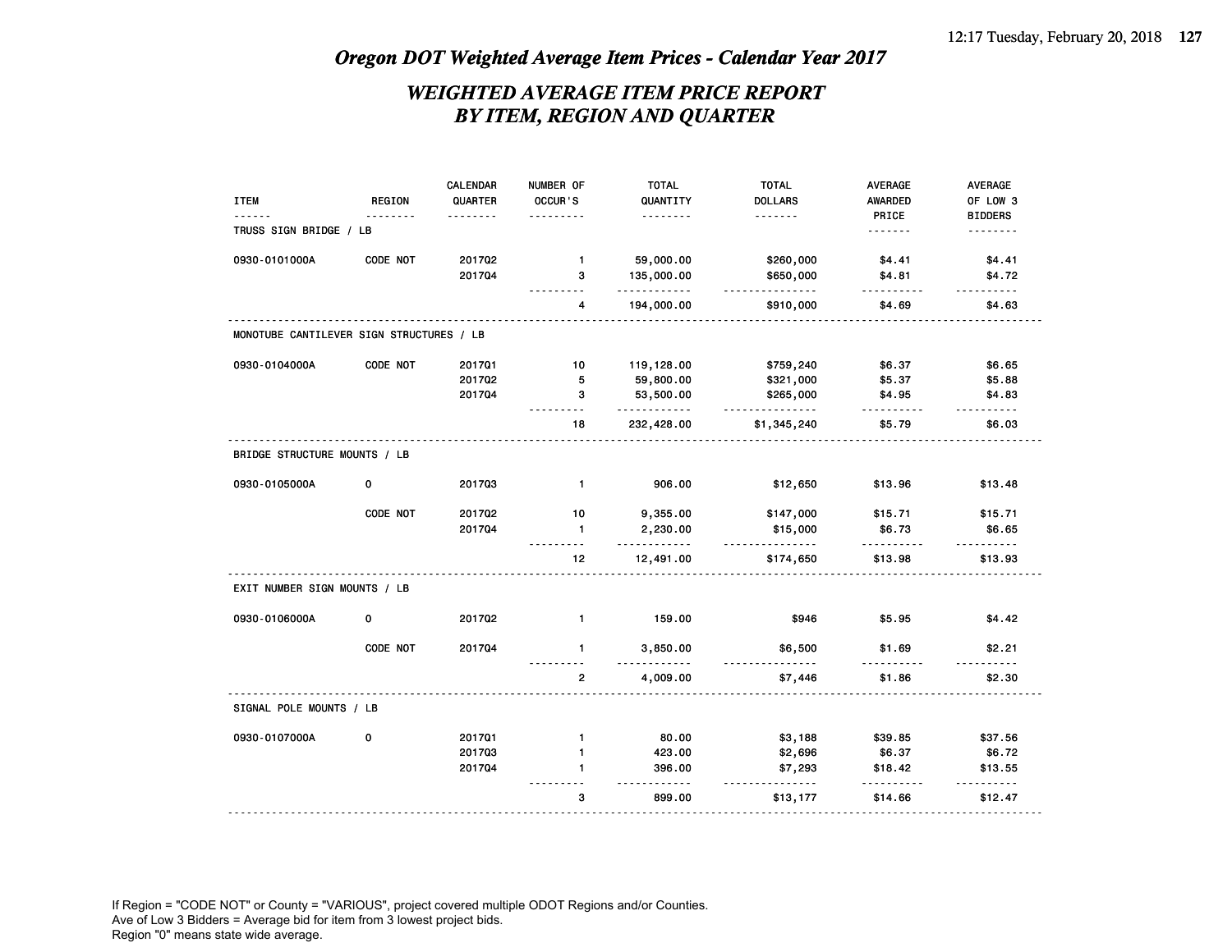## *WEIGHTED AVERAGE ITEM PRICE REPORT BY ITEM, REGION AND QUARTER*

|                                          |          | <b>CALENDAR</b> | NUMBER OF               | <b>TOTAL</b>         | <b>TOTAL</b>             | <b>AVERAGE</b> | <b>AVERAGE</b>                                                                                                                                                                                                                                                                                                                                                                                         |
|------------------------------------------|----------|-----------------|-------------------------|----------------------|--------------------------|----------------|--------------------------------------------------------------------------------------------------------------------------------------------------------------------------------------------------------------------------------------------------------------------------------------------------------------------------------------------------------------------------------------------------------|
| <b>ITEM</b>                              | REGION   | QUARTER         | OCCUR'S                 | QUANTITY             | <b>DOLLARS</b>           | <b>AWARDED</b> | OF LOW 3                                                                                                                                                                                                                                                                                                                                                                                               |
|                                          |          |                 |                         | .                    | .                        | PRICE          | <b>BIDDERS</b>                                                                                                                                                                                                                                                                                                                                                                                         |
| TRUSS SIGN BRIDGE / LB                   |          |                 |                         |                      |                          |                | <u>.</u>                                                                                                                                                                                                                                                                                                                                                                                               |
| 0930-0101000A                            | CODE NOT | 201702          | $\mathbf{1}$            | 59,000.00            | \$260,000                | \$4.41         | \$4.41                                                                                                                                                                                                                                                                                                                                                                                                 |
|                                          |          | 201704          | 3                       | 135,000.00<br>.      | \$650,000<br>.           | \$4.81<br>.    | \$4.72<br><u>.</u>                                                                                                                                                                                                                                                                                                                                                                                     |
|                                          |          |                 | 4                       | 194,000.00           | \$910,000                | \$4.69         | \$4.63                                                                                                                                                                                                                                                                                                                                                                                                 |
| MONOTUBE CANTILEVER SIGN STRUCTURES / LB |          |                 |                         |                      |                          |                |                                                                                                                                                                                                                                                                                                                                                                                                        |
| 0930-0104000A                            | CODE NOT | 201701          | 10                      | 119,128.00           | \$759,240                | \$6.37         | \$6.65                                                                                                                                                                                                                                                                                                                                                                                                 |
|                                          |          | 201702          | 5                       | 59,800.00            | \$321,000                | \$5.37         | \$5.88                                                                                                                                                                                                                                                                                                                                                                                                 |
|                                          |          | 201704          | з                       | 53,500.00<br>.       | \$265,000<br>.           | \$4.95<br>.    | \$4.83<br>$\frac{1}{2} \frac{1}{2} \frac{1}{2} \frac{1}{2} \frac{1}{2} \frac{1}{2} \frac{1}{2} \frac{1}{2} \frac{1}{2} \frac{1}{2} \frac{1}{2} \frac{1}{2} \frac{1}{2} \frac{1}{2} \frac{1}{2} \frac{1}{2} \frac{1}{2} \frac{1}{2} \frac{1}{2} \frac{1}{2} \frac{1}{2} \frac{1}{2} \frac{1}{2} \frac{1}{2} \frac{1}{2} \frac{1}{2} \frac{1}{2} \frac{1}{2} \frac{1}{2} \frac{1}{2} \frac{1}{2} \frac{$ |
|                                          |          |                 | 18                      | 232,428.00           | \$1,345,240              | \$5.79         | \$6.03                                                                                                                                                                                                                                                                                                                                                                                                 |
| BRIDGE STRUCTURE MOUNTS / LB             |          |                 |                         |                      |                          |                |                                                                                                                                                                                                                                                                                                                                                                                                        |
| 0930-0105000A                            | 0        | 201703          | $\mathbf{1}$            | 906.00               | \$12,650                 | \$13.96        | \$13.48                                                                                                                                                                                                                                                                                                                                                                                                |
|                                          | CODE NOT | 201702          | 10                      | 9,355.00             | \$147,000                | \$15.71        | \$15.71                                                                                                                                                                                                                                                                                                                                                                                                |
|                                          |          | 201704          | $\mathbf{1}$<br>$- - -$ | 2,230.00<br><u>.</u> | \$15,000<br>.            | \$6.73         | \$6.65                                                                                                                                                                                                                                                                                                                                                                                                 |
|                                          |          |                 | 12                      | 12,491.00            | \$174,650                | \$13.98        | \$13.93                                                                                                                                                                                                                                                                                                                                                                                                |
| EXIT NUMBER SIGN MOUNTS / LB             |          |                 |                         |                      |                          |                |                                                                                                                                                                                                                                                                                                                                                                                                        |
| 0930-0106000A                            | 0        | 201702          | $\mathbf{1}$            | 159.00               | \$946                    | \$5.95         | \$4.42                                                                                                                                                                                                                                                                                                                                                                                                 |
|                                          | CODE NOT | 201704          | $\mathbf{1}$            | 3,850.00<br>----     | \$6,500<br>$- - - - - -$ | \$1.69         | \$2.21                                                                                                                                                                                                                                                                                                                                                                                                 |
|                                          |          |                 | 2                       | 4,009.00             | \$7,446                  | \$1.86         | \$2.30                                                                                                                                                                                                                                                                                                                                                                                                 |
| SIGNAL POLE MOUNTS / LB                  |          |                 |                         |                      |                          |                |                                                                                                                                                                                                                                                                                                                                                                                                        |
| 0930-0107000A                            | 0        | 201701          | $\mathbf{1}$            | 80.00                | \$3,188                  | \$39.85        | \$37.56                                                                                                                                                                                                                                                                                                                                                                                                |
|                                          |          | 201703          | $\mathbf{1}$            | 423.00               | \$2,696                  | \$6.37         | \$6.72                                                                                                                                                                                                                                                                                                                                                                                                 |
|                                          |          | 201704          | 1                       | 396.00<br>.          | \$7,293<br>.             | \$18.42        | \$13.55<br>------                                                                                                                                                                                                                                                                                                                                                                                      |
|                                          |          |                 | 3                       | 899.00               | \$13,177                 | \$14.66        | \$12.47                                                                                                                                                                                                                                                                                                                                                                                                |
|                                          |          |                 |                         |                      |                          |                |                                                                                                                                                                                                                                                                                                                                                                                                        |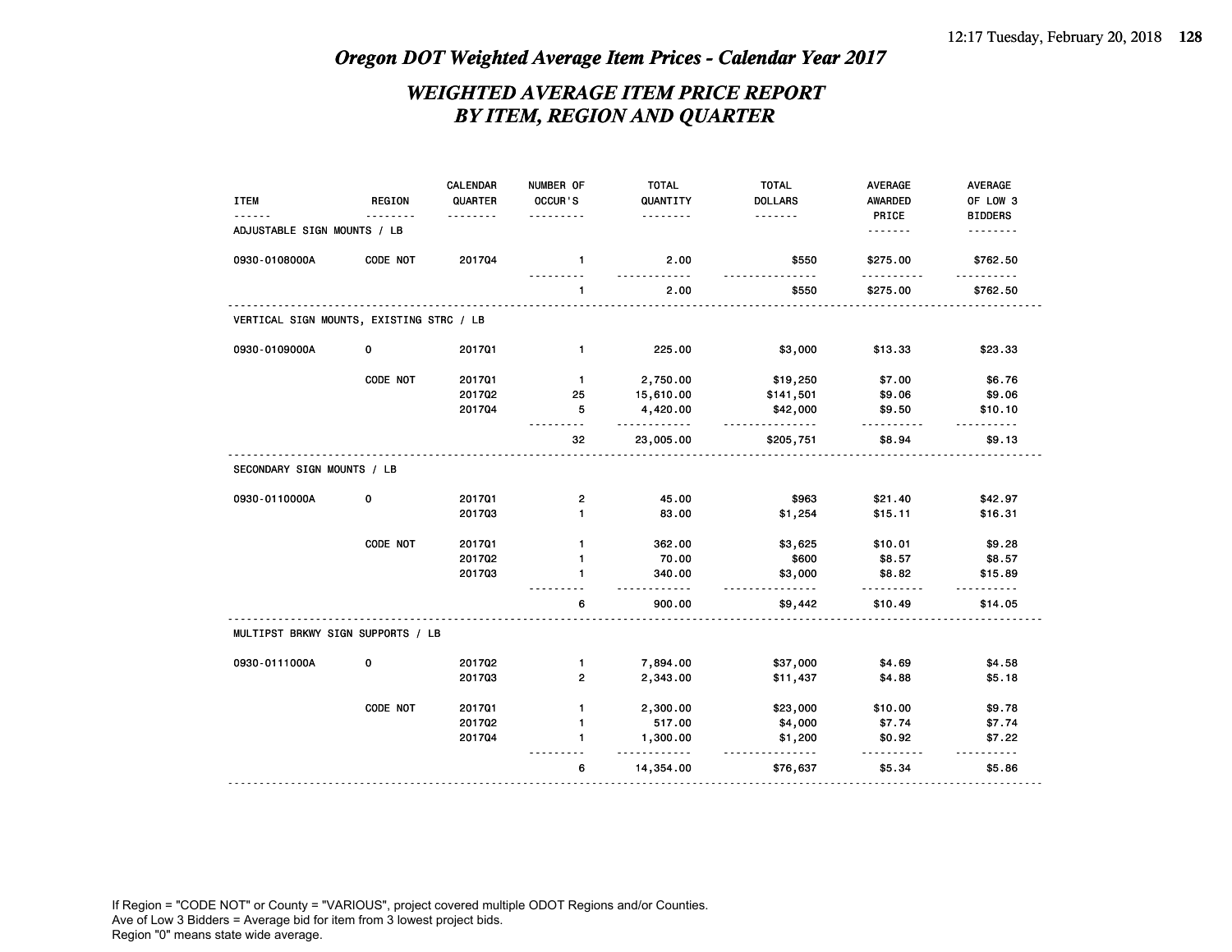## *WEIGHTED AVERAGE ITEM PRICE REPORT BY ITEM, REGION AND QUARTER*

|                                          |               | CALENDAR | NUMBER OF    | <b>TOTAL</b>     | <b>TOTAL</b>         | AVERAGE  | <b>AVERAGE</b> |
|------------------------------------------|---------------|----------|--------------|------------------|----------------------|----------|----------------|
| <b>ITEM</b>                              | <b>REGION</b> | QUARTER  | OCCUR'S      | QUANTITY         | <b>DOLLARS</b>       | AWARDED  | OF LOW 3       |
|                                          |               | .        |              | .                | .                    | PRICE    | <b>BIDDERS</b> |
| ADJUSTABLE SIGN MOUNTS / LB              |               |          |              |                  |                      | .        | <u>.</u>       |
| 0930-0108000A                            | CODE NOT      | 201704   | $\mathbf{1}$ | 2.00<br><u>.</u> | \$550                | \$275.00 | \$762.50       |
|                                          |               |          | 1            | 2.00             | \$550                | \$275.00 | \$762.50       |
| VERTICAL SIGN MOUNTS, EXISTING STRC / LB |               |          |              |                  |                      |          |                |
| 0930-0109000A                            | 0             | 201701   | $\mathbf{1}$ | 225.00           | \$3,000              | \$13.33  | \$23.33        |
|                                          | CODE NOT      | 201701   | $\mathbf{1}$ | 2,750.00         | \$19,250             | \$7.00   | \$6.76         |
|                                          |               | 201702   | 25           | 15,610.00        | \$141,501            | \$9.06   | \$9.06         |
|                                          |               | 201704   | 5            | 4,420.00<br>.    | \$42,000<br><u>.</u> | \$9.50   | \$10.10        |
|                                          |               |          | 32           | 23,005.00        | \$205,751            | \$8.94   | \$9.13         |
| SECONDARY SIGN MOUNTS / LB               |               |          |              |                  |                      |          |                |
| 0930-0110000A                            | 0             | 201701   | 2            | 45.00            | \$963                | \$21.40  | \$42.97        |
|                                          |               | 201703   | 1            | 83.00            | \$1,254              | \$15.11  | \$16.31        |
|                                          | CODE NOT      | 201701   | $\mathbf{1}$ | 362.00           | \$3,625              | \$10.01  | \$9.28         |
|                                          |               | 201702   | 1            | 70.00            | \$600                | \$8.57   | \$8.57         |
|                                          |               | 201703   | 1            | 340.00           | \$3,000<br><u>.</u>  | \$8.82   | \$15.89        |
|                                          |               |          | 6            | 900.00           | \$9,442              | \$10.49  | \$14.05        |
| MULTIPST BRKWY SIGN SUPPORTS / LB        |               |          |              |                  |                      |          |                |
| 0930-0111000A                            | 0             | 201702   | $\mathbf{1}$ | 7,894.00         | \$37,000             | \$4.69   | \$4.58         |
|                                          |               | 201703   | $\mathbf{2}$ | 2,343.00         | \$11,437             | \$4.88   | \$5.18         |
|                                          | CODE NOT      | 201701   | $\mathbf{1}$ | 2,300.00         | \$23,000             | \$10.00  | \$9.78         |
|                                          |               | 201702   | 1            | 517.00           | \$4,000              | \$7.74   | \$7.74         |
|                                          |               | 201704   | $\mathbf{1}$ | 1,300.00<br>.    | \$1,200<br><u>.</u>  | \$0.92   | \$7.22         |
|                                          |               |          | 6            | 14,354.00        | \$76,637             | \$5.34   | \$5.86         |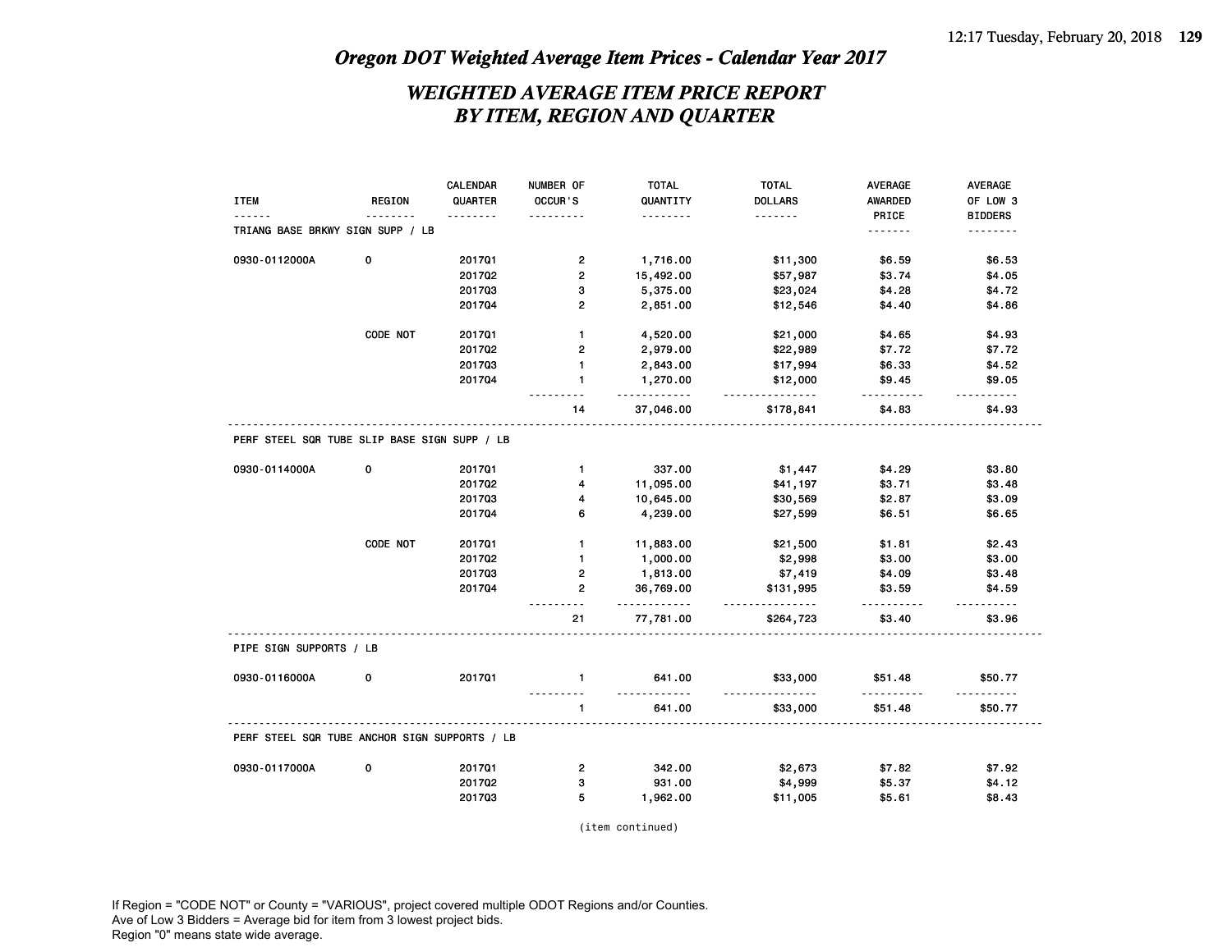## *WEIGHTED AVERAGE ITEM PRICE REPORT BY ITEM, REGION AND QUARTER*

|                                               |               | <b>CALENDAR</b> | NUMBER OF                | <b>TOTAL</b>   | <b>TOTAL</b>          | <b>AVERAGE</b>          | <b>AVERAGE</b> |
|-----------------------------------------------|---------------|-----------------|--------------------------|----------------|-----------------------|-------------------------|----------------|
| <b>ITEM</b>                                   | <b>REGION</b> | QUARTER         | OCCUR'S                  | QUANTITY       | <b>DOLLARS</b>        | <b>AWARDED</b>          | OF LOW 3       |
|                                               |               |                 | .                        | <u>.</u>       | .                     | PRICE                   | <b>BIDDERS</b> |
| TRIANG BASE BRKWY SIGN SUPP / LB              |               |                 |                          |                |                       | <u>.</u>                | .              |
| 0930-0112000A                                 | 0             | 201701          | $\overline{\mathbf{c}}$  | 1,716.00       | \$11,300              | \$6.59                  | \$6.53         |
|                                               |               | 201702          | $\mathbf{2}$             | 15,492.00      | \$57,987              | \$3.74                  | \$4.05         |
|                                               |               | 201703          | 3                        | 5,375.00       | \$23,024              | \$4.28                  | \$4.72         |
|                                               |               | 201704          | $\overline{2}$           | 2,851.00       | \$12,546              | \$4.40                  | \$4.86         |
|                                               | CODE NOT      | 201701          | $\mathbf{1}$             | 4,520.00       | \$21,000              | \$4.65                  | \$4.93         |
|                                               |               | 201702          | $\mathbf{2}$             | 2,979.00       | \$22,989              | \$7.72                  | \$7.72         |
|                                               |               | 201703          | $\mathbf{1}$             | 2,843.00       | \$17,994              | \$6.33                  | \$4.52         |
|                                               |               | 201704          | $\mathbf{1}$             | 1,270.00<br>.  | \$12,000<br><u>.</u>  | \$9.45<br>.             | \$9.05<br>.    |
|                                               |               |                 | 14                       | 37,046.00      | \$178,841             | \$4.83                  | \$4.93         |
| PERF STEEL SQR TUBE SLIP BASE SIGN SUPP / LB  |               |                 |                          |                |                       |                         |                |
| 0930-0114000A                                 | $\mathbf 0$   | 201701          | $\mathbf{1}$             | 337.00         | \$1,447               | \$4.29                  | \$3.80         |
|                                               |               | 201702          | 4                        | 11,095.00      | \$41,197              | \$3.71                  | \$3.48         |
|                                               |               | 201703          | 4                        | 10,645.00      | \$30,569              | \$2.87                  | \$3.09         |
|                                               |               | 201704          | 6                        | 4,239.00       | \$27,599              | \$6.51                  | \$6.65         |
|                                               | CODE NOT      | 201701          | $\mathbf{1}$             | 11,883.00      | \$21,500              | \$1.81                  | \$2.43         |
|                                               |               | 201702          | $\mathbf{1}$             | 1,000.00       | \$2,998               | \$3.00                  | \$3.00         |
|                                               |               | 201703          | $\overline{\mathbf{c}}$  | 1,813.00       | \$7,419               | \$4.09                  | \$3.48         |
|                                               |               | 201704          | $\overline{2}$           | 36,769.00<br>. | \$131,995<br><u>.</u> | \$3.59<br>$- - - - - -$ | \$4.59<br>.    |
|                                               |               |                 | 21                       | 77,781.00      | \$264,723             | \$3.40                  | \$3.96         |
| PIPE SIGN SUPPORTS / LB                       |               |                 |                          |                |                       |                         |                |
| 0930-0116000A                                 | 0             | 201701          | $\mathbf{1}$<br><u>.</u> | 641.00<br>.    | \$33,000<br>.         | \$51.48<br>.            | \$50.77<br>.   |
|                                               |               |                 | $\mathbf{1}$             | 641.00         | \$33,000              | \$51.48                 | \$50.77        |
| PERF STEEL SQR TUBE ANCHOR SIGN SUPPORTS / LB |               |                 |                          |                |                       |                         |                |
| 0930-0117000A                                 | $\mathbf 0$   | 201701          | $\overline{\mathbf{c}}$  | 342.00         | \$2,673               | \$7.82                  | \$7.92         |
|                                               |               | 201702          | 3                        | 931.00         | \$4,999               | \$5.37                  | \$4.12         |
|                                               |               | 201703          | 5                        | 1,962.00       | \$11,005              | \$5.61                  | \$8.43         |

(item continued)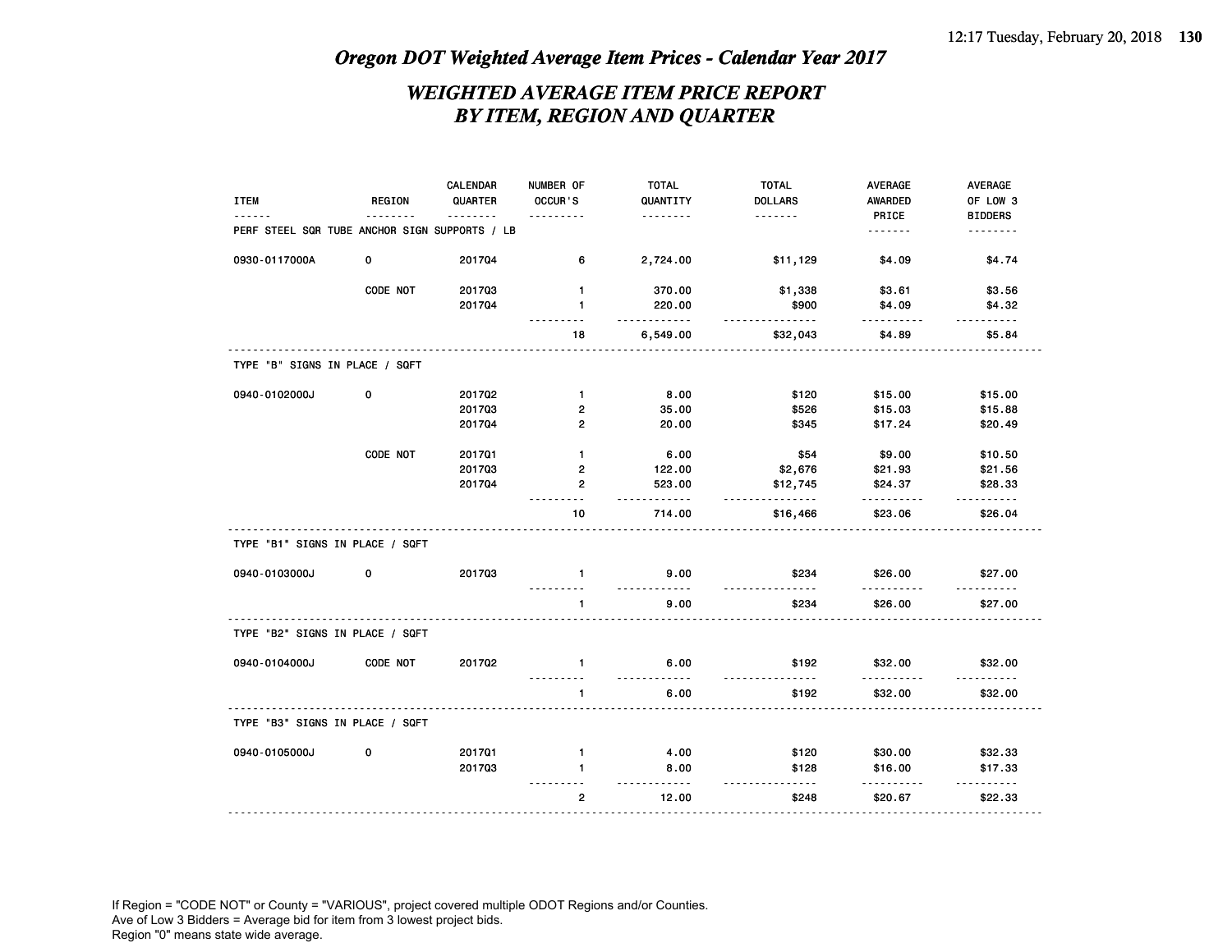## *WEIGHTED AVERAGE ITEM PRICE REPORT BY ITEM, REGION AND QUARTER*

|                                               |               | CALENDAR | NUMBER OF       | <b>TOTAL</b>                          | <b>TOTAL</b>      | AVERAGE                 | AVERAGE            |
|-----------------------------------------------|---------------|----------|-----------------|---------------------------------------|-------------------|-------------------------|--------------------|
| <b>ITEM</b>                                   | <b>REGION</b> | QUARTER  | OCCUR'S         | QUANTITY                              | <b>DOLLARS</b>    | AWARDED                 | OF LOW 3           |
|                                               |               | .        |                 | .                                     | .                 | PRICE                   | <b>BIDDERS</b>     |
| PERF STEEL SQR TUBE ANCHOR SIGN SUPPORTS / LB |               |          |                 |                                       |                   | .                       | <u>.</u>           |
| 0930-0117000A                                 | 0             | 201704   | 6               | 2,724.00                              | \$11,129          | \$4.09                  | \$4.74             |
|                                               | CODE NOT      | 201703   | 1               | 370.00                                | \$1,338           | \$3.61                  | \$3.56             |
|                                               |               | 201704   | 1               | 220.00<br>$\sim$ $\sim$ $\sim$ $\sim$ | \$900<br><u>.</u> | \$4.09<br>$\frac{1}{2}$ | \$4.32<br>.        |
|                                               |               |          | 18              | 6,549.00                              | \$32,043          | \$4.89                  | \$5.84             |
| TYPE "B" SIGNS IN PLACE / SQFT                |               |          |                 |                                       |                   |                         |                    |
| 0940-0102000J                                 | 0             | 201702   | $\mathbf{1}$    | 8.00                                  | \$120             | \$15.00                 | \$15.00            |
|                                               |               | 201703   | $\mathbf{2}$    | 35.00                                 | \$526             | \$15.03                 | \$15.88            |
|                                               |               | 201704   | $\overline{2}$  | 20.00                                 | \$345             | \$17.24                 | \$20.49            |
|                                               | CODE NOT      | 201701   | $\mathbf{1}$    | 6.00                                  | \$54              | \$9.00                  | \$10.50            |
|                                               |               | 201703   | $\overline{2}$  | 122.00                                | \$2,676           | \$21.93                 | \$21.56            |
|                                               |               | 201704   | $\overline{2}$  | 523.00<br>.                           | \$12,745<br>.     | \$24.37                 | \$28.33            |
|                                               |               |          | $- - - -$<br>10 | 714.00                                | \$16,466          | .<br>\$23.06            | <b></b><br>\$26.04 |
| TYPE "B1" SIGNS IN PLACE / SQFT               |               |          |                 |                                       |                   |                         |                    |
| 0940-0103000J                                 | 0             | 201703   | $\mathbf{1}$    | 9.00<br><u>.</u>                      | \$234             | \$26.00                 | \$27.00            |
|                                               |               |          | $\mathbf{1}$    | 9.00                                  | \$234             | \$26.00                 | \$27.00            |
| TYPE "B2" SIGNS IN PLACE / SQFT               |               |          |                 |                                       |                   |                         |                    |
| 0940-0104000J                                 | CODE NOT      | 201702   | $\mathbf{1}$    | 6.00                                  | \$192             | \$32.00                 | \$32.00            |
|                                               |               |          | $\mathbf{1}$    | 6.00                                  | \$192             | \$32.00                 | \$32.00            |
| TYPE "B3" SIGNS IN PLACE / SQFT               |               |          |                 |                                       |                   |                         |                    |
| 0940-0105000J                                 | 0             | 201701   | $\mathbf{1}$    | 4.00                                  | \$120             | \$30.00                 | \$32.33            |
|                                               |               | 201703   | 1               | 8.00                                  | \$128             | \$16.00                 | \$17.33            |
|                                               |               |          | $\mathbf{2}$    | .<br>12.00                            | \$248             | \$20.67                 | \$22.33            |
|                                               |               |          |                 |                                       |                   |                         |                    |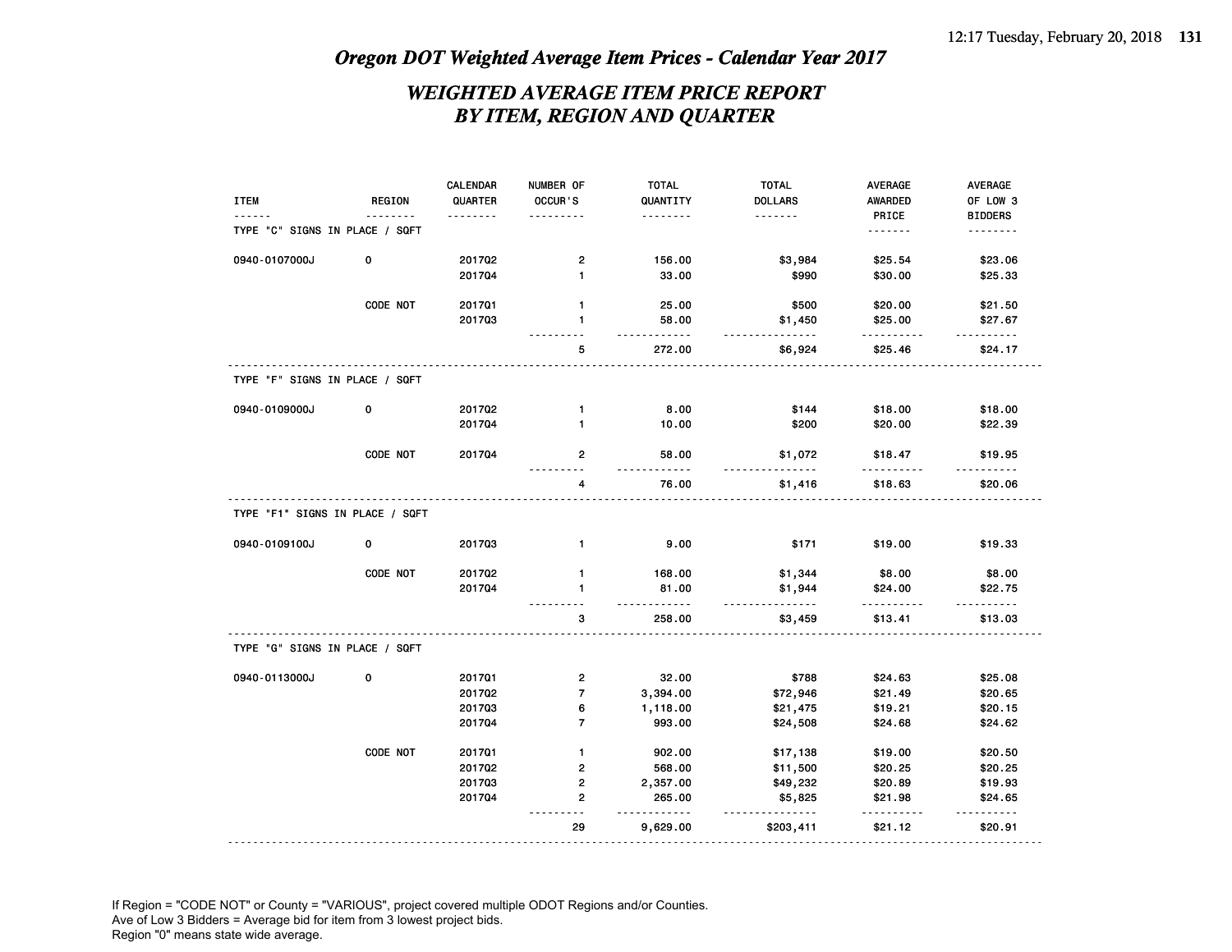## *WEIGHTED AVERAGE ITEM PRICE REPORT BY ITEM, REGION AND QUARTER*

| <b>ITEM</b>                     | REGION   | CALENDAR<br>QUARTER | NUMBER OF<br>OCCUR'S    | <b>TOTAL</b><br>QUANTITY | <b>TOTAL</b><br><b>DOLLARS</b> | <b>AVERAGE</b><br>AWARDED | AVERAGE<br>OF LOW 3 |
|---------------------------------|----------|---------------------|-------------------------|--------------------------|--------------------------------|---------------------------|---------------------|
|                                 |          | .                   |                         | .                        | .                              | PRICE                     | <b>BIDDERS</b>      |
| TYPE "C" SIGNS IN PLACE / SQFT  |          |                     |                         |                          |                                | -------                   | --------            |
| 0940-0107000J                   | 0        | 201702              | $\overline{2}$          | 156.00                   | \$3,984                        | \$25.54                   | \$23.06             |
|                                 |          | 201704              | $\mathbf{1}$            | 33.00                    | \$990                          | \$30.00                   | \$25.33             |
|                                 | CODE NOT | 201701              | $\mathbf{1}$            | 25.00                    | \$500                          | \$20.00                   | \$21.50             |
|                                 |          | 201703              | 1<br>.                  | 58.00<br>.               | \$1,450<br>.                   | \$25.00<br>.              | \$27.67<br>.        |
|                                 |          |                     | 5                       | 272.00                   | \$6,924                        | \$25.46                   | \$24.17             |
| TYPE "F" SIGNS IN PLACE / SQFT  |          |                     |                         |                          |                                |                           |                     |
| 0940-0109000J                   | 0        | 201702              | $\mathbf{1}$            | 8.00                     | \$144                          | \$18.00                   | \$18.00             |
|                                 |          | 201704              | $\mathbf{1}$            | 10.00                    | \$200                          | \$20.00                   | \$22.39             |
|                                 | CODE NOT | 201704              | $\overline{2}$          | 58.00                    | \$1,072                        | \$18.47                   | \$19.95             |
|                                 |          |                     | 4                       | 76.00                    | \$1,416                        | \$18.63                   | \$20.06             |
| TYPE "F1" SIGNS IN PLACE / SQFT |          |                     |                         |                          |                                |                           |                     |
| 0940-0109100J                   | 0        | 201703              | $\mathbf{1}$            | 9.00                     | \$171                          | \$19.00                   | \$19.33             |
|                                 | CODE NOT | 201702              | $\mathbf{1}$            | 168.00                   | \$1,344                        | \$8.00                    | \$8.00              |
|                                 |          | 201704              | $\mathbf{1}$            | 81.00<br>.               | \$1,944<br><u>.</u>            | \$24.00<br>.              | \$22.75<br>.        |
|                                 |          |                     | з                       | 258.00                   | \$3,459                        | \$13.41                   | \$13.03             |
| TYPE "G" SIGNS IN PLACE / SQFT  |          |                     |                         |                          |                                |                           |                     |
| 0940-0113000J                   | 0        | 201701              | $\mathbf{2}$            | 32.00                    | \$788                          | \$24.63                   | \$25.08             |
|                                 |          | 201702              | $\overline{7}$          | 3,394.00                 | \$72,946                       | \$21.49                   | \$20.65             |
|                                 |          | 201703              | 6                       | 1,118.00                 | \$21,475                       | \$19.21                   | \$20.15             |
|                                 |          | 201704              | $\overline{7}$          | 993.00                   | \$24,508                       | \$24.68                   | \$24.62             |
|                                 | CODE NOT | 201701              | $\mathbf{1}$            | 902.00                   | \$17,138                       | \$19.00                   | \$20.50             |
|                                 |          | 201702              | $\overline{\mathbf{c}}$ | 568.00                   | \$11,500                       | \$20.25                   | \$20.25             |
|                                 |          | 201703              | 2                       | 2,357.00                 | \$49,232                       | \$20.89                   | \$19.93             |
|                                 |          | 201704              | $\mathbf{2}$<br>$- - -$ | 265.00<br><u>.</u>       | \$5,825<br><u>.</u>            | \$21.98<br>.              | \$24.65<br>.        |
|                                 |          |                     | 29                      | 9,629.00                 | \$203,411                      | \$21.12                   | \$20.91             |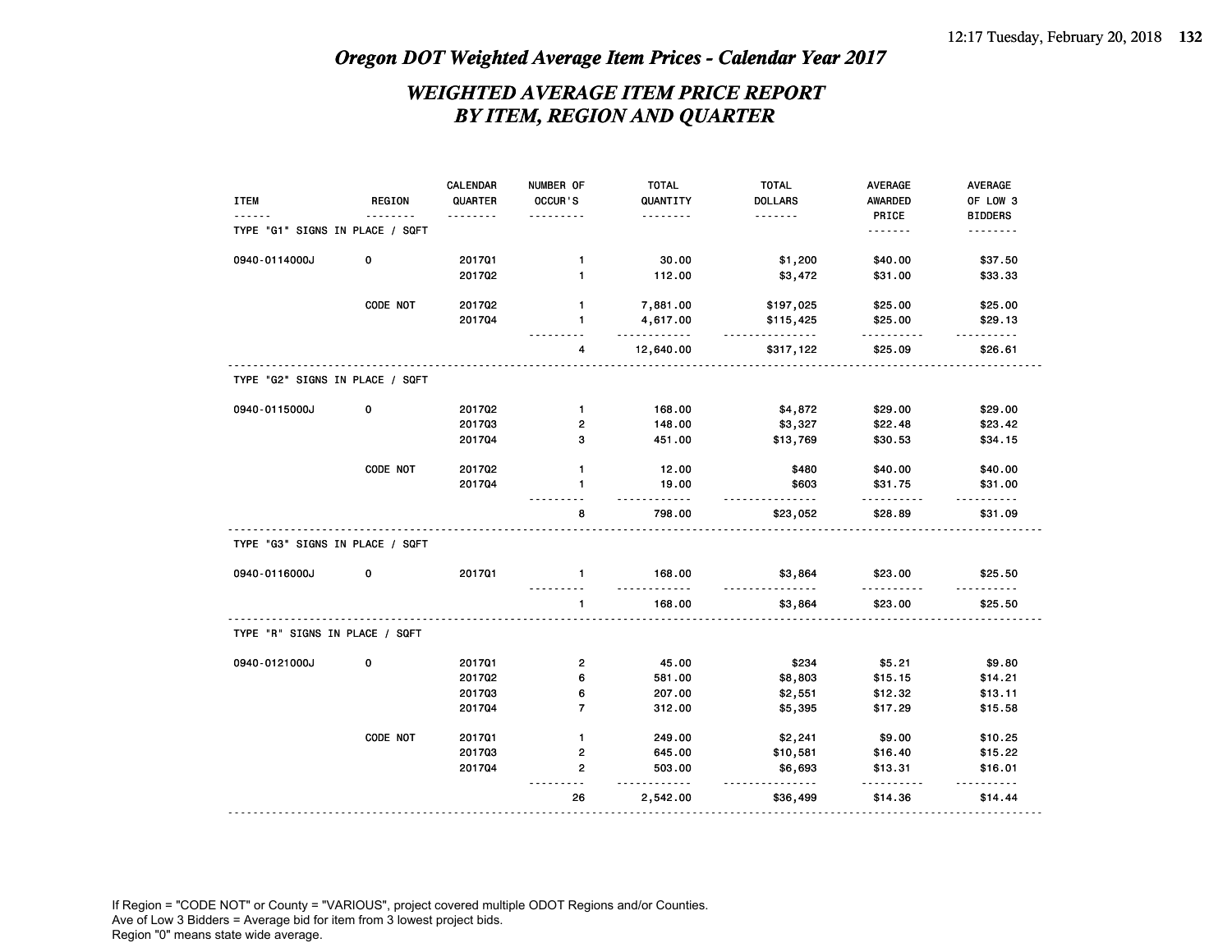## *WEIGHTED AVERAGE ITEM PRICE REPORT BY ITEM, REGION AND QUARTER*

|                                 |               | CALENDAR         | NUMBER OF               | <b>TOTAL</b>         | <b>TOTAL</b>           | <b>AVERAGE</b>     | <b>AVERAGE</b>             |
|---------------------------------|---------------|------------------|-------------------------|----------------------|------------------------|--------------------|----------------------------|
| <b>ITEM</b>                     | <b>REGION</b> | QUARTER          | OCCUR'S                 | QUANTITY             | <b>DOLLARS</b><br>.    | <b>AWARDED</b>     | OF LOW 3                   |
| TYPE "G1" SIGNS IN PLACE / SQFT |               | .                | .                       | .                    |                        | PRICE<br>.         | <b>BIDDERS</b><br><u>.</u> |
|                                 |               |                  |                         |                      |                        |                    |                            |
| 0940-0114000J                   | 0             | 201701           | 1                       | 30.00                | \$1,200                | \$40.00            | \$37.50                    |
|                                 |               | 201702           | $\mathbf{1}$            | 112.00               | \$3,472                | \$31.00            | \$33.33                    |
|                                 |               |                  |                         |                      |                        |                    |                            |
|                                 | CODE NOT      | 201702<br>201704 | $\mathbf{1}$<br>1       | 7,881.00<br>4,617.00 | \$197,025<br>\$115,425 | \$25.00<br>\$25.00 | \$25.00<br>\$29.13         |
|                                 |               |                  |                         | <u>.</u>             | <u>.</u>               | <u>.</u>           | <u>.</u>                   |
|                                 |               |                  | 4                       | 12,640.00            | \$317,122              | \$25.09            | \$26.61                    |
| TYPE "G2" SIGNS IN PLACE / SQFT |               |                  |                         |                      |                        |                    |                            |
| 0940-0115000J                   | 0             | 201702           | $\mathbf{1}$            | 168.00               | \$4,872                | \$29.00            | \$29.00                    |
|                                 |               | 201703           | $\overline{\mathbf{c}}$ | 148.00               | \$3,327                | \$22.48            | \$23.42                    |
|                                 |               | 201704           | 3                       | 451.00               | \$13,769               | \$30.53            | \$34.15                    |
|                                 |               |                  |                         |                      |                        |                    |                            |
|                                 | CODE NOT      | 201702           | $\mathbf{1}$            | 12.00                | \$480                  | \$40.00            | \$40.00                    |
|                                 |               | 201704           | $\mathbf{1}$            | 19.00<br>.           | \$603<br><u>.</u>      | \$31.75            | \$31.00                    |
|                                 |               |                  | 8                       | 798.00               | \$23,052               | .<br>\$28.89       | .<br>\$31.09               |
| TYPE "G3" SIGNS IN PLACE / SQFT |               |                  |                         |                      |                        |                    |                            |
| 0940-0116000J                   | 0             | 201701           | $\mathbf{1}$            | 168.00<br>.          | \$3,864                | \$23.00            | \$25.50<br>.               |
|                                 |               |                  | $\mathbf{1}$            | 168.00               | \$3,864                | \$23.00            | \$25.50                    |
| TYPE "R" SIGNS IN PLACE / SQFT  |               |                  |                         |                      |                        |                    |                            |
| 0940-0121000J                   | 0             | 201701           | 2                       | 45.00                | \$234                  | \$5.21             | \$9.80                     |
|                                 |               | 201702           | 6                       | 581.00               | \$8,803                | \$15.15            | \$14.21                    |
|                                 |               | 201703           | 6                       | 207.00               | \$2,551                | \$12.32            | \$13.11                    |
|                                 |               | 201704           | $\overline{7}$          | 312.00               | \$5,395                | \$17.29            | \$15.58                    |
|                                 | CODE NOT      | 201701           | $\mathbf{1}$            | 249.00               | \$2,241                | \$9.00             | \$10.25                    |
|                                 |               | 201703           | $\overline{\mathbf{c}}$ | 645.00               | \$10,581               | \$16.40            | \$15.22                    |
|                                 |               | 201704           | $\overline{\mathbf{c}}$ | 503.00               | \$6,693                | \$13.31            | \$16.01                    |
|                                 |               |                  | 26                      | 2,542.00             | $- - -$<br>\$36,499    | -----<br>\$14.36   | \$14.44                    |
|                                 |               |                  |                         |                      |                        |                    |                            |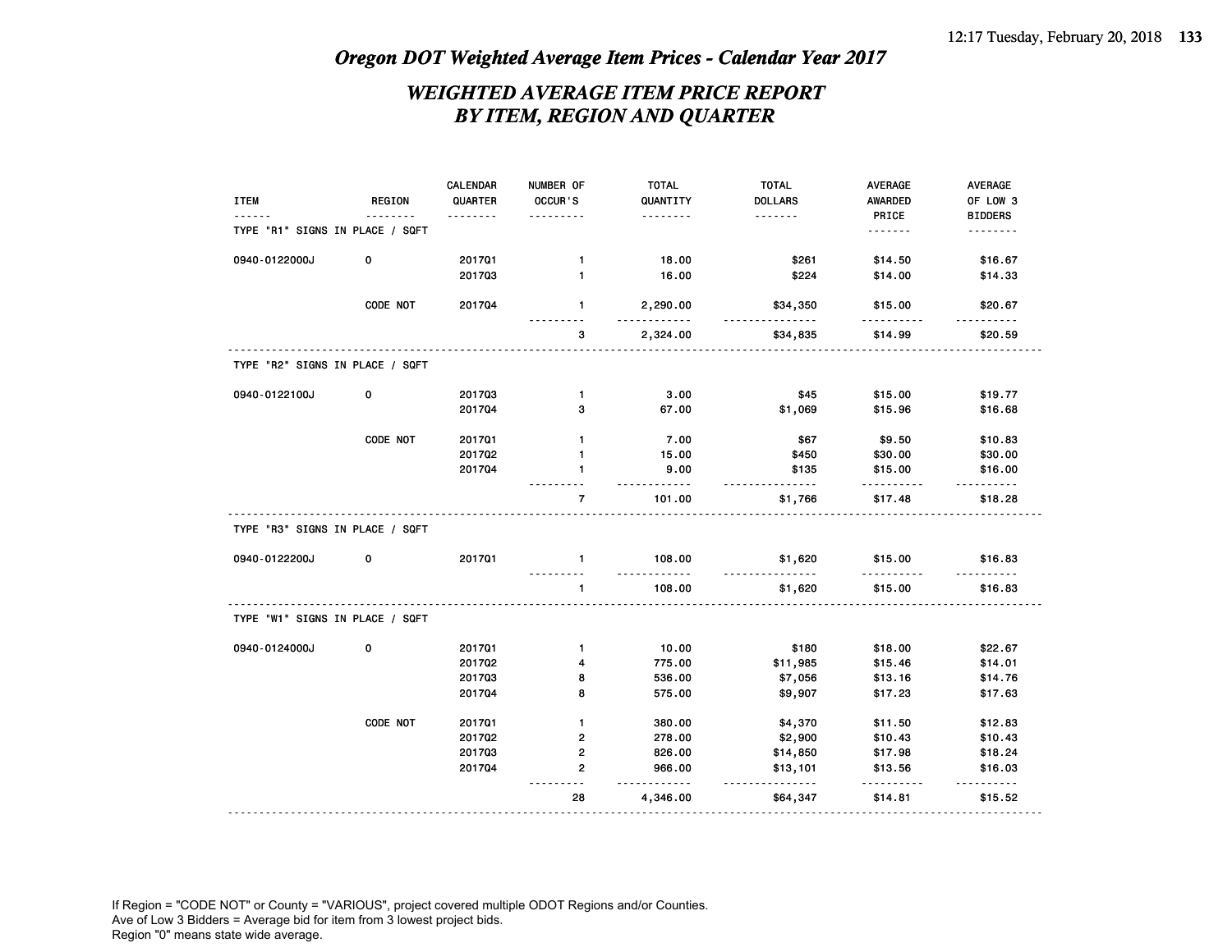## *WEIGHTED AVERAGE ITEM PRICE REPORT BY ITEM, REGION AND QUARTER*

| <b>TOTAL</b><br><b>TOTAL</b><br>CALENDAR<br>NUMBER OF                                      | <b>AVERAGE</b><br><b>AVERAGE</b>         |
|--------------------------------------------------------------------------------------------|------------------------------------------|
| <b>ITEM</b><br><b>REGION</b><br>QUARTER<br>OCCUR'S<br><b>DOLLARS</b><br>QUANTITY           | <b>AWARDED</b><br>OF LOW 3               |
| <u>.</u><br>.<br>.<br>.<br>TYPE "R1" SIGNS IN PLACE / SQFT                                 | PRICE<br><b>BIDDERS</b><br>.<br>.        |
|                                                                                            |                                          |
| \$261<br>0940-0122000J<br>0<br>201701<br>18.00<br>$\mathbf{1}$                             | \$14.50<br>\$16.67                       |
| 201703<br>$\mathbf{1}$<br>16.00<br>\$224                                                   | \$14.00<br>\$14.33                       |
|                                                                                            |                                          |
| CODE NOT<br>$\mathbf{1}$<br>201704<br>2,290.00<br>\$34,350                                 | \$15.00<br>\$20.67                       |
| 3<br>2,324.00<br>\$34,835                                                                  | \$20.59<br>\$14.99                       |
| TYPE "R2" SIGNS IN PLACE / SQFT                                                            |                                          |
| 0940-0122100J<br>0<br>201703<br>3.00<br>\$45<br>$\mathbf{1}$                               | \$15.00<br>\$19.77                       |
| 201704<br>67.00<br>\$1,069<br>з                                                            | \$15.96<br>\$16.68                       |
|                                                                                            |                                          |
| CODE NOT<br>201701<br>7.00<br>\$67<br>$\mathbf{1}$                                         | \$9.50<br>\$10.83                        |
| 201702<br>15.00<br>$\mathbf{1}$<br>\$450                                                   | \$30.00<br>\$30.00                       |
| 9.00<br>\$135<br>201704<br>1<br>-----<br>----                                              | \$15.00<br>\$16.00<br>-----<br>------    |
| 101.00<br>\$1,766<br>$\overline{7}$                                                        | \$17.48<br>\$18.28                       |
| TYPE "R3" SIGNS IN PLACE / SQFT                                                            |                                          |
| 0940-0122200J<br>0<br>201701<br>108.00<br>\$1,620<br>$\mathbf{1}$                          | \$15.00<br>\$16.83                       |
| $\mathbf{1}$<br>108.00<br>\$1,620                                                          | \$15.00<br>\$16.83                       |
| TYPE "W1" SIGNS IN PLACE / SQFT                                                            |                                          |
| 0<br>0940-0124000J<br>201701<br>$\mathbf{1}$<br>10.00<br>\$180                             | \$22.67<br>\$18.00                       |
| 201702<br>4<br>775.00<br>\$11,985                                                          | \$15.46<br>\$14.01                       |
| 201703<br>8<br>536.00<br>\$7,056                                                           | \$13.16<br>\$14.76                       |
| 201704<br>8<br>575.00<br>\$9,907                                                           | \$17.23<br>\$17.63                       |
| CODE NOT                                                                                   |                                          |
| 201701<br>$\mathbf{1}$<br>380.00<br>\$4,370<br>$\mathbf{2}$<br>201702<br>278.00<br>\$2,900 | \$12.83<br>\$11.50<br>\$10.43<br>\$10.43 |
| 201703<br>$\overline{\mathbf{c}}$<br>826.00<br>\$14,850                                    | \$18.24<br>\$17.98                       |
| $\mathbf{2}$<br>201704<br>966.00<br>\$13,101                                               | \$16.03<br>\$13.56                       |
| $- - -$                                                                                    |                                          |
| 28<br>4,346.00<br>\$64,347                                                                 | \$14.81<br>\$15.52                       |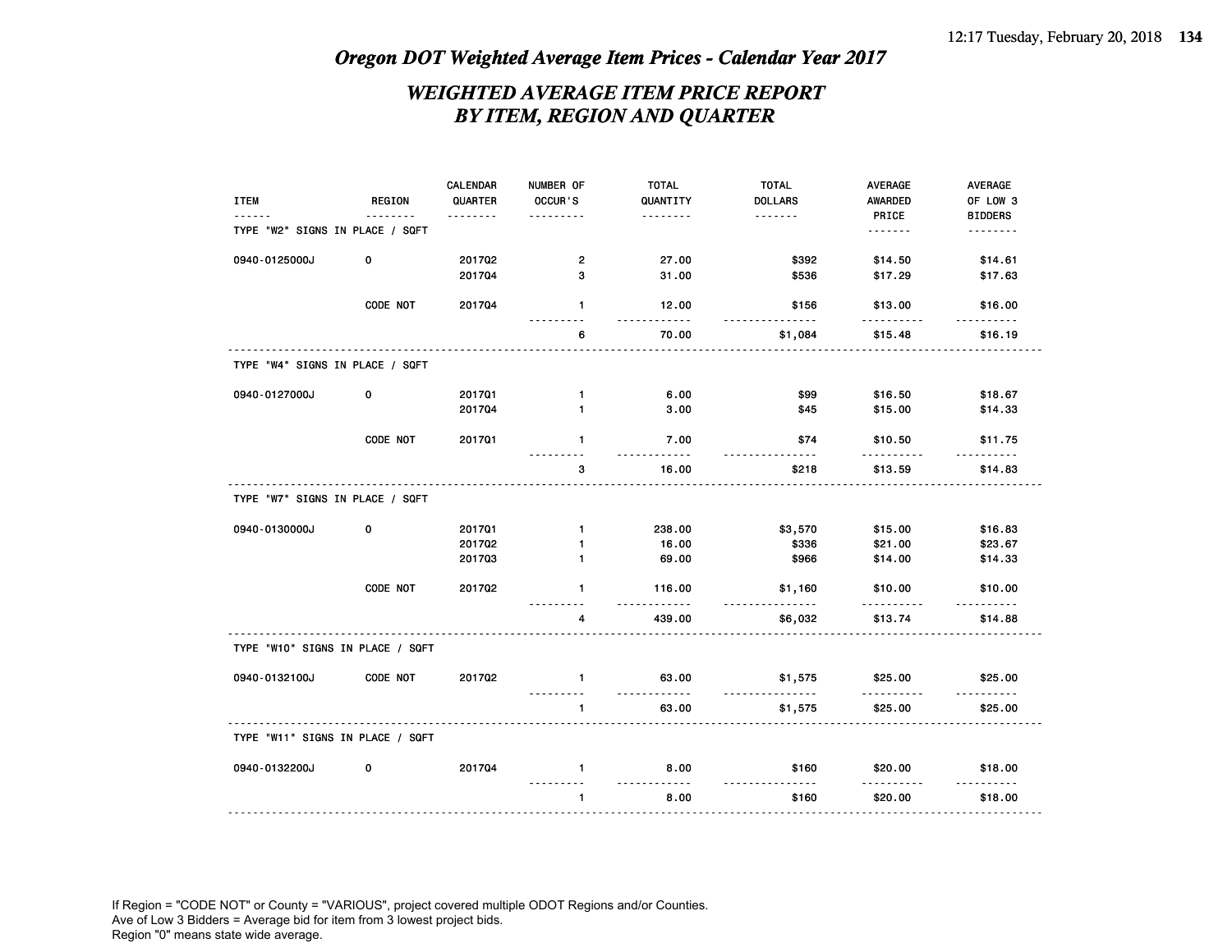## *WEIGHTED AVERAGE ITEM PRICE REPORT BY ITEM, REGION AND QUARTER*

|                                  |          | CALENDAR | NUMBER OF      | <b>TOTAL</b>  | <b>TOTAL</b>   | AVERAGE      | <b>AVERAGE</b> |
|----------------------------------|----------|----------|----------------|---------------|----------------|--------------|----------------|
| <b>ITEM</b>                      | REGION   | QUARTER  | OCCUR'S        | QUANTITY      | <b>DOLLARS</b> | AWARDED      | OF LOW 3       |
|                                  |          |          |                | .             | .              | PRICE        | <b>BIDDERS</b> |
| TYPE "W2" SIGNS IN PLACE / SQFT  |          |          |                |               |                |              | <u>.</u>       |
| 0940-0125000J                    | 0        | 201702   | $\overline{2}$ | 27.00         | \$392          | \$14.50      | \$14.61        |
|                                  |          | 201704   | 3              | 31.00         | \$536          | \$17.29      | \$17.63        |
|                                  | CODE NOT | 201704   | $\mathbf{1}$   | 12.00         | \$156          | \$13.00      | \$16.00        |
|                                  |          |          | 6              | 70.00         | \$1,084        | \$15.48      | \$16.19        |
| TYPE "W4" SIGNS IN PLACE / SQFT  |          |          |                |               |                |              |                |
| 0940-0127000J                    | 0        | 201701   | $\mathbf{1}$   | 6.00          | \$99           | \$16.50      | \$18.67        |
|                                  |          | 201704   | 1              | 3.00          | \$45           | \$15.00      | \$14.33        |
|                                  | CODE NOT | 201701   | 1              | 7.00          | \$74           | \$10.50      | \$11.75        |
|                                  |          |          | 3              | 16.00         | \$218          | \$13.59      | \$14.83        |
| TYPE "W7" SIGNS IN PLACE / SQFT  |          |          |                |               |                |              |                |
| 0940-0130000J                    | 0        | 201701   | $\mathbf{1}$   | 238.00        | \$3,570        | \$15.00      | \$16.83        |
|                                  |          | 201702   | 1              | 16.00         | \$336          | \$21.00      | \$23.67        |
|                                  |          | 201703   | $\mathbf{1}$   | 69.00         | \$966          | \$14.00      | \$14.33        |
|                                  | CODE NOT | 201702   | $\mathbf{1}$   | 116.00<br>.   | \$1,160        | \$10.00<br>. | \$10.00        |
|                                  |          |          | 4              | 439.00        | \$6,032        | \$13.74      | \$14.88        |
| TYPE "W10" SIGNS IN PLACE / SQFT |          |          |                |               |                |              |                |
| 0940-0132100J                    | CODE NOT | 201702   | $\mathbf{1}$   | 63.00<br>---- | \$1,575        | \$25.00      | \$25.00        |
|                                  |          |          | 1              | 63.00         | \$1,575        | \$25.00      | \$25.00        |
| TYPE "W11" SIGNS IN PLACE / SQFT |          |          |                |               |                |              |                |
| 0940-0132200J                    | 0        | 201704   | $\mathbf{1}$   | 8.00          | \$160          | \$20.00      | \$18.00        |
|                                  |          |          | $\mathbf{1}$   | 8.00          | \$160          | \$20.00      | \$18.00        |
|                                  |          |          |                |               |                |              |                |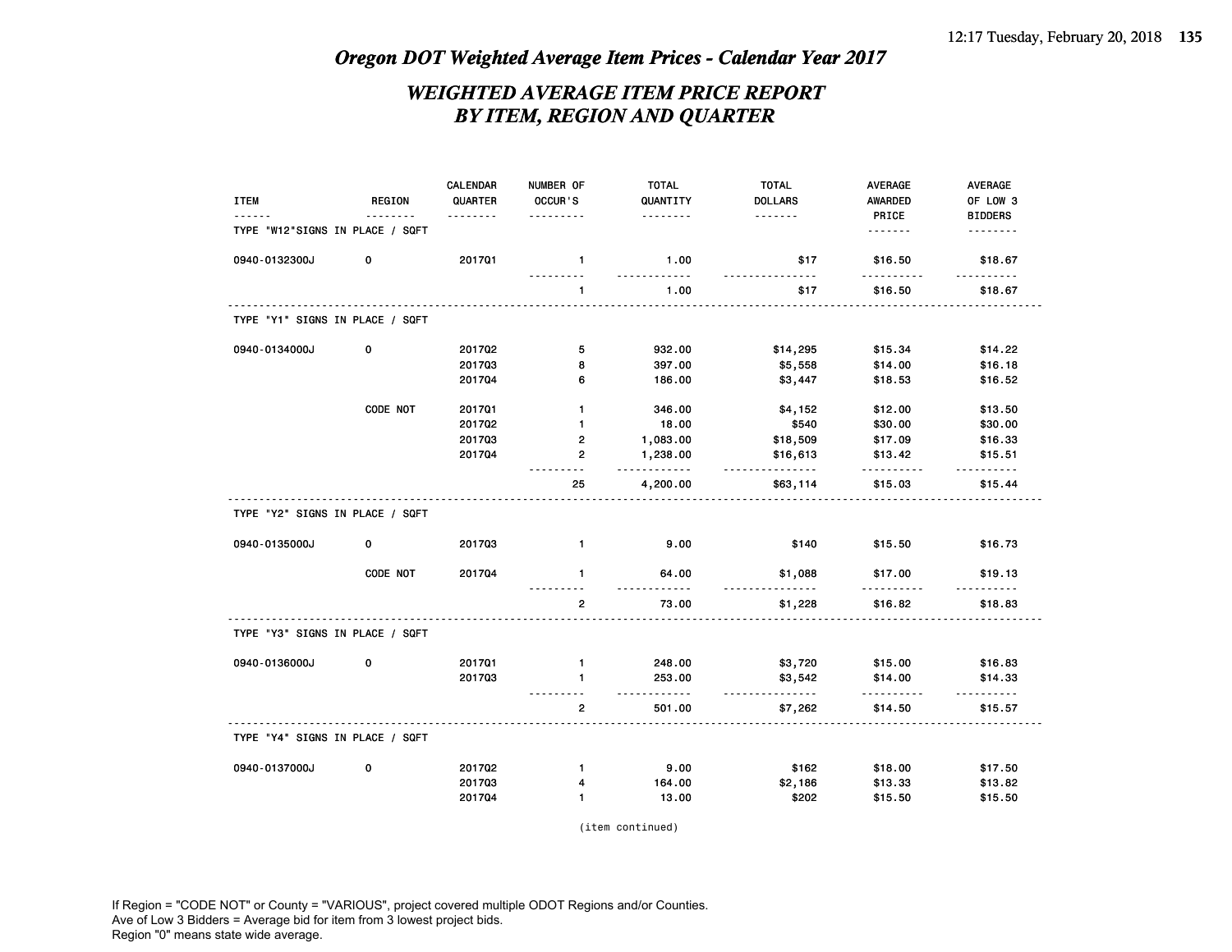## *WEIGHTED AVERAGE ITEM PRICE REPORT BY ITEM, REGION AND QUARTER*

|                                 |             | CALENDAR | NUMBER OF               | <b>TOTAL</b>        | <b>TOTAL</b>   | AVERAGE             | AVERAGE             |
|---------------------------------|-------------|----------|-------------------------|---------------------|----------------|---------------------|---------------------|
| <b>ITEM</b>                     | REGION      | QUARTER  | OCCUR'S                 | QUANTITY            | <b>DOLLARS</b> | <b>AWARDED</b>      | OF LOW 3            |
|                                 |             |          |                         | .                   | .              | PRICE               | <b>BIDDERS</b>      |
| TYPE "W12"SIGNS IN PLACE / SQFT |             |          |                         |                     |                | .                   | .                   |
| 0940-0132300J                   | 0           | 201701   | $\mathbf{1}$            | 1.00<br>.           | \$17<br>- - -  | \$16.50<br>.        | \$18.67<br>.        |
|                                 |             |          | $\mathbf{1}$            | 1.00                | \$17           | \$16.50             | \$18.67             |
| TYPE "Y1" SIGNS IN PLACE / SQFT |             |          |                         |                     |                |                     |                     |
| 0940-0134000J                   | $\mathbf 0$ | 201702   | 5                       | 932.00              | \$14,295       | \$15.34             | \$14.22             |
|                                 |             | 201703   | 8                       | 397.00              | \$5,558        | \$14.00             | \$16.18             |
|                                 |             | 201704   | 6                       | 186.00              | \$3,447        | \$18.53             | \$16.52             |
|                                 | CODE NOT    | 201701   | $\mathbf{1}$            | 346.00              | \$4,152        | \$12.00             | \$13.50             |
|                                 |             | 201702   | $\mathbf{1}$            | 18.00               | \$540          | \$30.00             | \$30.00             |
|                                 |             | 201703   | $\mathbf{2}$            | 1,083.00            | \$18,509       | \$17.09             | \$16.33             |
|                                 |             | 201704   | $\overline{2}$          | 1,238.00            | \$16,613       | \$13.42             | \$15.51             |
|                                 |             |          | 25                      | 2222222<br>4,200.00 | .<br>\$63,114  | .<br>\$15.03        | <u>.</u><br>\$15.44 |
| TYPE "Y2" SIGNS IN PLACE / SQFT |             |          |                         |                     |                |                     |                     |
| 0940-0135000J                   | 0           | 201703   | $\mathbf{1}$            | 9.00                | \$140          | \$15.50             | \$16.73             |
|                                 | CODE NOT    | 201704   | $\mathbf{1}$            | 64.00               | \$1,088<br>.   | \$17.00             | \$19.13             |
|                                 |             |          | $\overline{\mathbf{c}}$ | 73.00               | \$1,228        | \$16.82             | \$18.83             |
| TYPE "Y3" SIGNS IN PLACE / SQFT |             |          |                         |                     |                |                     |                     |
| 0940-0136000J                   | 0           | 201701   | $\mathbf{1}$            | 248.00              | \$3,720        | \$15.00             | \$16.83             |
|                                 |             | 201703   | 1                       | 253.00              | \$3,542        | \$14.00             | \$14.33             |
|                                 |             |          | $\overline{2}$          | .<br>501.00         | \$7,262        | <u>.</u><br>\$14.50 | .<br>\$15.57        |
| TYPE "Y4" SIGNS IN PLACE / SQFT |             |          |                         |                     |                |                     |                     |
| 0940-0137000J                   | 0           | 201702   | $\mathbf{1}$            | 9.00                | \$162          | \$18.00             | \$17.50             |
|                                 |             | 201703   | 4                       | 164.00              | \$2,186        | \$13.33             | \$13.82             |
|                                 |             | 201704   | $\mathbf{1}$            | 13.00               | \$202          | \$15.50             | \$15.50             |
|                                 |             |          |                         |                     |                |                     |                     |

(item continued)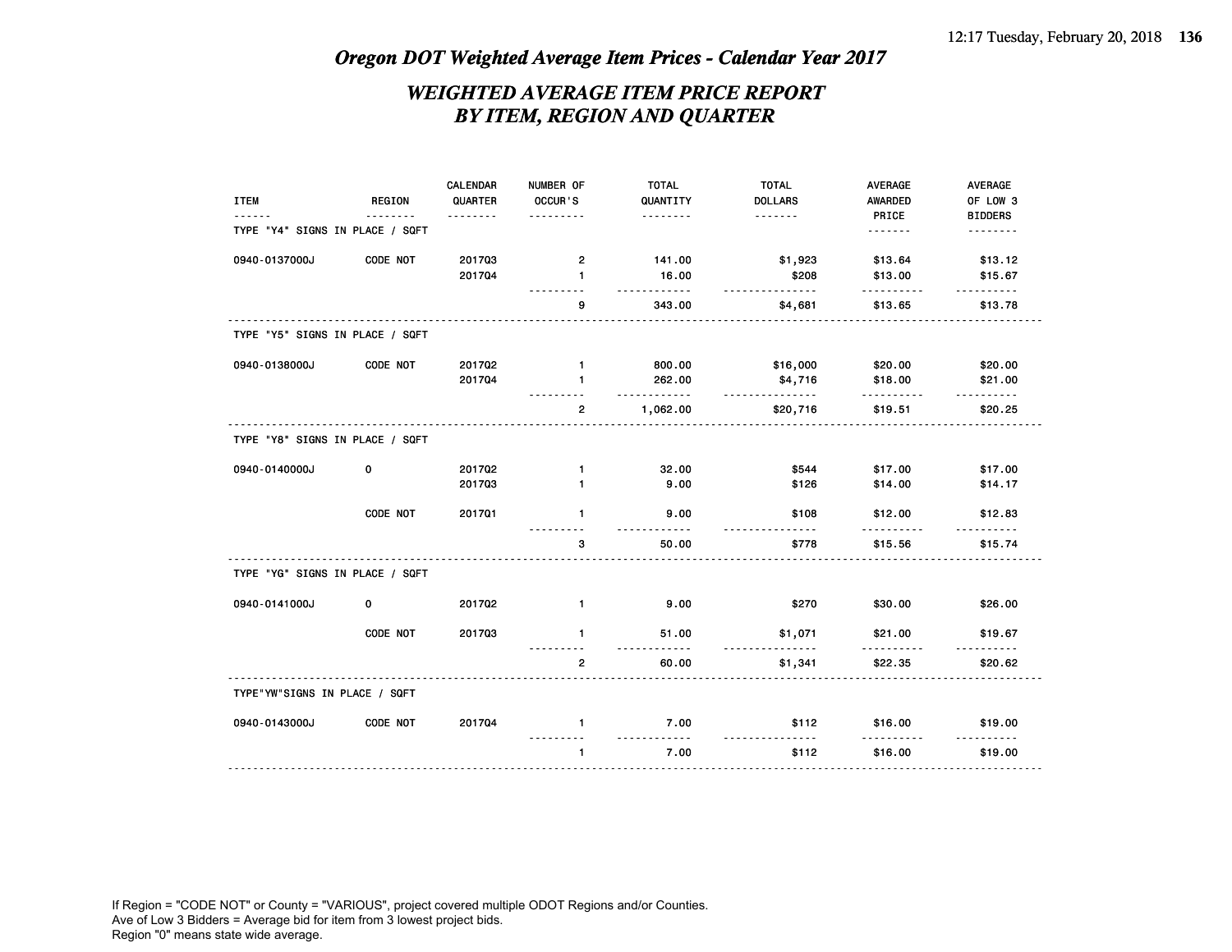## *WEIGHTED AVERAGE ITEM PRICE REPORT BY ITEM, REGION AND QUARTER*

| <b>ITEM</b>                     | <b>REGION</b> | CALENDAR<br>QUARTER | NUMBER OF<br>OCCUR'S | <b>TOTAL</b><br>QUANTITY | <b>TOTAL</b><br><b>DOLLARS</b> | <b>AVERAGE</b><br><b>AWARDED</b> | <b>AVERAGE</b><br>OF LOW 3 |
|---------------------------------|---------------|---------------------|----------------------|--------------------------|--------------------------------|----------------------------------|----------------------------|
| TYPE "Y4" SIGNS IN PLACE / SQFT |               | <u>.</u>            | .                    | .                        | .                              | PRICE<br>.                       | <b>BIDDERS</b><br>.        |
| 0940-0137000J                   | CODE NOT      | 201703              | $\mathbf{2}$         | 141.00                   | \$1,923                        | \$13.64                          | \$13.12                    |
|                                 |               | 201704              | $\mathbf{1}$         | 16.00                    | \$208                          | \$13.00                          | \$15.67                    |
|                                 |               |                     | 9                    | .<br>343.00              | <u>.</u><br>\$4,681            | .<br>\$13.65                     | .<br>\$13.78               |
| TYPE "Y5" SIGNS IN PLACE / SQFT |               |                     |                      |                          |                                |                                  |                            |
| 0940-0138000J                   | CODE NOT      | 201702              | $\mathbf{1}$         | 800.00                   | \$16,000                       | \$20.00                          | \$20.00                    |
|                                 |               | 201704              | 1                    | 262.00                   | \$4,716                        | \$18.00                          | \$21.00                    |
|                                 |               |                     | $\overline{2}$       | <u>.</u><br>1,062.00     | .<br>\$20,716                  | .<br>\$19.51                     | \$20.25                    |
| TYPE "Y8" SIGNS IN PLACE / SQFT |               |                     |                      |                          |                                |                                  |                            |
| 0940-0140000J                   | 0             | 201702              | $\mathbf{1}$         | 32.00                    | \$544                          | \$17.00                          | \$17.00                    |
|                                 |               | 201703              | $\mathbf{1}$         | 9.00                     | \$126                          | \$14.00                          | \$14.17                    |
|                                 | CODE NOT      | 201701              | $\mathbf{1}$         | 9.00                     | \$108                          | \$12.00                          | \$12.83                    |
|                                 |               |                     | 3                    | 50.00                    | \$778                          | \$15.56                          | \$15.74                    |
| TYPE "YG" SIGNS IN PLACE / SQFT |               |                     |                      |                          |                                |                                  |                            |
| 0940-0141000J                   | 0             | 201702              | $\mathbf{1}$         | 9.00                     | \$270                          | \$30.00                          | \$26.00                    |
|                                 | CODE NOT      | 201703              | $\mathbf{1}$         | 51.00                    | \$1,071                        | \$21.00                          | \$19.67                    |
|                                 |               |                     | $\overline{2}$       | 60.00                    | \$1,341                        | \$22.35                          | \$20.62                    |
| TYPE"YW"SIGNS IN PLACE / SQFT   |               |                     |                      |                          |                                |                                  |                            |
| 0940-0143000J                   | CODE NOT      | 201704              | $\mathbf{1}$         | 7.00                     | \$112                          | \$16.00                          | \$19.00                    |
|                                 |               |                     | $\mathbf{1}$         | 7.00                     | \$112                          | \$16.00                          | \$19.00                    |
|                                 |               | .                   |                      |                          |                                |                                  |                            |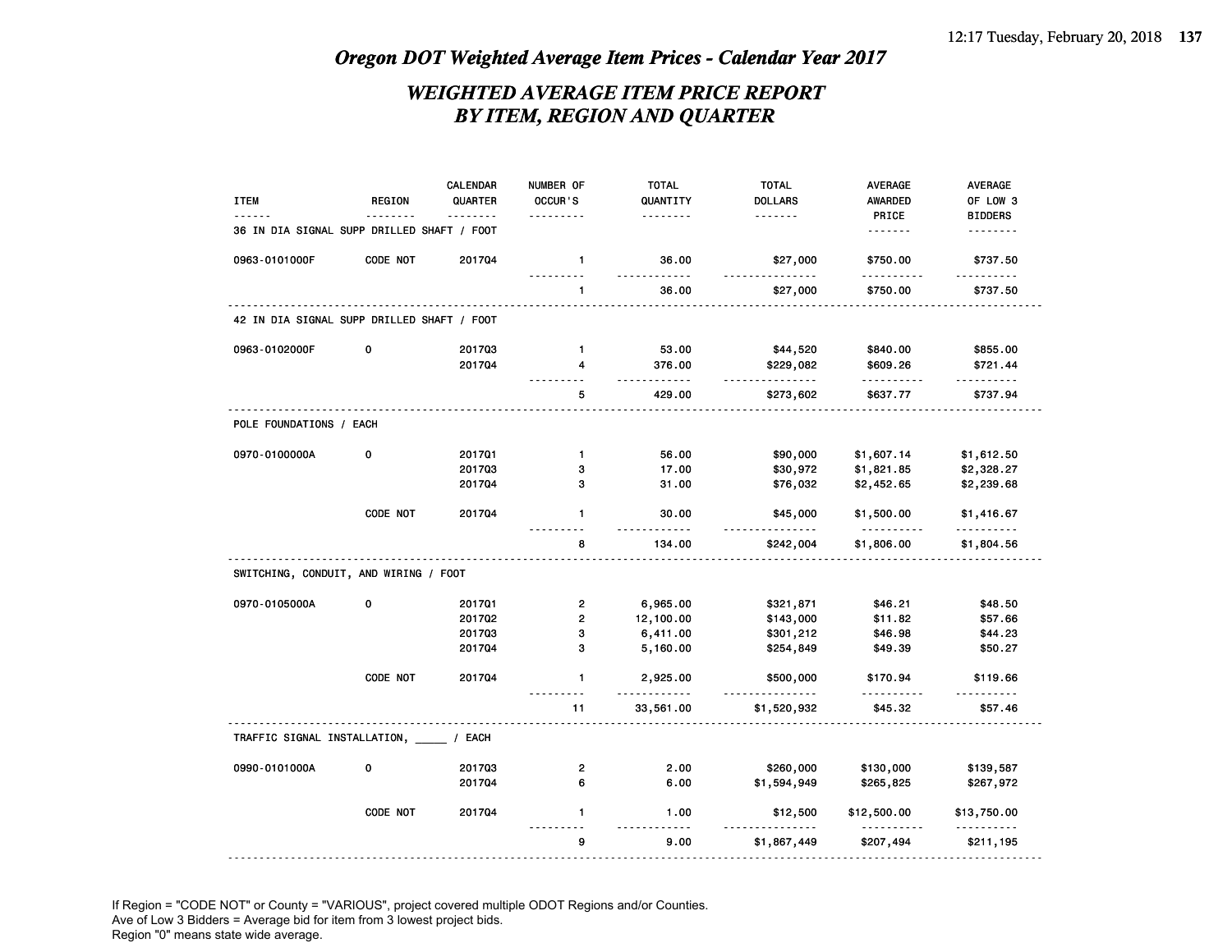## *WEIGHTED AVERAGE ITEM PRICE REPORT BY ITEM, REGION AND QUARTER*

| <b>ITEM</b>                                | <b>REGION</b> | CALENDAR<br>QUARTER | NUMBER OF<br>OCCUR'S    | <b>TOTAL</b><br>QUANTITY<br>. | <b>TOTAL</b><br><b>DOLLARS</b><br>. | AVERAGE<br>AWARDED<br>PRICE | AVERAGE<br>OF LOW 3<br><b>BIDDERS</b> |
|--------------------------------------------|---------------|---------------------|-------------------------|-------------------------------|-------------------------------------|-----------------------------|---------------------------------------|
| 36 IN DIA SIGNAL SUPP DRILLED SHAFT / FOOT |               |                     |                         |                               |                                     | .                           | .                                     |
| 0963-0101000F                              | CODE NOT      | 201704              | $\mathbf{1}$            | 36.00                         | \$27,000                            | \$750.00                    | \$737.50                              |
|                                            |               |                     | $\mathbf{1}$            | 36.00                         | \$27,000                            | \$750.00                    | \$737.50                              |
| 42 IN DIA SIGNAL SUPP DRILLED SHAFT / FOOT |               |                     |                         |                               |                                     |                             |                                       |
| 0963-0102000F                              | 0             | 201703              | $\mathbf{1}$            | 53.00                         | \$44,520                            | \$840.00                    | \$855.00                              |
|                                            |               | 201704              | 4                       | 376.00                        | \$229,082                           | \$609.26                    | \$721.44                              |
|                                            |               |                     | 5                       | .<br>429.00                   | $- - - - - - - -$<br>\$273,602      | .<br>\$637.77               | .<br>\$737.94                         |
| POLE FOUNDATIONS / EACH                    |               |                     |                         |                               |                                     |                             |                                       |
| 0970-0100000A                              | $\mathbf 0$   | 201701              | $\mathbf{1}$            | 56.00                         | \$90,000                            | \$1,607.14                  | \$1,612.50                            |
|                                            |               | 201703              | 3                       | 17.00                         | \$30,972                            | \$1,821.85                  | \$2,328.27                            |
|                                            |               | 201704              | 3                       | 31.00                         | \$76,032                            | \$2,452.65                  | \$2,239.68                            |
|                                            | CODE NOT      | 201704              | $\mathbf{1}$            | 30.00                         | \$45,000                            | \$1,500.00                  | \$1,416.67                            |
|                                            |               |                     | 8                       | 134.00                        | \$242,004                           | \$1,806.00                  | \$1,804.56                            |
| SWITCHING, CONDUIT, AND WIRING / FOOT      |               |                     |                         |                               |                                     |                             |                                       |
| 0970-0105000A                              | $\Omega$      | 201701              | $\mathbf{2}$            | 6,965.00                      | \$321,871                           | \$46.21                     | \$48.50                               |
|                                            |               | 201702              | $\overline{\mathbf{c}}$ | 12,100.00                     | \$143,000                           | \$11.82                     | \$57.66                               |
|                                            |               | 201703              | 3                       | 6,411.00                      | \$301,212                           | \$46.98                     | \$44.23                               |
|                                            |               | 201704              | 3                       | 5,160.00                      | \$254,849                           | \$49.39                     | \$50.27                               |
|                                            | CODE NOT      | 201704              | $\mathbf{1}$            | 2,925.00<br>.                 | \$500,000                           | \$170.94                    | \$119.66                              |
|                                            |               |                     | 11                      | 33,561.00                     | \$1,520,932                         | \$45.32                     | \$57.46                               |
| TRAFFIC SIGNAL INSTALLATION, _____ / EACH  |               |                     |                         |                               |                                     |                             |                                       |
| 0990-0101000A                              | 0             | 201703              | $\overline{\mathbf{c}}$ | 2.00                          | \$260,000                           | \$130,000                   | \$139,587                             |
|                                            |               | 201704              | 6                       | 6.00                          | \$1,594,949                         | \$265,825                   | \$267,972                             |
|                                            | CODE NOT      | 201704              | $\mathbf{1}$            | 1.00<br>22222                 | \$12,500                            | \$12,500.00<br><u>.</u>     | \$13,750.00<br>.                      |
|                                            |               |                     |                         |                               |                                     |                             |                                       |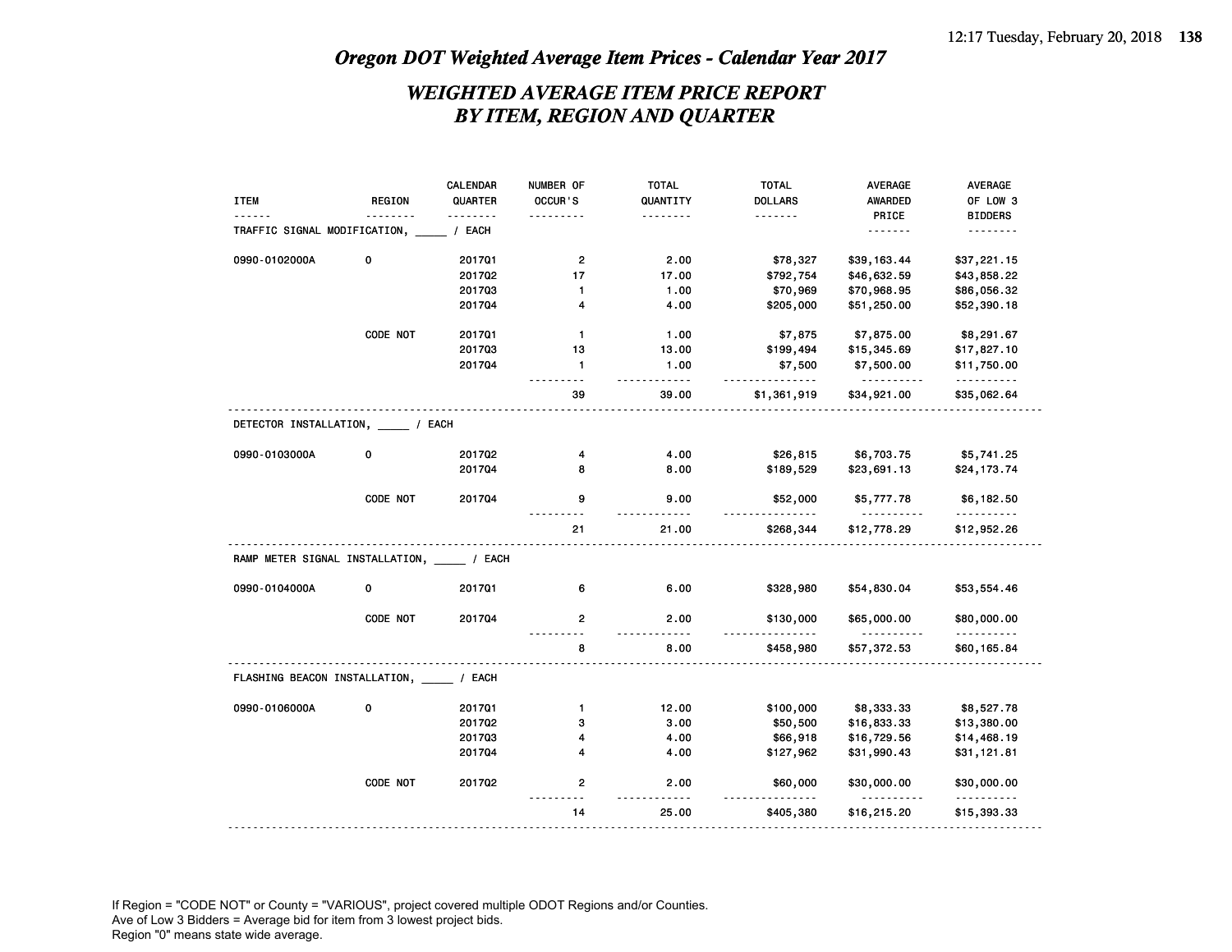## *WEIGHTED AVERAGE ITEM PRICE REPORT BY ITEM, REGION AND QUARTER*

|                                        |               | CALENDAR | NUMBER OF             | <b>TOTAL</b> | <b>TOTAL</b>       | <b>AVERAGE</b>          | AVERAGE          |
|----------------------------------------|---------------|----------|-----------------------|--------------|--------------------|-------------------------|------------------|
| <b>ITEM</b>                            | <b>REGION</b> | QUARTER  | OCCUR'S               | QUANTITY     | <b>DOLLARS</b>     | <b>AWARDED</b>          | OF LOW 3         |
|                                        | .             | .        | .                     | .            | <u>.</u>           | PRICE                   | <b>BIDDERS</b>   |
| TRAFFIC SIGNAL MODIFICATION,           |               | / EACH   |                       |              |                    | .                       | .                |
| 0990-0102000A                          | 0             | 201701   | $\mathbf{2}$          | 2.00         | \$78,327           | \$39,163.44             | \$37,221.15      |
|                                        |               | 201702   | 17                    | 17.00        | \$792,754          | \$46,632.59             | \$43,858.22      |
|                                        |               | 201703   | 1                     | 1.00         | \$70,969           | \$70,968.95             | \$86,056.32      |
|                                        |               | 201704   | 4                     | 4.00         | \$205,000          | \$51,250.00             | \$52,390.18      |
|                                        | CODE NOT      | 201701   | $\mathbf{1}$          | 1.00         | \$7,875            | \$7,875.00              | \$8,291.67       |
|                                        |               | 201703   | 13                    | 13.00        | \$199,494          | \$15,345.69             | \$17,827.10      |
|                                        |               | 201704   | $\mathbf{1}$<br>- - - | 1.00<br>.    | \$7,500<br><u></u> | \$7,500.00<br>.         | \$11,750.00<br>. |
|                                        |               |          | 39                    | 39.00        | \$1,361,919        | \$34,921.00             | \$35,062.64      |
| DETECTOR INSTALLATION, / EACH          |               |          |                       |              |                    |                         |                  |
| 0990-0103000A                          | 0             | 201702   | 4                     | 4.00         | \$26,815           | \$6,703.75              | \$5,741.25       |
|                                        |               | 201704   | 8                     | 8.00         | \$189,529          | \$23,691.13             | \$24,173.74      |
|                                        | CODE NOT      | 201704   | 9                     | 9.00         | \$52,000           | \$5,777.78<br><u>.</u>  | \$6,182.50<br>.  |
|                                        |               |          | 21                    | 21.00        | \$268,344          | \$12,778.29             | \$12,952.26      |
| RAMP METER SIGNAL INSTALLATION, / EACH |               |          |                       |              |                    |                         |                  |
| 0990-0104000A                          | 0             | 201701   | 6                     | 6.00         | \$328,980          | \$54,830.04             | \$53,554.46      |
|                                        | CODE NOT      | 201704   | 2                     | 2.00         | \$130,000          | \$65,000.00<br><u>.</u> | \$80,000.00<br>. |
|                                        |               |          | 8                     | 8.00         | \$458,980          | \$57,372.53             | \$60,165.84      |
| FLASHING BEACON INSTALLATION, / EACH   |               |          |                       |              |                    |                         |                  |
| 0990-0106000A                          | 0             | 201701   | $\mathbf{1}$          | 12.00        | \$100,000          | \$8,333.33              | \$8,527.78       |
|                                        |               | 201702   | з                     | 3.00         | \$50,500           | \$16,833.33             | \$13,380.00      |
|                                        |               | 201703   | 4                     | 4.00         | \$66,918           | \$16,729.56             | \$14,468.19      |
|                                        |               | 201704   | 4                     | 4.00         | \$127,962          | \$31,990.43             | \$31,121.81      |
|                                        | CODE NOT      | 201702   | 2                     | 2.00         | \$60,000           | \$30,000.00             | \$30,000.00      |
|                                        |               |          | 14                    | 25.00        | \$405,380          | \$16,215.20             | \$15,393.33      |
|                                        |               |          |                       |              |                    |                         |                  |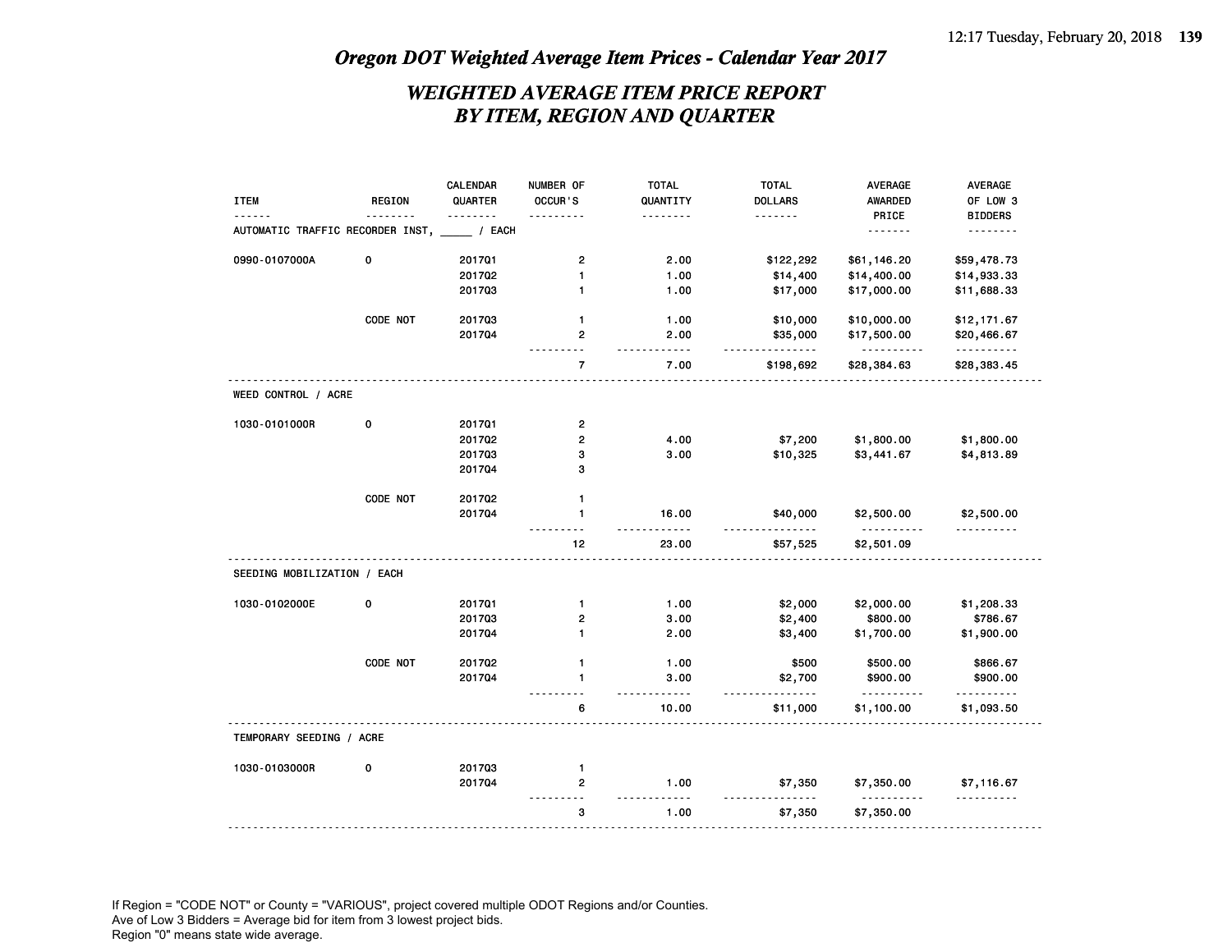## *WEIGHTED AVERAGE ITEM PRICE REPORT BY ITEM, REGION AND QUARTER*

|                                         |               | CALENDAR | NUMBER OF      | <b>TOTAL</b>          | <b>TOTAL</b>         | <b>AVERAGE</b>   | AVERAGE                |
|-----------------------------------------|---------------|----------|----------------|-----------------------|----------------------|------------------|------------------------|
| <b>ITEM</b>                             | <b>REGION</b> | QUARTER  | OCCUR'S        | QUANTITY              | <b>DOLLARS</b>       | <b>AWARDED</b>   | OF LOW 3               |
|                                         |               | .        | .              | .                     | <u>.</u>             | PRICE            | <b>BIDDERS</b>         |
| AUTOMATIC TRAFFIC RECORDER INST, / EACH |               |          |                |                       |                      |                  | .                      |
| 0990-0107000A                           | 0             | 201701   | $\overline{2}$ | 2.00                  | \$122,292            | \$61,146.20      | \$59,478.73            |
|                                         |               | 201702   | 1              | 1.00                  | \$14,400             | \$14,400.00      | \$14,933.33            |
|                                         |               | 201703   | 1              | 1.00                  | \$17,000             | \$17,000.00      | \$11,688.33            |
|                                         | CODE NOT      | 201703   | $\mathbf{1}$   | 1.00                  | \$10,000             | \$10,000.00      | \$12,171.67            |
|                                         |               | 201704   | 2<br>.         | 2.00<br>$\frac{1}{2}$ | \$35,000<br><u>.</u> | \$17,500.00<br>. | \$20,466.67<br>.       |
|                                         |               |          | $\overline{7}$ | 7.00                  | \$198,692            | \$28,384.63      | \$28,383.45            |
| WEED CONTROL / ACRE                     |               |          |                |                       |                      |                  |                        |
| 1030-0101000R                           | 0             | 201701   | 2              |                       |                      |                  |                        |
|                                         |               | 201702   | $\mathbf 2$    | 4.00                  | \$7,200              | \$1,800.00       | \$1,800.00             |
|                                         |               | 201703   | 3              | 3.00                  | \$10,325             | \$3,441.67       | \$4,813.89             |
|                                         |               | 201704   | з              |                       |                      |                  |                        |
|                                         | CODE NOT      | 201702   | 1              |                       |                      |                  |                        |
|                                         |               | 201704   | $\mathbf{1}$   | 16.00<br>$- - - - -$  | \$40,000<br>.        | \$2,500.00<br>.  | \$2,500.00<br><u>.</u> |
|                                         |               |          | 12             | 23.00                 | \$57,525             | \$2,501.09       |                        |
| SEEDING MOBILIZATION / EACH             |               |          |                |                       |                      |                  |                        |
| 1030-0102000E                           | $\mathbf 0$   | 201701   | $\mathbf{1}$   | 1.00                  | \$2,000              | \$2,000.00       | \$1,208.33             |
|                                         |               | 201703   | 2              | 3.00                  | \$2,400              | \$800.00         | \$786.67               |
|                                         |               | 201704   | $\mathbf{1}$   | 2.00                  | \$3,400              | \$1,700.00       | \$1,900.00             |
|                                         | CODE NOT      | 201702   | $\mathbf{1}$   | 1.00                  | \$500                | \$500.00         | \$866.67               |
|                                         |               | 201704   | 1              | 3.00<br>.             | \$2,700              | \$900.00<br>.    | \$900.00<br>.          |
|                                         |               |          | 6              | 10.00                 | \$11,000             | \$1,100.00       | \$1,093.50             |
| TEMPORARY SEEDING / ACRE                |               |          |                |                       |                      |                  |                        |
| 1030-0103000R                           | 0             | 201703   | 1              |                       |                      |                  |                        |
|                                         |               | 201704   | 2<br>- -       | 1.00                  | \$7,350              | \$7,350.00       | \$7,116.67<br><u>.</u> |
|                                         |               |          |                |                       |                      | \$7,350.00       |                        |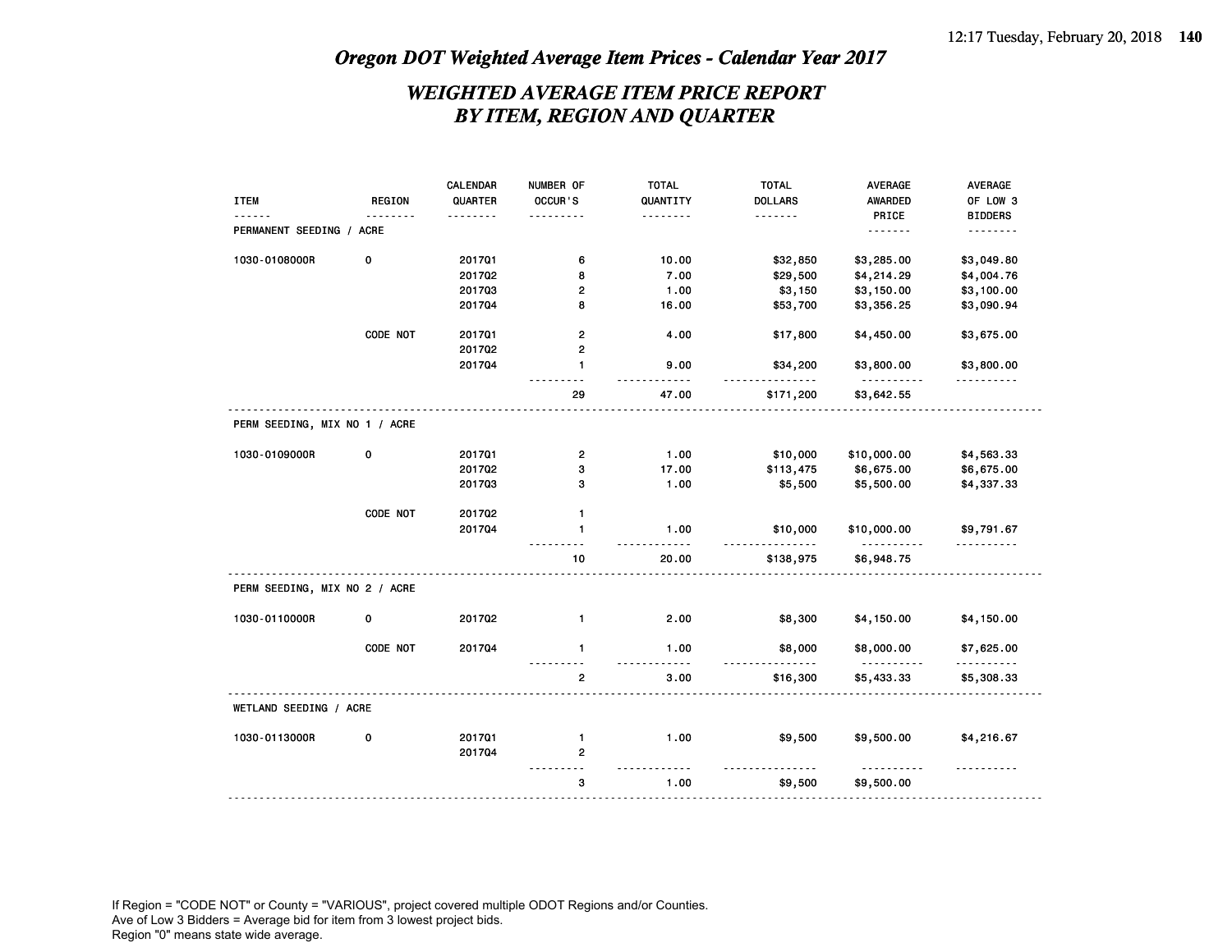## *WEIGHTED AVERAGE ITEM PRICE REPORT BY ITEM, REGION AND QUARTER*

|                               |               | CALENDAR | NUMBER OF               | <b>TOTAL</b> | <b>TOTAL</b>   | <b>AVERAGE</b>                            | AVERAGE                |
|-------------------------------|---------------|----------|-------------------------|--------------|----------------|-------------------------------------------|------------------------|
| <b>ITEM</b>                   | <b>REGION</b> | QUARTER  | OCCUR'S                 | QUANTITY     | <b>DOLLARS</b> | AWARDED                                   | OF LOW 3               |
|                               |               |          |                         | .            | .              | PRICE                                     | <b>BIDDERS</b>         |
| PERMANENT SEEDING / ACRE      |               |          |                         |              |                | .                                         | .                      |
| 1030-0108000R                 | 0             | 201701   | 6                       | 10.00        | \$32,850       | \$3,285.00                                | \$3,049.80             |
|                               |               | 201702   | 8                       | 7.00         | \$29,500       | \$4,214.29                                | \$4,004.76             |
|                               |               | 201703   | $\mathbf{2}$            | 1.00         | \$3,150        | \$3,150.00                                | \$3,100.00             |
|                               |               | 201704   | 8                       | 16.00        | \$53,700       | \$3,356.25                                | \$3,090.94             |
|                               | CODE NOT      | 201701   | $\mathbf{2}$            | 4.00         | \$17,800       | \$4,450.00                                | \$3,675.00             |
|                               |               | 201702   | $\mathbf{2}$            |              |                |                                           |                        |
|                               |               | 201704   | $\mathbf{1}$            | 9.00         | \$34,200       | \$3,800.00                                | \$3,800.00<br><u>.</u> |
|                               |               |          | 29                      | 47.00        | \$171,200      | <u> - - - - - - - - - -</u><br>\$3,642.55 |                        |
| PERM SEEDING, MIX NO 1 / ACRE |               |          |                         |              |                |                                           |                        |
| 1030-0109000R                 | $\mathbf 0$   | 201701   | $\mathbf{2}$            | 1.00         | \$10,000       | \$10,000.00                               | \$4,563.33             |
|                               |               | 201702   | 3                       | 17.00        | \$113,475      | \$6,675.00                                | \$6,675.00             |
|                               |               | 201703   | 3                       | 1.00         | \$5,500        | \$5,500.00                                | \$4,337.33             |
|                               | CODE NOT      | 201702   | $\mathbf{1}$            |              |                |                                           |                        |
|                               |               | 201704   | $\mathbf{1}$            | 1.00         | \$10,000       | \$10,000.00                               | \$9,791.67<br><u>.</u> |
|                               |               |          | 10                      | 20.00        | \$138,975      | .<br>\$6,948.75                           |                        |
| PERM SEEDING, MIX NO 2 / ACRE |               |          |                         |              |                |                                           |                        |
| 1030-0110000R                 | 0             | 201702   | $\mathbf{1}$            | 2.00         | \$8,300        | \$4,150.00                                | \$4,150.00             |
|                               | CODE NOT      | 201704   | $\mathbf{1}$            | 1.00         | \$8,000        | \$8,000.00<br>.                           | \$7,625.00<br>.        |
|                               |               |          | $\overline{\mathbf{c}}$ | 3.00         | \$16,300       | \$5,433.33                                | \$5,308.33             |
| WETLAND SEEDING / ACRE        |               |          |                         |              |                |                                           |                        |
| 1030-0113000R                 | 0             | 201701   | $\mathbf{1}$            | 1.00         | \$9,500        | \$9,500.00                                | \$4,216.67             |
|                               |               | 201704   | $\mathbf{2}$            |              |                |                                           |                        |
|                               |               |          | з                       | 1.00         | \$9,500        | \$9,500.00                                |                        |
|                               |               |          |                         |              |                |                                           |                        |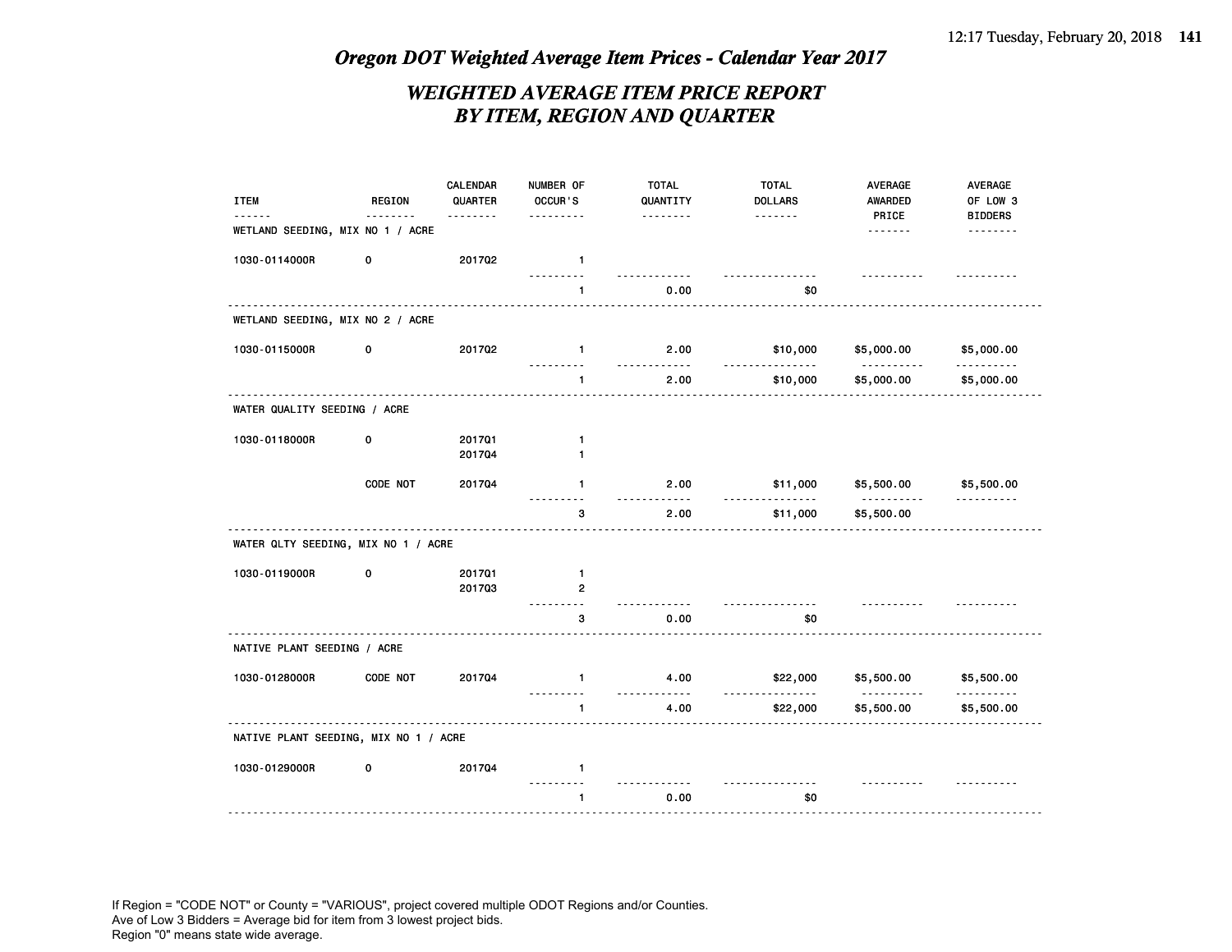## *WEIGHTED AVERAGE ITEM PRICE REPORT BY ITEM, REGION AND QUARTER*

| <b>ITEM</b>                                  | <b>REGION</b> | CALENDAR<br>QUARTER | NUMBER OF<br>OCCUR'S         | <b>TOTAL</b><br>QUANTITY | <b>TOTAL</b><br><b>DOLLARS</b> | AVERAGE<br><b>AWARDED</b> | <b>AVERAGE</b><br>OF LOW 3 |
|----------------------------------------------|---------------|---------------------|------------------------------|--------------------------|--------------------------------|---------------------------|----------------------------|
| <u>.</u><br>WETLAND SEEDING, MIX NO 1 / ACRE |               | <u>.</u>            | .                            |                          | .                              | PRICE<br>                 | <b>BIDDERS</b><br>.        |
| 1030-0114000R                                | 0             | 201702              | $\mathbf{1}$                 |                          |                                |                           |                            |
|                                              |               |                     | 1                            | 0.00                     | \$0                            |                           |                            |
| WETLAND SEEDING, MIX NO 2 / ACRE             |               |                     |                              |                          |                                |                           |                            |
| 1030-0115000R                                | 0             | 201702              | $\mathbf{1}$<br>.            | 2.00<br><u></u>          | \$10,000<br>$- - -$            | \$5,000.00<br>.           | \$5,000.00<br>.            |
|                                              |               |                     | $\mathbf{1}$                 | 2.00                     | \$10,000                       | \$5,000.00                | \$5,000.00                 |
| WATER QUALITY SEEDING / ACRE                 |               |                     |                              |                          |                                |                           |                            |
| 1030-0118000R                                | 0             | 201701<br>201704    | $\mathbf{1}$<br>$\mathbf{1}$ |                          |                                |                           |                            |
|                                              |               |                     |                              |                          |                                |                           |                            |
|                                              | CODE NOT      | 201704              | $\mathbf{1}$<br>.            | 2.00<br>.                | \$11,000<br><u>.</u>           | \$5,500.00<br>.           | \$5,500.00<br>.            |
|                                              |               |                     | 3                            | 2.00                     | \$11,000                       | \$5,500.00                |                            |
| WATER QLTY SEEDING, MIX NO 1 / ACRE          |               |                     |                              |                          |                                |                           |                            |
| 1030-0119000R                                | 0             | 201701              | $\mathbf{1}$                 |                          |                                |                           |                            |
|                                              |               | 201703              | $\overline{2}$               | .                        | <u> - - - - - - - - - -</u>    |                           |                            |
|                                              |               |                     | 3                            | 0.00                     | \$0                            |                           |                            |
| NATIVE PLANT SEEDING / ACRE                  |               |                     |                              |                          |                                |                           |                            |
| 1030-0128000R                                | CODE NOT      | 201704              | $\mathbf{1}$                 | 4.00<br>.                | \$22,000<br>.                  | \$5,500.00<br>.           | \$5,500.00                 |
|                                              |               |                     | 1                            | 4.00                     | \$22,000                       | \$5,500.00                | \$5,500.00                 |
| NATIVE PLANT SEEDING, MIX NO 1 / ACRE        |               |                     |                              |                          |                                |                           |                            |
| 1030-0129000R                                | 0             | 201704              | $\mathbf{1}$                 |                          |                                |                           |                            |
|                                              |               |                     | $\mathbf{1}$                 | 0.00                     | \$0                            |                           |                            |
|                                              |               |                     |                              |                          |                                |                           |                            |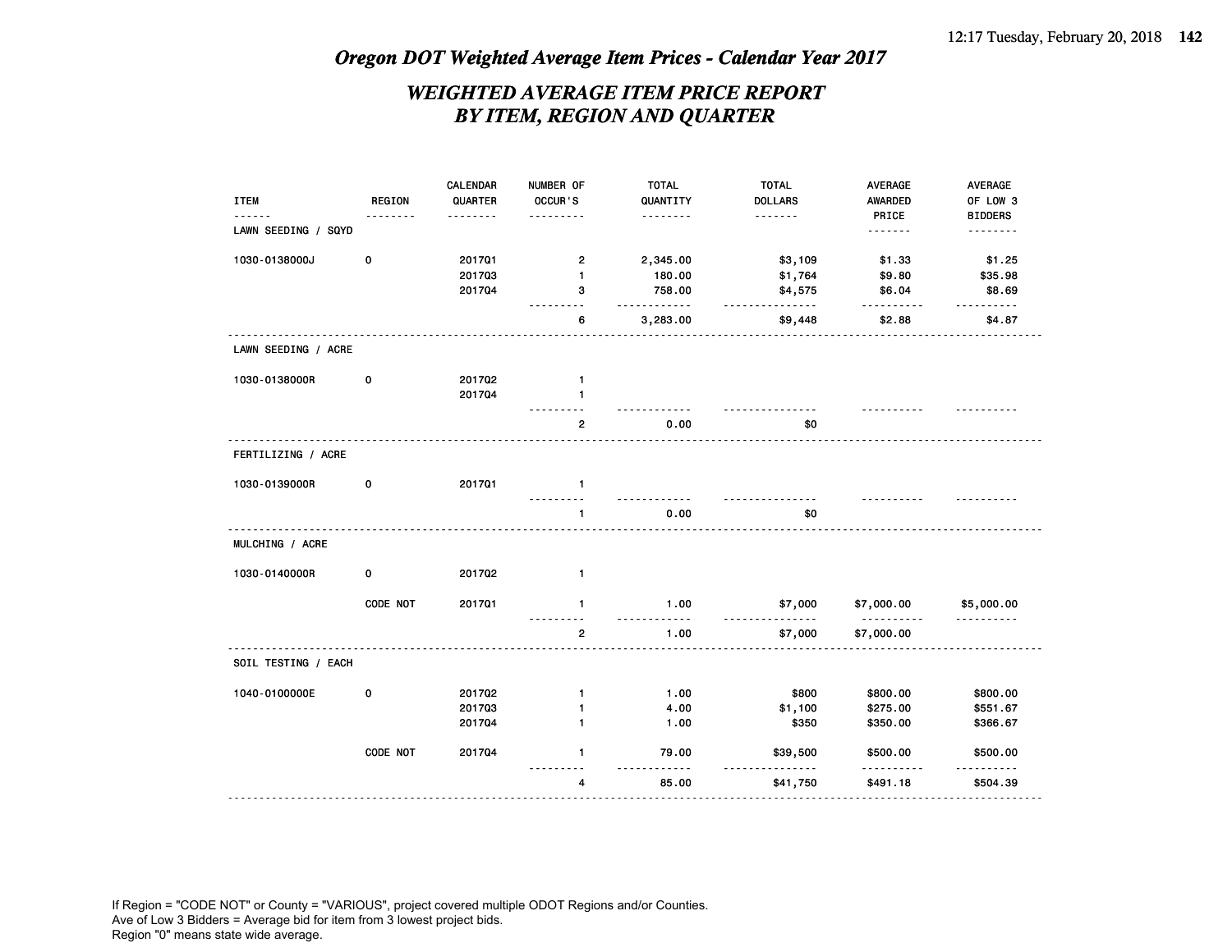## *WEIGHTED AVERAGE ITEM PRICE REPORT BY ITEM, REGION AND QUARTER*

|                     |               | CALENDAR | NUMBER OF      | <b>TOTAL</b> | <b>TOTAL</b>               | AVERAGE         | <b>AVERAGE</b> |
|---------------------|---------------|----------|----------------|--------------|----------------------------|-----------------|----------------|
| <b>ITEM</b>         | <b>REGION</b> | QUARTER  | OCCUR'S        | QUANTITY     | <b>DOLLARS</b>             | AWARDED         | OF LOW 3       |
|                     |               | .        | $- - - -$      | .            | <u>.</u>                   | PRICE           | <b>BIDDERS</b> |
| LAWN SEEDING / SQYD |               |          |                |              |                            |                 | .              |
| 1030-0138000J       | 0             | 201701   | $\overline{2}$ | 2,345.00     | \$3,109                    | \$1.33          | \$1.25         |
|                     |               | 201703   | 1              | 180.00       | \$1,764                    | \$9.80          | \$35.98        |
|                     |               | 201704   | з              | 758.00<br>.  | \$4,575<br>.               | \$6.04<br>.     | \$8.69<br>.    |
|                     |               |          | 6              | 3,283.00     | \$9,448                    | \$2.88          | \$4.87         |
| LAWN SEEDING / ACRE |               |          |                |              |                            |                 |                |
| 1030-0138000R       | 0             | 201702   | $\mathbf{1}$   |              |                            |                 |                |
|                     |               | 201704   | $\mathbf{1}$   |              |                            |                 |                |
|                     |               |          | 2              | 0.00         | \$0                        |                 |                |
| FERTILIZING / ACRE  |               |          |                |              |                            |                 |                |
| 1030-0139000R       | 0             | 201701   | $\mathbf{1}$   |              |                            |                 |                |
|                     |               |          | 1              | 0.00         | \$0                        |                 |                |
| MULCHING / ACRE     |               |          |                |              |                            |                 |                |
| 1030-0140000R       | 0             | 201702   | 1              |              |                            |                 |                |
|                     | CODE NOT      | 201701   | $\mathbf{1}$   | 1.00         | \$7,000                    | \$7,000.00<br>. | \$5,000.00     |
|                     |               |          | $\overline{2}$ | 1.00         | \$7,000                    | \$7,000.00      | ----------     |
| SOIL TESTING / EACH |               |          |                |              |                            |                 |                |
| 1040-0100000E       | 0             | 201702   | 1              | 1.00         | \$800                      | \$800.00        | \$800.00       |
|                     |               | 201703   | $\mathbf{1}$   | 4.00         | \$1,100                    | \$275.00        | \$551.67       |
|                     |               | 201704   | $\mathbf{1}$   | 1.00         | \$350                      | \$350.00        | \$366.67       |
|                     | CODE NOT      | 201704   | $\mathbf{1}$   | 79.00        | \$39,500<br>$\overline{a}$ | \$500.00        | \$500.00       |
|                     |               |          | 4              | 85.00        | \$41,750                   | \$491.18        | \$504.39       |
|                     |               |          |                |              |                            |                 |                |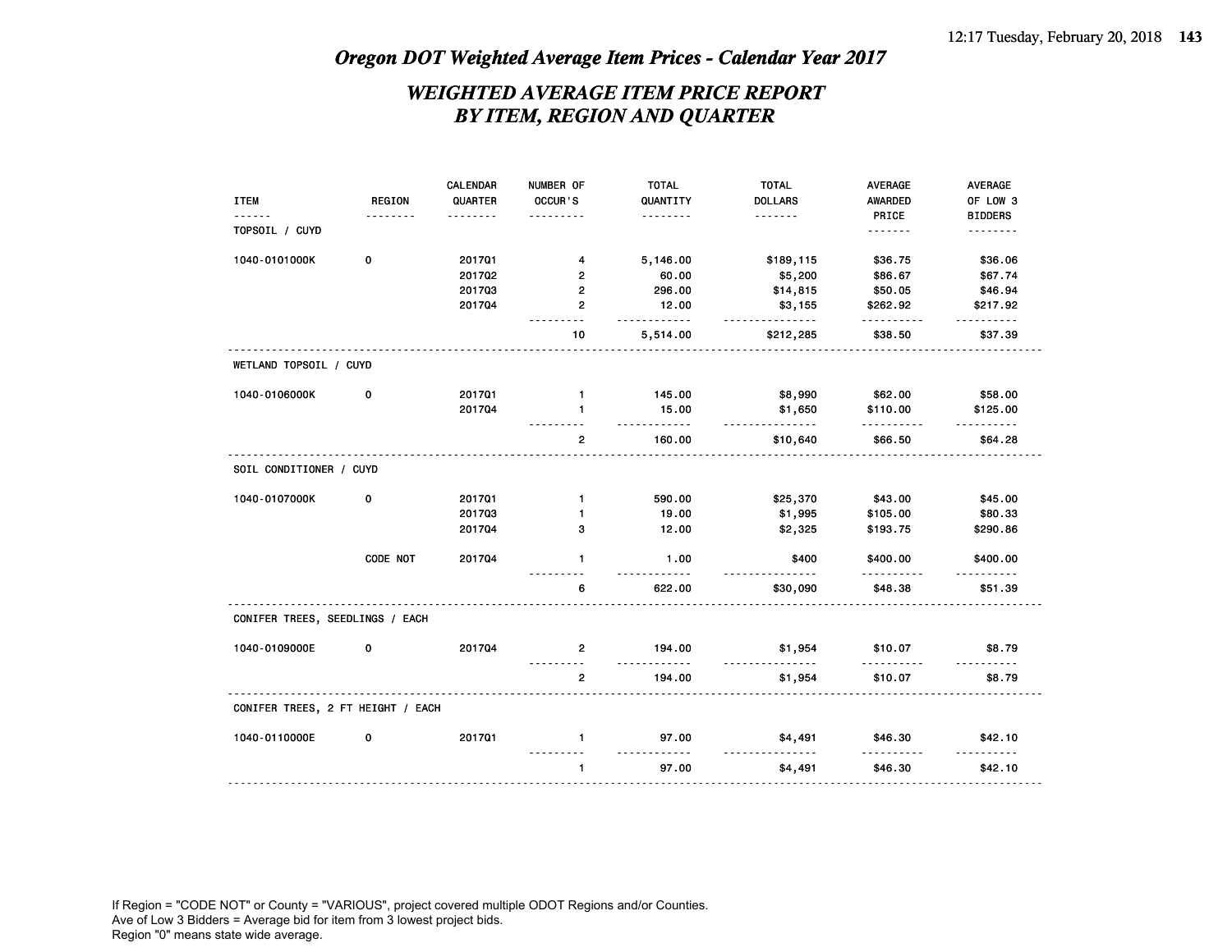## *WEIGHTED AVERAGE ITEM PRICE REPORT BY ITEM, REGION AND QUARTER*

|                                   |               | CALENDAR | NUMBER OF      | <b>TOTAL</b>      | <b>TOTAL</b>                  | AVERAGE      | <b>AVERAGE</b> |
|-----------------------------------|---------------|----------|----------------|-------------------|-------------------------------|--------------|----------------|
| <b>ITEM</b>                       | <b>REGION</b> | QUARTER  | OCCUR'S        | QUANTITY          | <b>DOLLARS</b>                | AWARDED      | OF LOW 3       |
|                                   |               | .        |                | .                 | .                             | PRICE        | <b>BIDDERS</b> |
| TOPSOIL / CUYD                    |               |          |                |                   |                               | .            | <u>.</u>       |
| 1040-0101000K                     | 0             | 201701   | 4              | 5,146.00          | \$189,115                     | \$36.75      | \$36.06        |
|                                   |               | 201702   | $\mathbf{2}$   | 60.00             | \$5,200                       | \$86.67      | \$67.74        |
|                                   |               | 201703   | $\mathbf{2}$   | 296.00            | \$14,815                      | \$50.05      | \$46.94        |
|                                   |               | 201704   | $\overline{2}$ | 12.00             | \$3,155                       | \$262.92     | \$217.92       |
|                                   |               |          | <u>.</u><br>10 | .<br>5,514.00     | .<br>\$212,285                | .<br>\$38.50 | .<br>\$37.39   |
| WETLAND TOPSOIL / CUYD            |               |          |                |                   |                               |              |                |
| 1040-0106000K                     | 0             | 201701   | $\mathbf{1}$   | 145.00            | \$8,990                       | \$62.00      | \$58.00        |
|                                   |               | 201704   | $\mathbf{1}$   | 15.00             | \$1,650                       | \$110.00     | \$125.00       |
|                                   |               |          | 2              | .<br>160.00       | .<br>\$10,640                 | .<br>\$66.50 | .<br>\$64.28   |
| SOIL CONDITIONER / CUYD           |               |          |                |                   |                               |              |                |
| 1040-0107000K                     | 0             | 201701   | $\mathbf{1}$   | 590.00            | \$25,370                      | \$43.00      | \$45.00        |
|                                   |               | 201703   | $\mathbf{1}$   | 19.00             | \$1,995                       | \$105.00     | \$80.33        |
|                                   |               | 201704   | 3              | 12.00             | \$2,325                       | \$193.75     | \$290.86       |
|                                   | CODE NOT      | 201704   | $\mathbf{1}$   | 1.00              | \$400<br>$\sim$ $\sim$ $\sim$ | \$400.00     | \$400.00       |
|                                   |               |          | 6              | 622.00            | \$30,090                      | \$48.38      | \$51.39        |
| CONIFER TREES, SEEDLINGS / EACH   |               |          |                |                   |                               |              |                |
| 1040-0109000E                     | 0             | 201704   | $\overline{2}$ | 194.00<br>.       | \$1,954<br>$- - - - - - - -$  | \$10.07<br>. | \$8.79         |
|                                   |               |          | 2              | 194.00            | \$1,954                       | \$10.07      | \$8.79         |
| CONIFER TREES, 2 FT HEIGHT / EACH |               |          |                |                   |                               |              |                |
| 1040-0110000E                     | 0             | 201701   | $\mathbf{1}$   | 97.00             | \$4,491                       | \$46.30      | \$42.10        |
|                                   |               |          | 1              | <u>.</u><br>97.00 | <u>.</u><br>\$4,491           | \$46.30      | \$42.10        |
|                                   |               |          |                |                   |                               |              |                |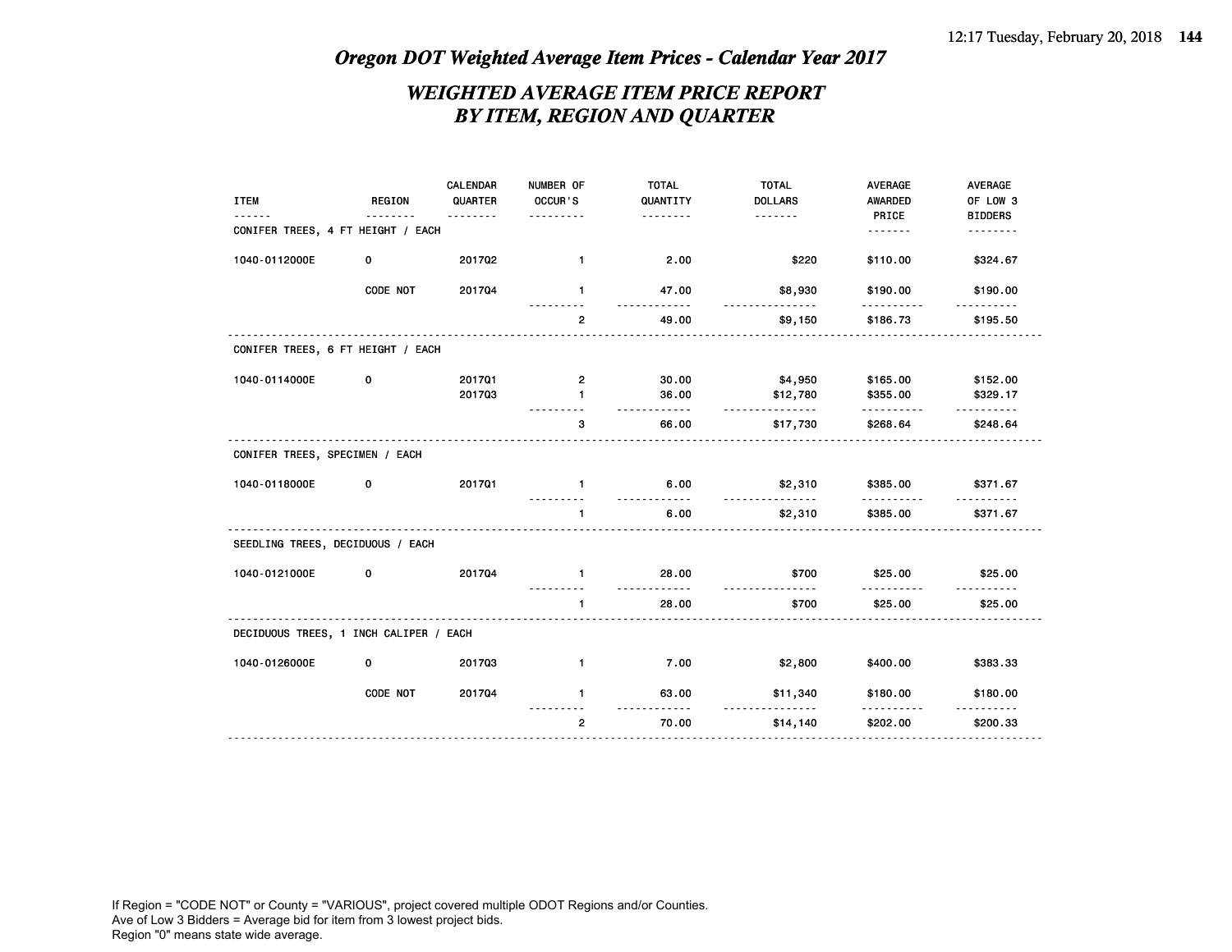## *WEIGHTED AVERAGE ITEM PRICE REPORT BY ITEM, REGION AND QUARTER*

| <b>ITEM</b>                            | <b>REGION</b><br><u>.</u> | <b>CALENDAR</b><br>QUARTER<br>. | NUMBER OF<br>OCCUR'S<br>. | <b>TOTAL</b><br>QUANTITY<br>. | <b>TOTAL</b><br><b>DOLLARS</b><br>. | <b>AVERAGE</b><br><b>AWARDED</b><br>PRICE | AVERAGE<br>OF LOW 3<br><b>BIDDERS</b> |
|----------------------------------------|---------------------------|---------------------------------|---------------------------|-------------------------------|-------------------------------------|-------------------------------------------|---------------------------------------|
| CONIFER TREES, 4 FT HEIGHT / EACH      |                           |                                 |                           |                               |                                     | .                                         | <u>.</u>                              |
| 1040-0112000E                          | 0                         | 201702                          | $\mathbf{1}$              | 2.00                          | \$220                               | \$110.00                                  | \$324.67                              |
|                                        | CODE NOT                  | 201704                          | $\mathbf{1}$              | 47.00<br><u>.</u>             | \$8,930<br>.                        | \$190.00                                  | \$190.00                              |
|                                        |                           |                                 | $\overline{2}$            | 49.00                         | \$9,150                             | \$186.73                                  | \$195.50                              |
| CONIFER TREES, 6 FT HEIGHT / EACH      |                           |                                 |                           |                               |                                     |                                           |                                       |
| 1040-0114000E                          | 0                         | 201701                          | 2                         | 30.00                         | \$4,950                             | \$165.00                                  | \$152.00                              |
|                                        |                           | 201703                          | 1                         | 36.00<br>$- - - - -$          | \$12,780<br>.                       | \$355.00                                  | \$329.17                              |
|                                        |                           | .                               | 3                         | 66.00                         | \$17,730                            | \$268.64                                  | \$248.64                              |
| CONIFER TREES, SPECIMEN / EACH         |                           |                                 |                           |                               |                                     |                                           |                                       |
| 1040-0118000E                          | 0                         | 201701                          | $\mathbf{1}$              | 6.00                          | \$2,310<br><u>.</u>                 | \$385.00                                  | \$371.67                              |
|                                        |                           |                                 | $\mathbf{1}$              | 6.00                          | \$2,310                             | \$385.00                                  | \$371.67                              |
| SEEDLING TREES, DECIDUOUS / EACH       |                           |                                 |                           |                               |                                     |                                           |                                       |
| 1040-0121000E                          | 0                         | 201704                          | $\mathbf{1}$              | 28.00                         | \$700                               | \$25.00                                   | \$25.00                               |
|                                        |                           |                                 | $\mathbf{1}$              | 28.00                         | \$700                               | \$25.00                                   | \$25.00                               |
| DECIDUOUS TREES, 1 INCH CALIPER / EACH |                           |                                 |                           |                               |                                     |                                           |                                       |
| 1040-0126000E                          | 0                         | 201703                          | $\mathbf{1}$              | 7.00                          | \$2,800                             | \$400.00                                  | \$383.33                              |
|                                        | CODE NOT                  | 201704                          | $\mathbf{1}$              | 63.00                         | \$11,340<br>.                       | \$180.00                                  | \$180.00                              |
|                                        |                           |                                 | $\overline{2}$            | 70.00                         | \$14,140                            | .<br>\$202.00                             | \$200.33                              |
|                                        |                           |                                 |                           |                               |                                     |                                           |                                       |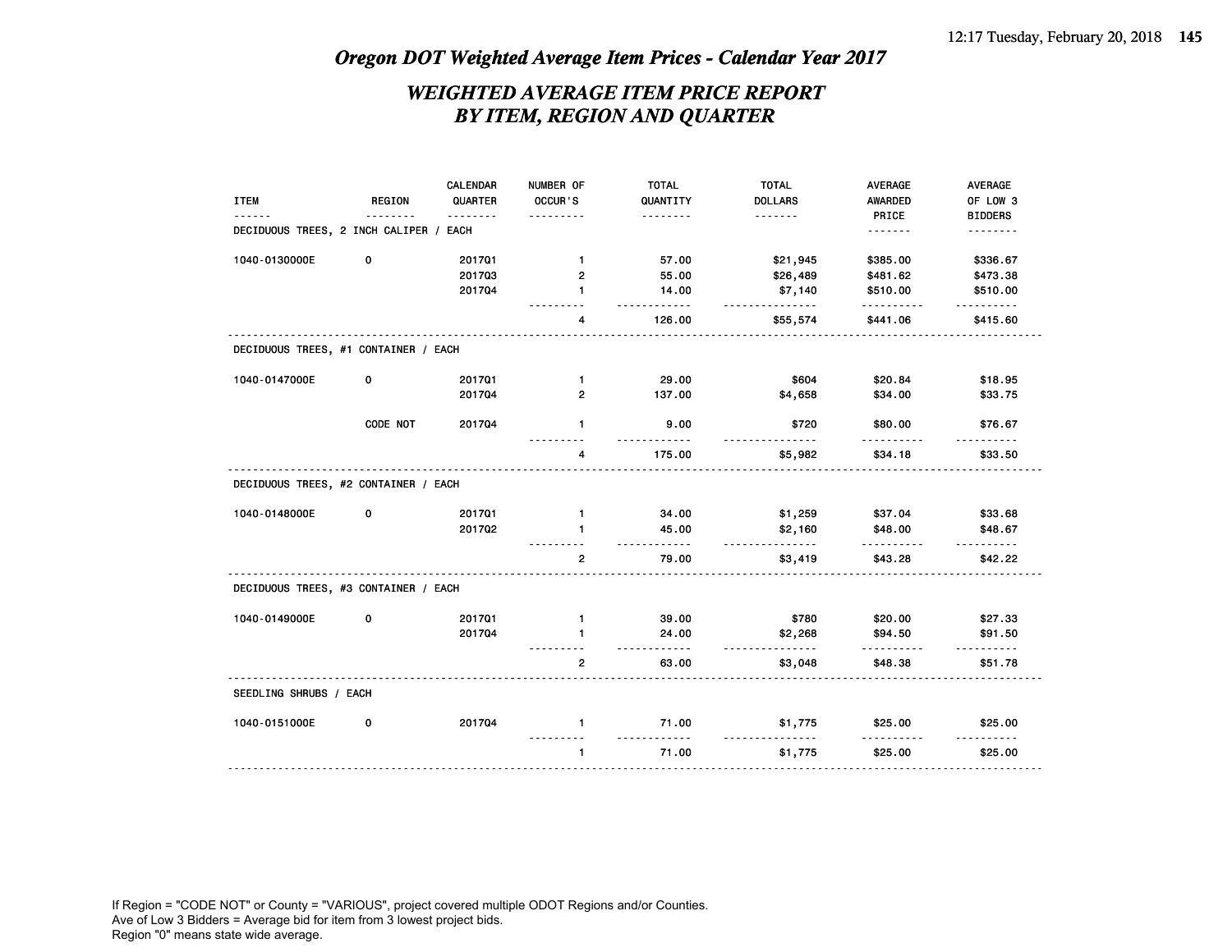### *WEIGHTED AVERAGE ITEM PRICE REPORT BY ITEM, REGION AND QUARTER*

|                                        |               | CALENDAR     | NUMBER OF               | <b>TOTAL</b>                  | <b>TOTAL</b>        | <b>AVERAGE</b>    | <b>AVERAGE</b>                                                                                                                                                                                                                                                                                                                                                                                                                                                                        |
|----------------------------------------|---------------|--------------|-------------------------|-------------------------------|---------------------|-------------------|---------------------------------------------------------------------------------------------------------------------------------------------------------------------------------------------------------------------------------------------------------------------------------------------------------------------------------------------------------------------------------------------------------------------------------------------------------------------------------------|
| <b>ITEM</b>                            | <b>REGION</b> | QUARTER<br>. | OCCUR'S                 | QUANTITY<br>.                 | <b>DOLLARS</b><br>. | AWARDED           | OF LOW 3                                                                                                                                                                                                                                                                                                                                                                                                                                                                              |
| DECIDUOUS TREES, 2 INCH CALIPER / EACH |               |              | ----                    |                               |                     | PRICE<br><u>.</u> | <b>BIDDERS</b><br>.                                                                                                                                                                                                                                                                                                                                                                                                                                                                   |
| 1040-0130000E                          | 0             | 201701       | $\mathbf{1}$            | 57.00                         | \$21,945            | \$385.00          | \$336.67                                                                                                                                                                                                                                                                                                                                                                                                                                                                              |
|                                        |               | 201703       | $\overline{2}$          | 55.00                         | \$26,489            | \$481.62          | \$473.38                                                                                                                                                                                                                                                                                                                                                                                                                                                                              |
|                                        |               | 201704       | $\mathbf{1}$            | 14.00<br>$\sim$ $\sim$ $\sim$ | \$7,140<br>.        | \$510.00          | \$510.00                                                                                                                                                                                                                                                                                                                                                                                                                                                                              |
|                                        |               |              | 4                       | 126.00                        | \$55,574            | .<br>\$441.06     | .<br>\$415.60                                                                                                                                                                                                                                                                                                                                                                                                                                                                         |
| DECIDUOUS TREES, #1 CONTAINER / EACH   |               |              |                         |                               |                     |                   |                                                                                                                                                                                                                                                                                                                                                                                                                                                                                       |
| 1040-0147000E                          | 0             | 201701       | $\mathbf{1}$            | 29.00                         | \$604               | \$20.84           | \$18.95                                                                                                                                                                                                                                                                                                                                                                                                                                                                               |
|                                        |               | 201704       | $\overline{\mathbf{c}}$ | 137.00                        | \$4,658             | \$34.00           | \$33.75                                                                                                                                                                                                                                                                                                                                                                                                                                                                               |
|                                        | CODE NOT      | 201704       | $\mathbf{1}$            | 9.00                          | \$720               | \$80.00           | \$76.67                                                                                                                                                                                                                                                                                                                                                                                                                                                                               |
|                                        |               |              | 4                       | 175.00                        | \$5,982             | \$34.18           | \$33.50                                                                                                                                                                                                                                                                                                                                                                                                                                                                               |
| DECIDUOUS TREES, #2 CONTAINER / EACH   |               |              |                         |                               |                     |                   |                                                                                                                                                                                                                                                                                                                                                                                                                                                                                       |
| 1040-0148000E                          | 0             | 201701       | $\mathbf{1}$            | 34.00                         | \$1,259             | \$37.04           | \$33.68                                                                                                                                                                                                                                                                                                                                                                                                                                                                               |
|                                        |               | 201702       | $\mathbf{1}$            | 45.00<br>$- - - - - - - -$    | \$2,160<br>.        | \$48.00<br>.      | \$48.67<br>$\frac{1}{2} \left( \frac{1}{2} \right) \left( \frac{1}{2} \right) \left( \frac{1}{2} \right) \left( \frac{1}{2} \right) \left( \frac{1}{2} \right) \left( \frac{1}{2} \right) \left( \frac{1}{2} \right) \left( \frac{1}{2} \right) \left( \frac{1}{2} \right) \left( \frac{1}{2} \right) \left( \frac{1}{2} \right) \left( \frac{1}{2} \right) \left( \frac{1}{2} \right) \left( \frac{1}{2} \right) \left( \frac{1}{2} \right) \left( \frac{1}{2} \right) \left( \frac$ |
|                                        |               |              | $\overline{2}$          | 79.00                         | \$3,419             | \$43.28           | \$42.22                                                                                                                                                                                                                                                                                                                                                                                                                                                                               |
| DECIDUOUS TREES, #3 CONTAINER / EACH   |               |              |                         |                               |                     |                   |                                                                                                                                                                                                                                                                                                                                                                                                                                                                                       |
| 1040-0149000E                          | 0             | 201701       | 1                       | 39.00                         | \$780               | \$20.00           | \$27.33                                                                                                                                                                                                                                                                                                                                                                                                                                                                               |
|                                        |               | 201704       | 1                       | 24.00<br>.                    | \$2,268<br><u>.</u> | \$94.50<br>.      | \$91.50<br>.                                                                                                                                                                                                                                                                                                                                                                                                                                                                          |
|                                        |               |              | $\overline{2}$          | 63.00                         | \$3,048             | \$48.38           | \$51.78                                                                                                                                                                                                                                                                                                                                                                                                                                                                               |
| SEEDLING SHRUBS / EACH                 |               |              |                         |                               |                     |                   |                                                                                                                                                                                                                                                                                                                                                                                                                                                                                       |
| 1040-0151000E                          | 0             | 201704       | $\mathbf{1}$            | 71.00                         | \$1,775             | \$25.00           | \$25.00                                                                                                                                                                                                                                                                                                                                                                                                                                                                               |
|                                        |               |              | $\mathbf{1}$            | 71.00                         | \$1,775             | \$25.00           | \$25.00                                                                                                                                                                                                                                                                                                                                                                                                                                                                               |
|                                        |               | .            |                         |                               |                     |                   |                                                                                                                                                                                                                                                                                                                                                                                                                                                                                       |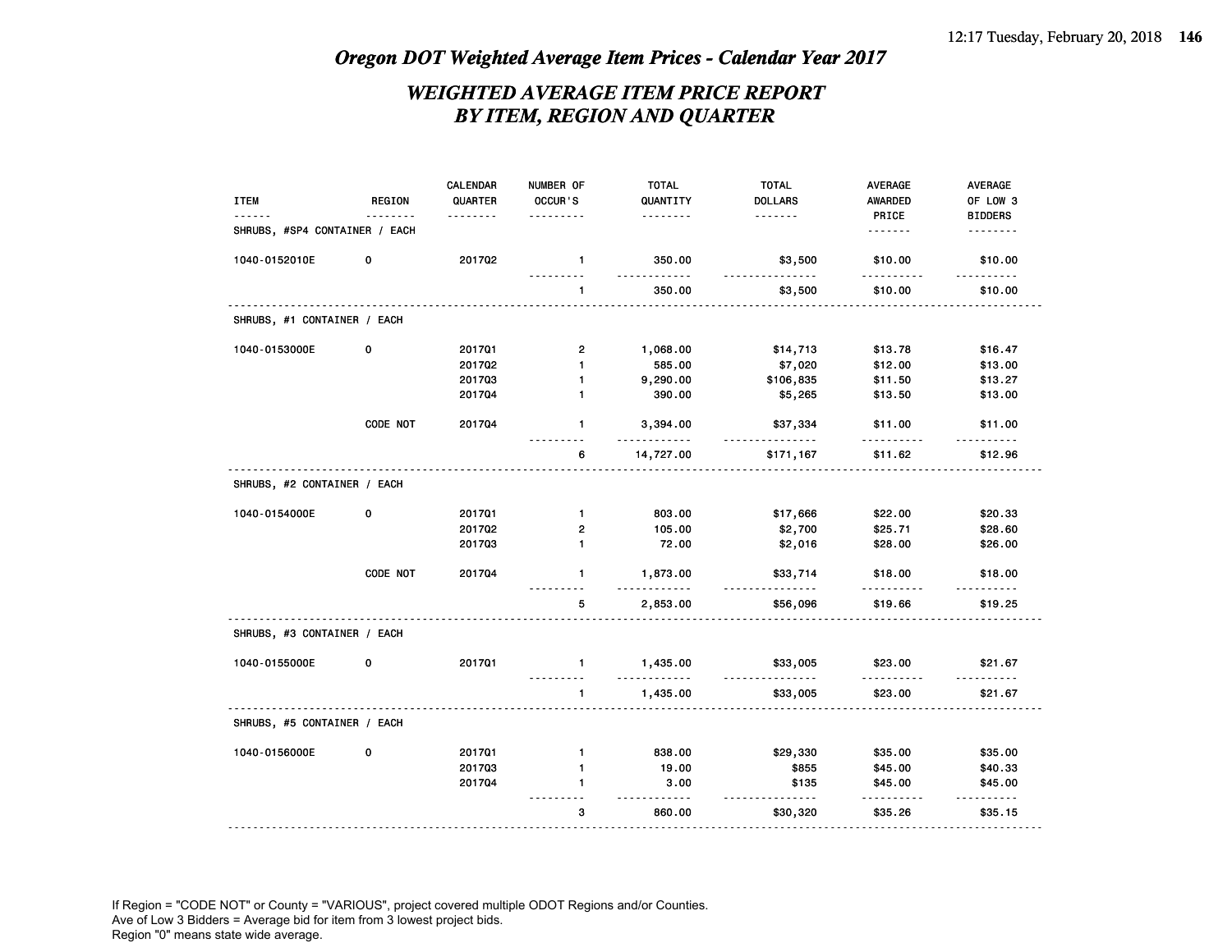### *WEIGHTED AVERAGE ITEM PRICE REPORT BY ITEM, REGION AND QUARTER*

| <b>ITEM</b>                   | REGION      | CALENDAR<br>QUARTER | NUMBER OF<br>OCCUR'S | <b>TOTAL</b><br>QUANTITY | <b>TOTAL</b><br><b>DOLLARS</b> | AVERAGE<br><b>AWARDED</b> | AVERAGE<br>OF LOW 3   |
|-------------------------------|-------------|---------------------|----------------------|--------------------------|--------------------------------|---------------------------|-----------------------|
|                               |             | .                   | .                    | .                        | .                              | PRICE                     | <b>BIDDERS</b>        |
| SHRUBS, #SP4 CONTAINER / EACH |             |                     |                      |                          |                                | .                         | .                     |
| 1040-0152010E                 | 0           | 201702              | 1                    | 350.00<br><u>.</u>       | \$3,500<br><u>.</u>            | \$10.00<br>.              | \$10.00<br>.          |
|                               |             |                     | $\mathbf{1}$         | 350.00                   | \$3,500                        | \$10.00                   | \$10.00               |
| SHRUBS, #1 CONTAINER / EACH   |             |                     |                      |                          |                                |                           |                       |
| 1040-0153000E                 | 0           | 201701              | $\mathbf{2}$         | 1,068.00                 | \$14,713                       | \$13.78                   | \$16.47               |
|                               |             | 201702              | $\mathbf{1}$         | 585.00                   | \$7,020                        | \$12.00                   | \$13.00               |
|                               |             | 201703              | 1                    | 9,290.00                 | \$106,835                      | \$11.50                   | \$13.27               |
|                               |             | 201704              | 1                    | 390.00                   | \$5,265                        | \$13.50                   | \$13.00               |
|                               | CODE NOT    | 201704              | $\mathbf{1}$         | 3,394.00<br>$- - - - -$  | \$37,334<br>.                  | \$11.00<br><u>.</u>       | \$11.00               |
|                               |             |                     | 6                    | 14,727.00                | \$171,167                      | \$11.62                   | \$12.96               |
| SHRUBS, #2 CONTAINER / EACH   |             |                     |                      |                          |                                |                           |                       |
| 1040-0154000E                 | $\mathbf 0$ | 201701              | $\mathbf{1}$         | 803.00                   | \$17,666                       | \$22.00                   | \$20.33               |
|                               |             | 201702              | $\mathbf{2}$         | 105.00                   | \$2,700                        | \$25.71                   | \$28.60               |
|                               |             | 201703              | $\mathbf{1}$         | 72.00                    | \$2,016                        | \$28.00                   | \$26.00               |
|                               | CODE NOT    | 201704              | $\mathbf{1}$         | 1,873.00                 | \$33,714<br>.                  | \$18.00                   | \$18.00               |
|                               |             |                     | 5                    | 2,853.00                 | \$56,096                       | \$19.66                   | \$19.25               |
| SHRUBS, #3 CONTAINER / EACH   |             |                     |                      |                          |                                |                           |                       |
| 1040-0155000E                 | 0           | 201701              | $\mathbf{1}$         | 1,435.00<br><u>.</u>     | \$33,005                       | \$23.00                   | \$21.67               |
|                               |             |                     | .<br>$\mathbf{1}$    | 1,435.00                 | <br>\$33,005                   | .<br>\$23.00              | . <b>.</b><br>\$21.67 |
| SHRUBS, #5 CONTAINER / EACH   |             |                     |                      |                          |                                |                           |                       |
| 1040-0156000E                 | 0           | 201701              | $\mathbf{1}$         | 838.00                   | \$29,330                       | \$35.00                   | \$35.00               |
|                               |             | 201703              | $\mathbf{1}$         | 19.00                    | \$855                          | \$45.00                   | \$40.33               |
|                               |             | 201704              | 1                    | 3.00                     | \$135                          | \$45.00                   | \$45.00               |
|                               |             |                     | 3                    | 860.00                   | \$30,320                       | \$35.26                   | \$35.15               |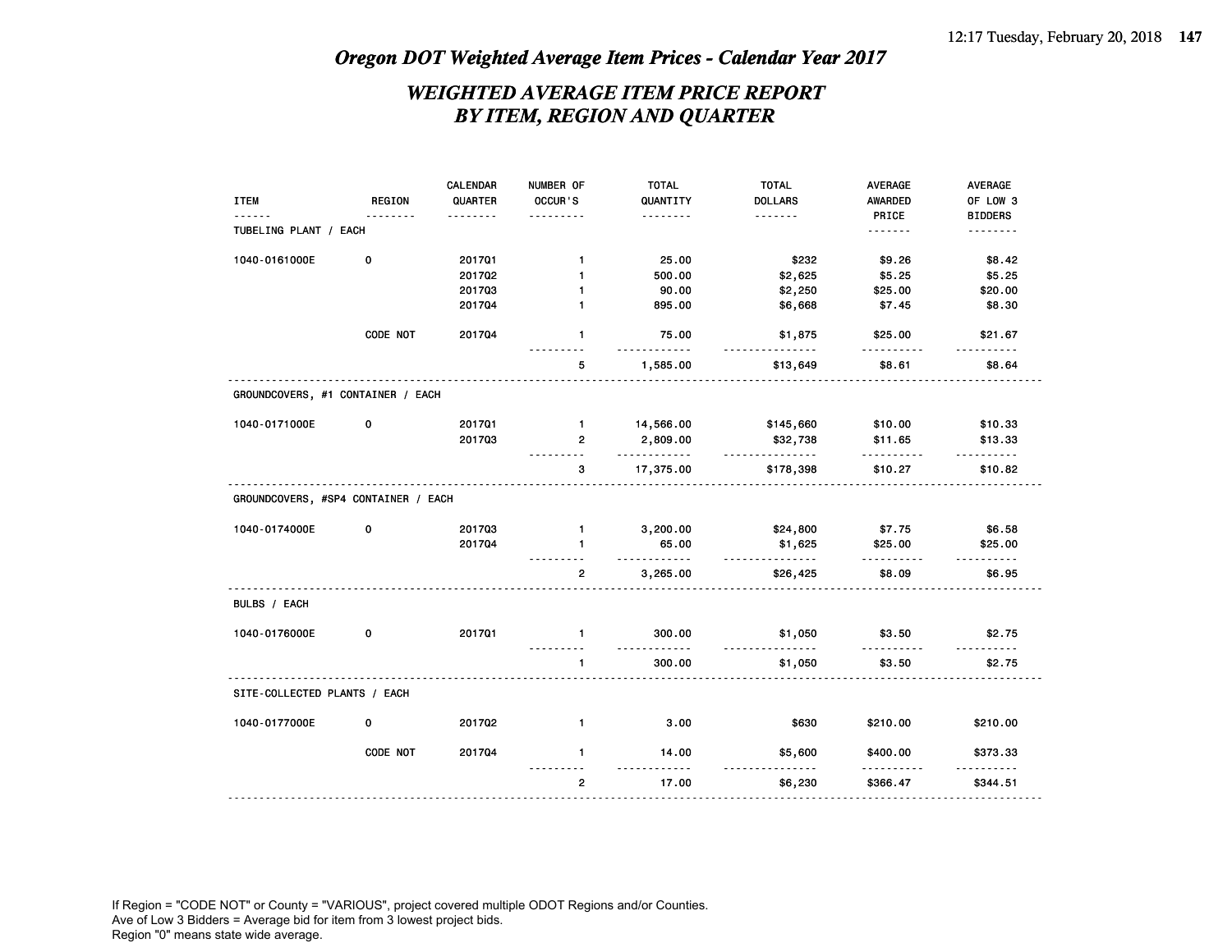### *WEIGHTED AVERAGE ITEM PRICE REPORT BY ITEM, REGION AND QUARTER*

|                                     |             | CALENDAR | NUMBER OF         | <b>TOTAL</b>         | <b>TOTAL</b>        | AVERAGE              | AVERAGE             |
|-------------------------------------|-------------|----------|-------------------|----------------------|---------------------|----------------------|---------------------|
| <b>ITEM</b>                         | REGION      | QUARTER  | OCCUR'S           | QUANTITY             | <b>DOLLARS</b>      | <b>AWARDED</b>       | OF LOW 3            |
|                                     |             |          |                   | .                    | .                   | PRICE                | <b>BIDDERS</b>      |
| TUBELING PLANT / EACH               |             |          |                   |                      |                     | .                    | .                   |
| 1040-0161000E                       | $\mathbf 0$ | 201701   | $\mathbf{1}$      | 25.00                | \$232               | \$9.26               | \$8.42              |
|                                     |             | 201702   | $\mathbf{1}$      | 500.00               | \$2,625             | \$5.25               | \$5.25              |
|                                     |             | 201703   | $\mathbf{1}$      | 90.00                | \$2,250             | \$25.00              | \$20.00             |
|                                     |             | 201704   | $\mathbf{1}$      | 895.00               | \$6,668             | \$7.45               | \$8.30              |
|                                     | CODE NOT    | 201704   | $\mathbf{1}$      | 75.00<br>.           | \$1,875<br><u>.</u> | \$25.00              | \$21.67             |
|                                     |             |          | 5                 | 1,585.00             | \$13,649            | \$8.61               | \$8.64              |
| GROUNDCOVERS, #1 CONTAINER / EACH   |             |          |                   |                      |                     |                      |                     |
| 1040-0171000E                       | 0           | 201701   | $\mathbf{1}$      | 14,566.00            | \$145,660           | \$10.00              | \$10.33             |
|                                     |             | 201703   | $\overline{2}$    | 2,809.00<br><u>.</u> | \$32,738<br>.       | \$11.65<br><u>.</u>  | \$13.33<br>.        |
|                                     |             |          | 3                 | 17,375.00            | \$178,398           | \$10.27              | \$10.82             |
| GROUNDCOVERS, #SP4 CONTAINER / EACH |             |          |                   |                      |                     |                      |                     |
| 1040-0174000E                       | 0           | 201703   | $\mathbf{1}$      | 3,200.00             | \$24,800            | \$7.75               | \$6.58              |
|                                     |             | 201704   | $\mathbf{1}$<br>. | 65.00<br>.           | \$1,625<br><u>.</u> | \$25.00<br><u>.</u>  | \$25.00<br><u>.</u> |
|                                     |             |          | $\overline{2}$    | 3,265.00             | \$26,425            | \$8.09               | \$6.95              |
| BULBS / EACH                        |             |          |                   |                      |                     |                      |                     |
| 1040-0176000E                       | 0           | 201701   | $\mathbf{1}$      | 300.00<br>.          | \$1,050<br>.        | \$3.50<br>.          | \$2.75              |
|                                     |             |          | $\mathbf{1}$      | 300.00               | \$1,050             | \$3.50               | \$2.75              |
| SITE-COLLECTED PLANTS / EACH        |             |          |                   |                      |                     |                      |                     |
| 1040-0177000E                       | 0           | 201702   | $\mathbf{1}$      | 3.00                 | \$630               | \$210.00             | \$210.00            |
|                                     | CODE NOT    | 201704   | $\mathbf{1}$      | 14.00<br>$- - - - -$ | \$5,600             | \$400.00<br><u>.</u> | \$373.33            |
|                                     |             |          | $\mathbf{2}$      | 17.00                | \$6,230             | \$366.47             | \$344.51            |
|                                     |             |          |                   |                      |                     |                      |                     |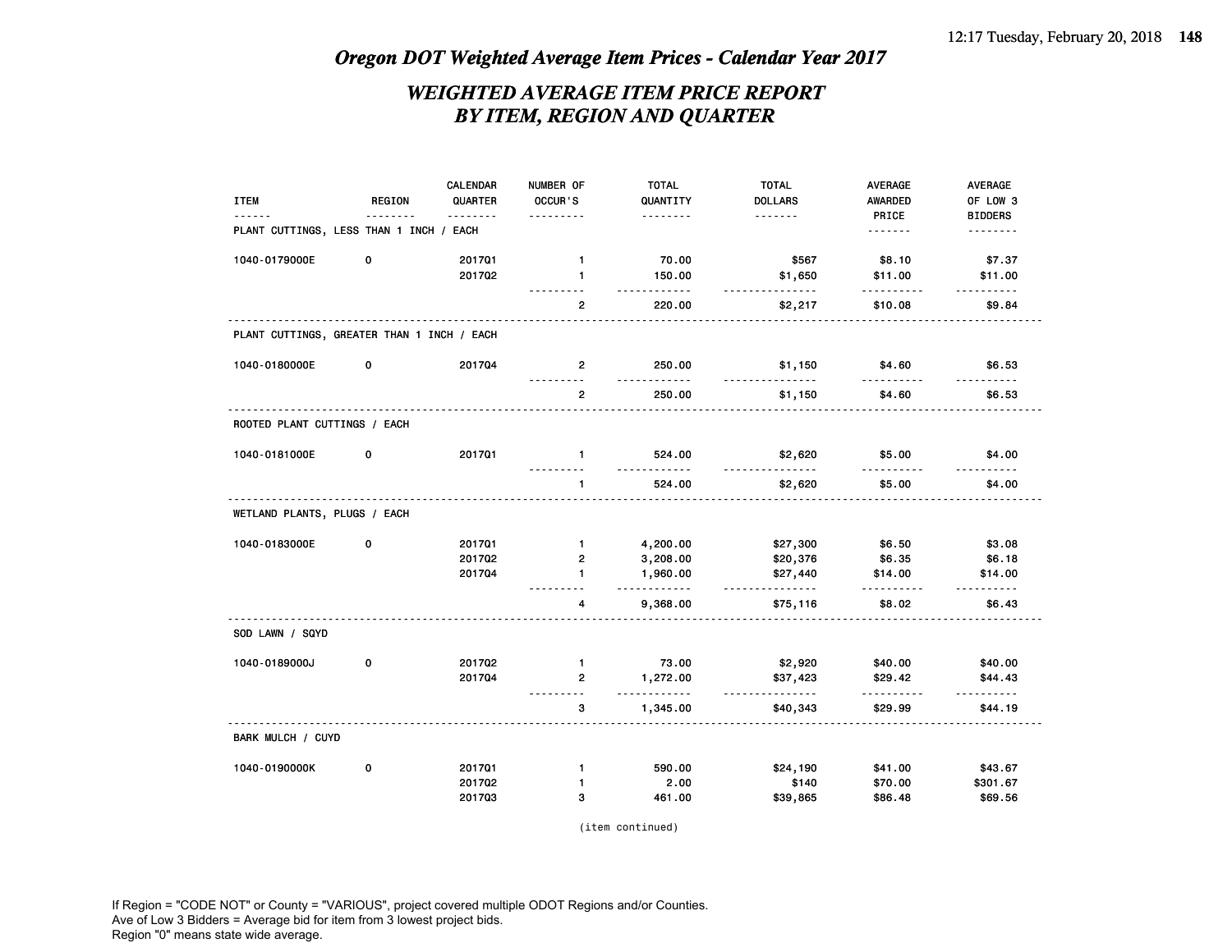### *WEIGHTED AVERAGE ITEM PRICE REPORT BY ITEM, REGION AND QUARTER*

|                                            |             | <b>CALENDAR</b> | NUMBER OF<br>OCCUR'S | <b>TOTAL</b>         | <b>TOTAL</b>               | <b>AVERAGE</b>          | <b>AVERAGE</b><br>OF LOW 3 |
|--------------------------------------------|-------------|-----------------|----------------------|----------------------|----------------------------|-------------------------|----------------------------|
| <b>ITEM</b>                                | REGION      | QUARTER<br>.    | .                    | QUANTITY<br><u>.</u> | <b>DOLLARS</b><br><u>.</u> | <b>AWARDED</b><br>PRICE | <b>BIDDERS</b>             |
| PLANT CUTTINGS, LESS THAN 1 INCH /         |             | EACH            |                      |                      |                            | .                       | .                          |
| 1040-0179000E                              | 0           | 201701          | $\mathbf{1}$         | 70.00                | \$567                      | \$8.10                  | \$7.37                     |
|                                            |             | 201702          | $\mathbf{1}$<br>.    | 150.00<br>.          | \$1,650<br>.               | \$11.00<br>.            | \$11.00<br>.               |
|                                            |             |                 | $\overline{2}$       | 220.00               | \$2,217                    | \$10.08                 | \$9.84                     |
| PLANT CUTTINGS, GREATER THAN 1 INCH / EACH |             |                 |                      |                      |                            |                         |                            |
| 1040-0180000E                              | 0           | 201704          | $\overline{2}$       | 250.00<br>.          | \$1,150<br>.               | \$4.60<br>.             | \$6.53<br>.                |
|                                            |             |                 | $\overline{2}$       | 250.00               | \$1,150                    | \$4.60                  | \$6.53                     |
| ROOTED PLANT CUTTINGS / EACH               |             |                 |                      |                      |                            |                         |                            |
| 1040-0181000E                              | 0           | 201701          | $\mathbf{1}$         | 524.00               | \$2,620                    | \$5.00                  | \$4.00                     |
|                                            |             |                 | $\mathbf{1}$         | 524.00               | <u>.</u><br>\$2,620        | \$5.00                  | \$4.00                     |
| WETLAND PLANTS, PLUGS / EACH               |             |                 |                      |                      |                            |                         |                            |
| 1040-0183000E                              | $\mathbf 0$ | 201701          | $\mathbf{1}$         | 4,200.00             | \$27,300                   | \$6.50                  | \$3.08                     |
|                                            |             | 201702          | $\overline{2}$       | 3,208.00             | \$20,376                   | \$6.35                  | \$6.18                     |
|                                            |             | 201704          | $\mathbf{1}$         | 1,960.00             | \$27,440                   | \$14.00                 | \$14.00                    |
|                                            |             |                 | 4                    | .<br>9,368.00        | <u>.</u><br>\$75,116       | $- - - - - -$<br>\$8.02 | \$6.43                     |
| SOD LAWN / SQYD                            |             |                 |                      |                      |                            |                         |                            |
| 1040-0189000J                              | 0           | 201702          | $\mathbf{1}$         | 73.00                | \$2,920                    | \$40.00                 | \$40.00                    |
|                                            |             | 201704          | $\overline{2}$       | 1,272.00             | \$37,423                   | \$29.42                 | \$44.43                    |
|                                            |             |                 | <u>.</u><br>3        | .<br>1,345.00        | <u>.</u><br>\$40,343       | .<br>\$29.99            | \$44.19                    |
| BARK MULCH / CUYD                          |             |                 |                      |                      |                            |                         |                            |
| 1040-0190000K                              | 0           | 201701          | $\mathbf{1}$         | 590.00               | \$24,190                   | \$41.00                 | \$43.67                    |
|                                            |             | 201702          | $\mathbf{1}$         | 2.00                 | \$140                      | \$70.00                 | \$301.67                   |
|                                            |             | 201703          | 3                    | 461.00               | \$39,865                   | \$86.48                 | \$69.56                    |

(item continued)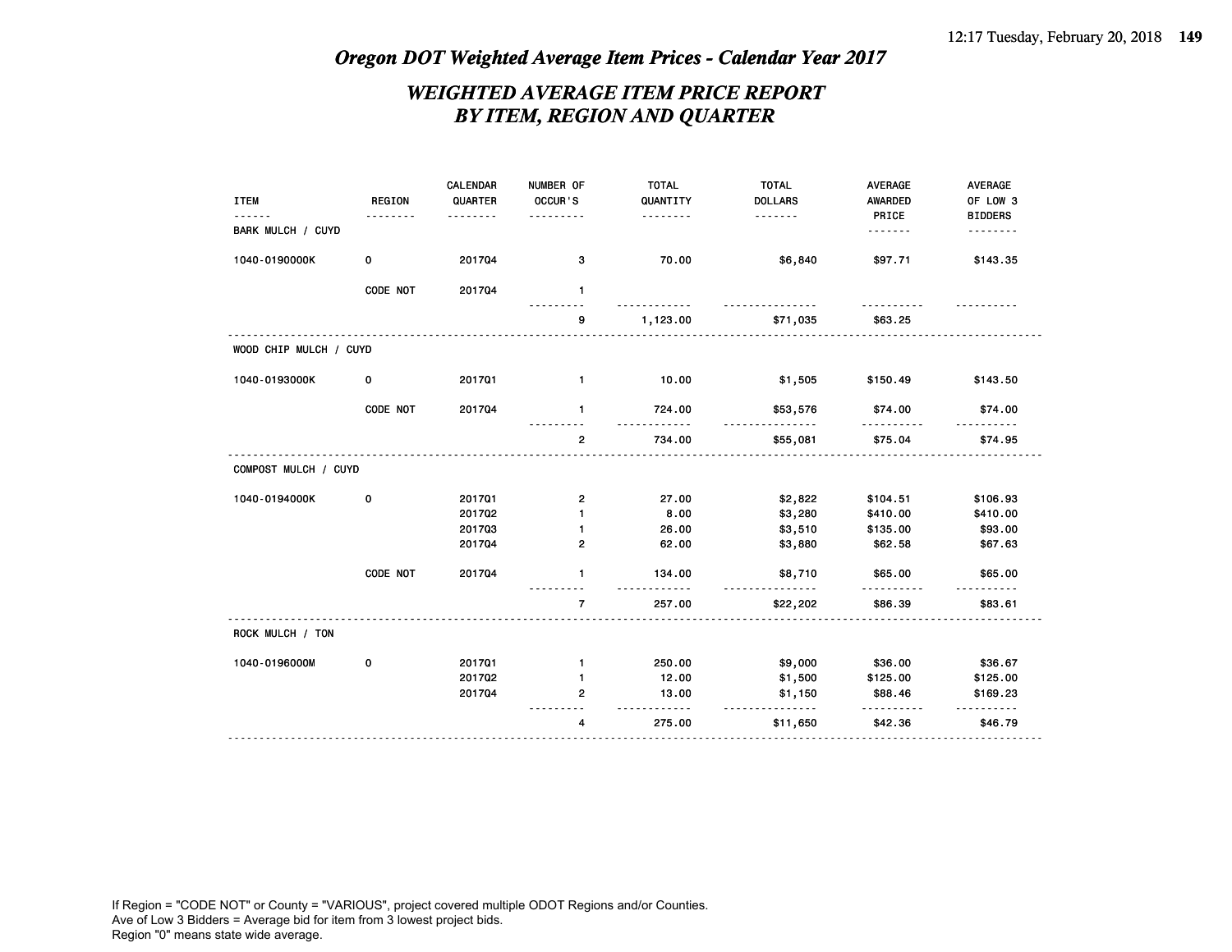### *WEIGHTED AVERAGE ITEM PRICE REPORT BY ITEM, REGION AND QUARTER*

| <b>ITEM</b>            | <b>REGION</b> | <b>CALENDAR</b><br>QUARTER<br>. | NUMBER OF<br>OCCUR'S | <b>TOTAL</b><br>QUANTITY<br><u>.</u> | <b>TOTAL</b><br><b>DOLLARS</b><br>. | <b>AVERAGE</b><br><b>AWARDED</b><br>PRICE | <b>AVERAGE</b><br>OF LOW 3<br><b>BIDDERS</b> |
|------------------------|---------------|---------------------------------|----------------------|--------------------------------------|-------------------------------------|-------------------------------------------|----------------------------------------------|
| BARK MULCH / CUYD      |               |                                 |                      |                                      |                                     | .                                         | .                                            |
| 1040-0190000K          | 0             | 201704                          | 3                    | 70.00                                | \$6,840                             | \$97.71                                   | \$143.35                                     |
|                        | CODE NOT      | 201704                          | $\mathbf{1}$         |                                      |                                     |                                           |                                              |
|                        |               |                                 | 9                    | 1,123.00                             | \$71,035                            | \$63.25                                   |                                              |
| WOOD CHIP MULCH / CUYD |               |                                 |                      |                                      |                                     |                                           |                                              |
| 1040-0193000K          | 0             | 201701                          | 1                    | 10.00                                | \$1,505                             | \$150.49                                  | \$143.50                                     |
|                        | CODE NOT      | 201704                          | 1                    | 724.00                               | \$53,576<br>$\sim$ $\sim$           | \$74.00                                   | \$74.00                                      |
|                        |               |                                 | $\overline{2}$       | 734.00                               | \$55,081                            | \$75.04                                   | \$74.95                                      |
| COMPOST MULCH / CUYD   |               |                                 |                      |                                      |                                     |                                           |                                              |
| 1040-0194000K          | 0             | 201701                          | 2                    | 27.00                                | \$2,822                             | \$104.51                                  | \$106.93                                     |
|                        |               | 201702                          | $\mathbf{1}$         | 8.00                                 | \$3,280                             | \$410.00                                  | \$410.00                                     |
|                        |               | 201703                          | 1                    | 26.00                                | \$3,510                             | \$135.00                                  | \$93.00                                      |
|                        |               | 201704                          | 2                    | 62.00                                | \$3,880                             | \$62.58                                   | \$67.63                                      |
|                        | CODE NOT      | 201704                          | $\mathbf{1}$         | 134.00                               | \$8,710                             | \$65.00                                   | \$65.00                                      |
|                        |               |                                 | $\overline{7}$       | 257.00                               | \$22,202                            | \$86.39                                   | \$83.61                                      |
| ROCK MULCH / TON       |               |                                 |                      |                                      |                                     |                                           |                                              |
| 1040-0196000M          | 0             | 201701                          | 1                    | 250.00                               | \$9,000                             | \$36.00                                   | \$36.67                                      |
|                        |               | 201702                          | 1                    | 12.00                                | \$1,500                             | \$125.00                                  | \$125.00                                     |
|                        |               | 201704                          | 2                    | 13.00                                | \$1,150<br><u>.</u>                 | \$88.46                                   | \$169.23<br>------                           |
|                        |               |                                 | 4                    | 275.00                               | \$11,650                            | \$42.36                                   | \$46.79                                      |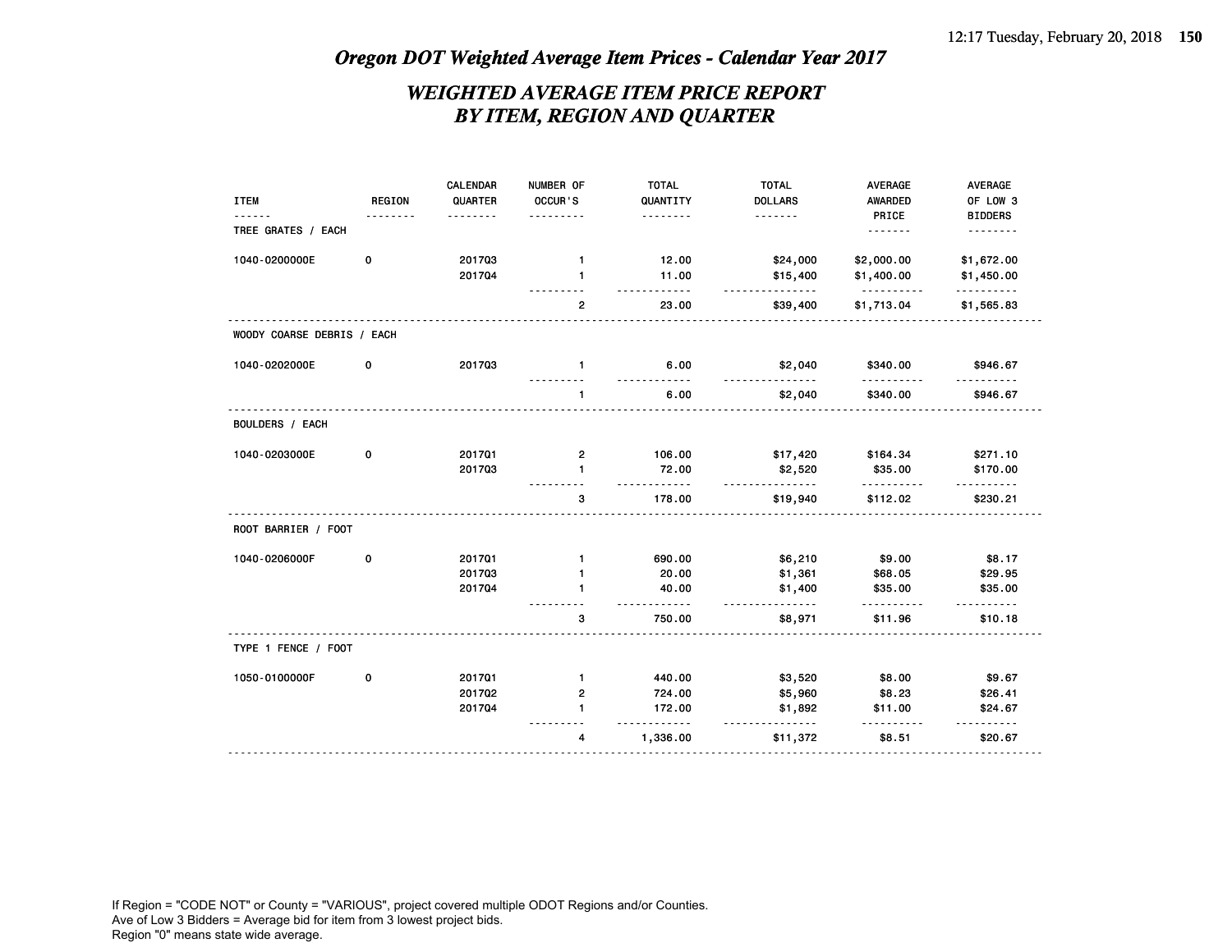### *WEIGHTED AVERAGE ITEM PRICE REPORT BY ITEM, REGION AND QUARTER*

| <b>ITEM</b>                | REGION<br>. | CALENDAR<br>QUARTER<br><u>.</u> | NUMBER OF<br>OCCUR'S<br>. | <b>TOTAL</b><br>QUANTITY<br><u>.</u> | <b>TOTAL</b><br><b>DOLLARS</b><br>. | AVERAGE<br><b>AWARDED</b><br>PRICE | AVERAGE<br>OF LOW 3<br><b>BIDDERS</b> |
|----------------------------|-------------|---------------------------------|---------------------------|--------------------------------------|-------------------------------------|------------------------------------|---------------------------------------|
| TREE GRATES / EACH         |             |                                 |                           |                                      |                                     | .                                  | .                                     |
| 1040-0200000E              | $\mathbf 0$ | 201703                          | $\mathbf{1}$              | 12.00                                | \$24,000                            | \$2,000.00                         | \$1,672.00                            |
|                            |             | 201704                          | $\mathbf{1}$              | 11.00                                | \$15,400<br>.                       | \$1,400.00<br>.                    | \$1,450.00<br>.                       |
|                            |             |                                 | $\overline{2}$            | 23.00                                | \$39,400                            | \$1,713.04                         | \$1,565.83                            |
| WOODY COARSE DEBRIS / EACH |             |                                 |                           |                                      |                                     |                                    |                                       |
| 1040-0202000E              | 0           | 201703                          | $\mathbf{1}$              | 6.00<br>-----                        | \$2,040<br><u>.</u>                 | \$340.00<br>.                      | \$946.67                              |
|                            |             |                                 | $\mathbf{1}$              | 6.00                                 | \$2,040                             | \$340.00                           | \$946.67                              |
| <b>BOULDERS / EACH</b>     |             |                                 |                           |                                      |                                     |                                    |                                       |
| 1040-0203000E              | 0           | 201701                          | 2                         | 106.00                               | \$17,420                            | \$164.34                           | \$271.10                              |
|                            |             | 201703                          | $\mathbf{1}$              | 72.00                                | \$2,520<br>.                        | \$35.00<br>.                       | \$170.00<br><u> - - - - - - -</u>     |
|                            |             |                                 | 3                         | 178.00                               | \$19,940                            | \$112.02                           | \$230.21                              |
| ROOT BARRIER / FOOT        |             |                                 |                           |                                      |                                     |                                    |                                       |
| 1040-0206000F              | 0           | 201701                          | $\mathbf{1}$              | 690.00                               | \$6,210                             | \$9.00                             | \$8.17                                |
|                            |             | 201703                          | $\mathbf{1}$              | 20.00                                | \$1,361                             | \$68.05                            | \$29.95                               |
|                            |             | 201704                          | $\mathbf{1}$              | 40.00                                | \$1,400                             | \$35.00                            | \$35.00                               |
|                            |             |                                 | з                         | <u>.</u><br>750.00                   | <u>.</u><br>\$8,971                 | \$11.96                            | .<br>\$10.18                          |
| TYPE 1 FENCE / FOOT        |             |                                 |                           |                                      |                                     |                                    |                                       |
| 1050-0100000F              | 0           | 201701                          | $\mathbf{1}$              | 440.00                               | \$3,520                             | \$8.00                             | \$9.67                                |
|                            |             | 201702                          | $\mathbf{2}$              | 724.00                               | \$5,960                             | \$8.23                             | \$26.41                               |
|                            |             | 201704                          | $\mathbf{1}$              | 172.00                               | \$1,892<br><u>.</u>                 | \$11.00                            | \$24.67                               |
|                            |             |                                 | 4                         | 1,336.00                             | \$11,372                            | \$8.51                             | \$20.67                               |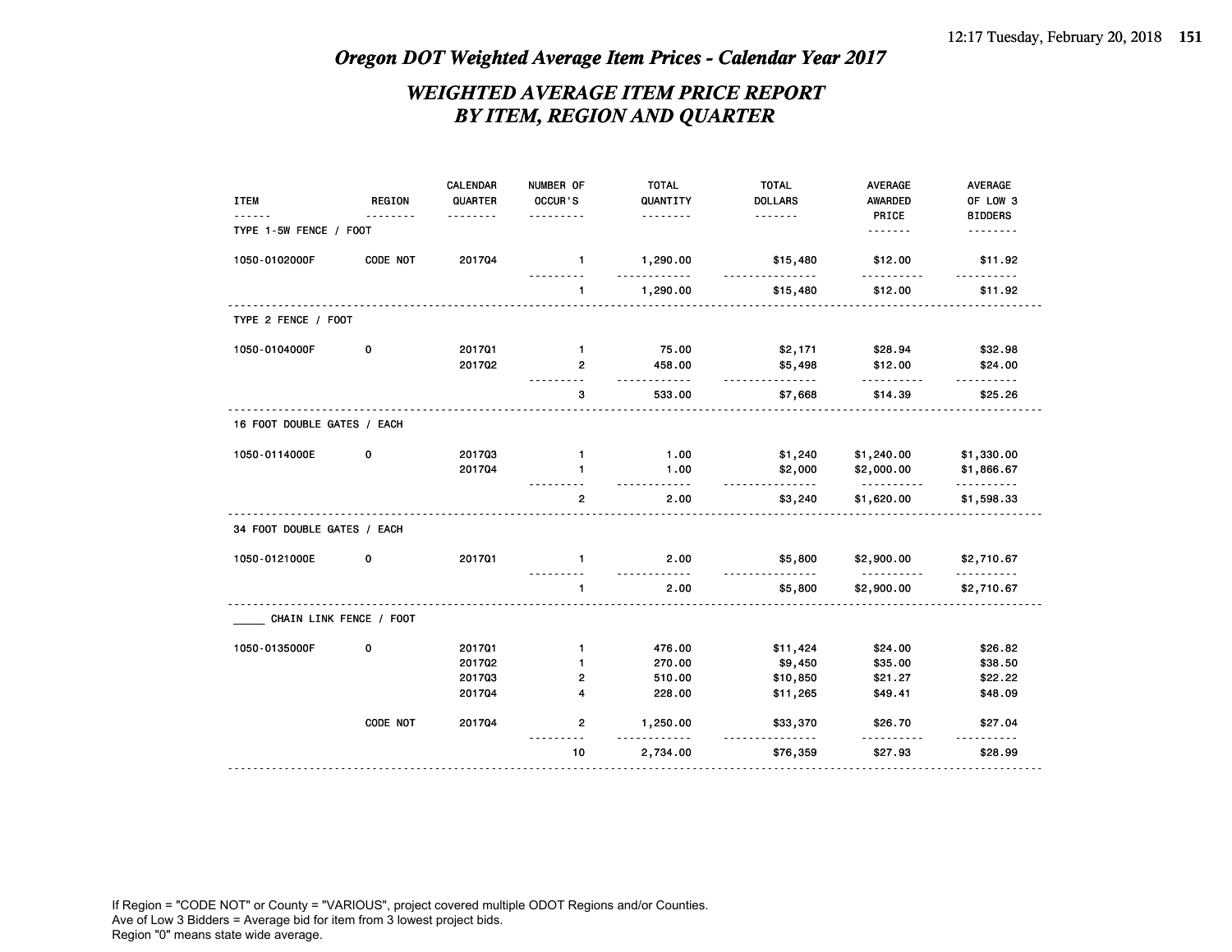### *WEIGHTED AVERAGE ITEM PRICE REPORT BY ITEM, REGION AND QUARTER*

|                             |                         | CALENDAR     | NUMBER OF      | <b>TOTAL</b>       | <b>TOTAL</b>        | AVERAGE                | AVERAGE                    |
|-----------------------------|-------------------------|--------------|----------------|--------------------|---------------------|------------------------|----------------------------|
| <b>ITEM</b>                 | <b>REGION</b>           | QUARTER<br>. | OCCUR'S<br>.   | QUANTITY<br>.      | <b>DOLLARS</b><br>. | AWARDED<br>PRICE       | OF LOW 3<br><b>BIDDERS</b> |
| TYPE 1-5W FENCE / FOOT      |                         |              |                |                    |                     | .                      | .                          |
| 1050-0102000F               | CODE NOT                | 201704       | $\mathbf{1}$   | 1,290.00           | \$15,480            | \$12.00                | \$11.92                    |
|                             |                         |              | $\mathbf{1}$   | .<br>1,290.00      | .<br>\$15,480       | \$12.00                | \$11.92                    |
| TYPE 2 FENCE / FOOT         |                         |              |                |                    |                     |                        |                            |
| 1050-0104000F               | 0                       | 201701       | $\mathbf{1}$   | 75.00              | \$2,171             | \$28.94                | \$32.98                    |
|                             |                         | 201702       | $\overline{2}$ | 458.00<br><u>.</u> | \$5,498<br><u>.</u> | \$12.00<br>.           | \$24.00                    |
|                             |                         |              | ---------<br>3 | 533.00             | \$7,668             | \$14.39                | .<br>\$25.26               |
| 16 FOOT DOUBLE GATES / EACH |                         |              |                |                    |                     |                        |                            |
| 1050-0114000E               | 0                       | 201703       | $\mathbf{1}$   | 1.00               | \$1,240             | \$1,240.00             | \$1,330.00                 |
|                             |                         | 201704       | $\mathbf{1}$   | 1.00<br><u>.</u>   | \$2,000<br>.        | \$2,000.00<br><u>.</u> | \$1,866.67<br>.            |
|                             |                         |              | $\overline{2}$ | 2.00               | \$3,240             | \$1,620.00             | \$1,598.33                 |
| 34 FOOT DOUBLE GATES / EACH |                         |              |                |                    |                     |                        |                            |
| 1050-0121000E               | 0                       | 201701       | $\mathbf{1}$   | 2.00               | \$5,800             | \$2,900.00             | \$2,710.67                 |
|                             |                         |              | $\mathbf{1}$   | .<br>2.00          | <u>.</u><br>\$5,800 | .<br>\$2,900.00        | .<br>\$2,710.67            |
|                             | CHAIN LINK FENCE / FOOT |              |                |                    |                     |                        |                            |
| 1050-0135000F               | 0                       | 201701       | $\mathbf{1}$   | 476.00             | \$11,424            | \$24.00                | \$26.82                    |
|                             |                         | 201702       | $\mathbf{1}$   | 270.00             | \$9,450             | \$35.00                | \$38.50                    |
|                             |                         | 201703       | $\overline{2}$ | 510.00             | \$10,850            | \$21.27                | \$22.22                    |
|                             |                         | 201704       | 4              | 228.00             | \$11,265            | \$49.41                | \$48.09                    |
|                             | CODE NOT                | 201704       | $\overline{2}$ | 1,250.00           | \$33,370            | \$26.70                | \$27.04                    |
|                             |                         |              | 10             | 2,734.00           | \$76,359            | \$27.93                | \$28.99                    |
|                             |                         |              |                |                    |                     |                        |                            |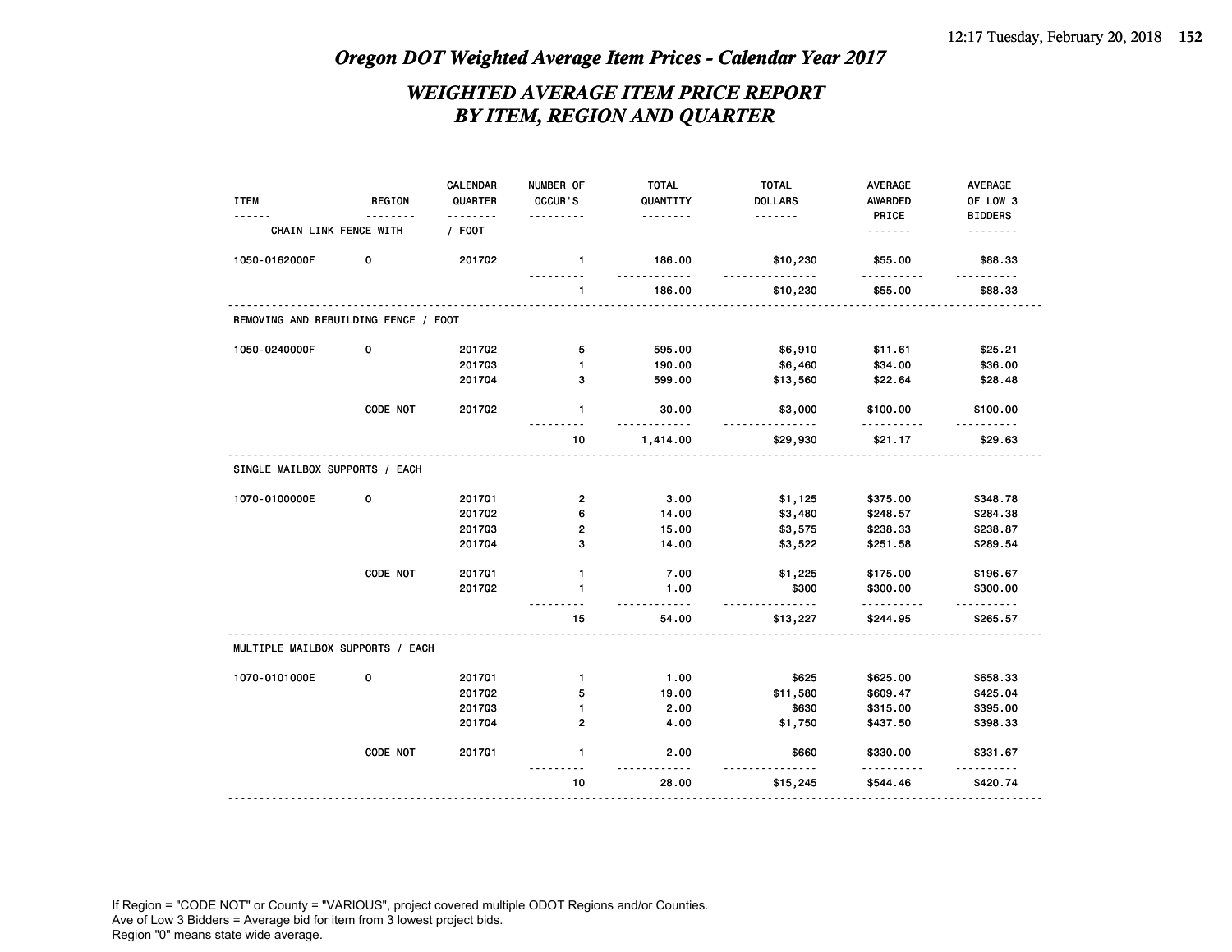### *WEIGHTED AVERAGE ITEM PRICE REPORT BY ITEM, REGION AND QUARTER*

|                                      |               | CALENDAR      | NUMBER OF                 | <b>TOTAL</b>      | <b>TOTAL</b>       | AVERAGE                  | AVERAGE        |
|--------------------------------------|---------------|---------------|---------------------------|-------------------|--------------------|--------------------------|----------------|
| <b>ITEM</b>                          | <b>REGION</b> | QUARTER       | OCCUR'S                   | QUANTITY          | <b>DOLLARS</b>     | AWARDED                  | OF LOW 3       |
|                                      |               | $\frac{1}{2}$ |                           | .                 | .                  | PRICE                    | <b>BIDDERS</b> |
| CHAIN LINK FENCE WITH                |               | / FOOT        |                           |                   |                    | .                        | .              |
| 1050-0162000F                        | 0             | 201702        | $\mathbf{1}$<br>--------- | 186.00<br>.       | \$10,230<br>.      | \$55.00<br>$- - - - - -$ | \$88.33        |
|                                      |               |               | 1                         | 186.00            | \$10,230           | \$55.00                  | \$88.33        |
| REMOVING AND REBUILDING FENCE / FOOT |               |               |                           |                   |                    |                          |                |
| 1050-0240000F                        | $\mathbf 0$   | 201702        | 5                         | 595.00            | \$6,910            | \$11.61                  | \$25.21        |
|                                      |               | 201703        | $\mathbf{1}$              | 190.00            | \$6,460            | \$34.00                  | \$36.00        |
|                                      |               | 201704        | з                         | 599.00            | \$13,560           | \$22.64                  | \$28.48        |
|                                      | CODE NOT      | 201702        | $\mathbf{1}$              | 30.00<br><u>.</u> | \$3,000            | \$100.00                 | \$100.00       |
|                                      |               |               | 10                        | 1,414.00          | \$29,930           | .<br>\$21.17             | .<br>\$29.63   |
| SINGLE MAILBOX SUPPORTS / EACH       |               |               |                           |                   |                    |                          |                |
| 1070-0100000E                        | 0             | 201701        | $\mathbf{2}$              | 3.00              | \$1,125            | \$375.00                 | \$348.78       |
|                                      |               | 201702        | 6                         | 14.00             | \$3,480            | \$248.57                 | \$284.38       |
|                                      |               | 201703        | $\mathbf{2}$              | 15.00             | \$3,575            | \$238.33                 | \$238.87       |
|                                      |               | 201704        | 3                         | 14.00             | \$3,522            | \$251.58                 | \$289.54       |
|                                      | CODE NOT      | 201701        | $\mathbf{1}$              | 7.00              | \$1,225            | \$175.00                 | \$196.67       |
|                                      |               | 201702        | $\mathbf{1}$              | 1.00<br>$- - - -$ | \$300<br>$- - - -$ | \$300.00                 | \$300.00       |
|                                      |               |               | 15                        | 54.00             | \$13,227           | \$244.95                 | \$265.57       |
| MULTIPLE MAILBOX SUPPORTS / EACH     |               |               |                           |                   |                    |                          |                |
| 1070-0101000E                        | 0             | 201701        | $\mathbf{1}$              | 1.00              | \$625              | \$625.00                 | \$658.33       |
|                                      |               | 201702        | 5                         | 19.00             | \$11,580           | \$609.47                 | \$425.04       |
|                                      |               | 201703        | 1                         | 2.00              | \$630              | \$315.00                 | \$395.00       |
|                                      |               | 201704        | 2                         | 4.00              | \$1,750            | \$437.50                 | \$398.33       |
|                                      | CODE NOT      | 201701        | 1                         | 2.00              | \$660              | \$330.00                 | \$331.67       |
|                                      |               |               | 10                        | 28.00             | \$15,245           | \$544.46                 | \$420.74       |
|                                      |               |               |                           |                   |                    |                          |                |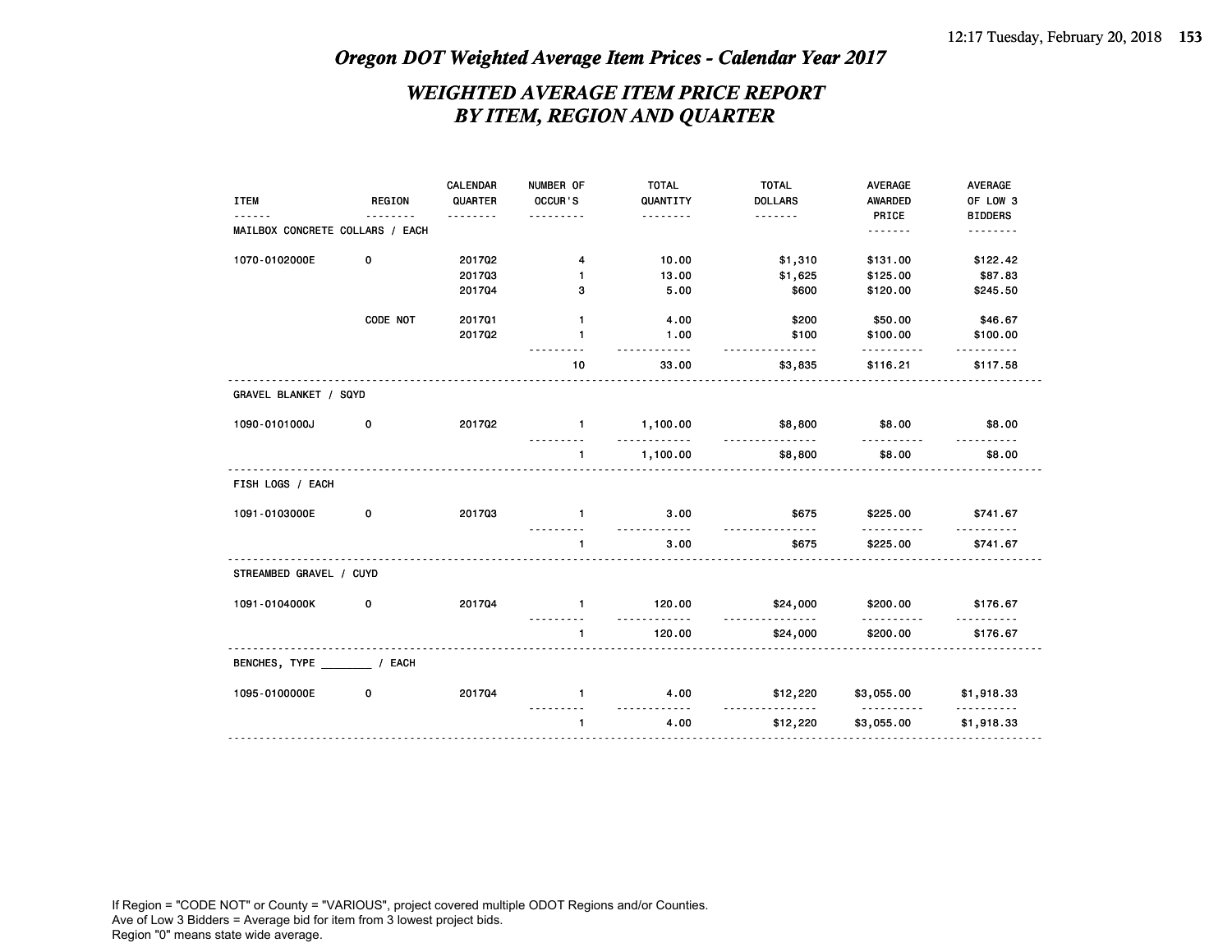### *WEIGHTED AVERAGE ITEM PRICE REPORT BY ITEM, REGION AND QUARTER*

| <b>ITEM</b><br><u>.</u>         | <b>REGION</b><br><u>.</u> | CALENDAR<br>QUARTER<br>. | NUMBER OF<br>OCCUR'S<br>. | <b>TOTAL</b><br>QUANTITY<br>. | <b>TOTAL</b><br><b>DOLLARS</b><br>. | AVERAGE<br><b>AWARDED</b><br>PRICE | AVERAGE<br>OF LOW 3<br><b>BIDDERS</b> |
|---------------------------------|---------------------------|--------------------------|---------------------------|-------------------------------|-------------------------------------|------------------------------------|---------------------------------------|
| MAILBOX CONCRETE COLLARS / EACH |                           |                          |                           |                               |                                     |                                    | <u>.</u>                              |
| 1070-0102000E                   | 0                         | 201702                   | 4                         | 10.00                         | \$1,310                             | \$131.00                           | \$122.42                              |
|                                 |                           | 201703                   | $\mathbf{1}$              | 13.00                         | \$1,625                             | \$125.00                           | \$87.83                               |
|                                 |                           | 201704                   | 3                         | 5.00                          | \$600                               | \$120.00                           | \$245.50                              |
|                                 | CODE NOT                  | 201701                   | $\mathbf{1}$              | 4.00                          | \$200                               | \$50.00                            | \$46.67                               |
|                                 |                           | 201702                   | $\mathbf{1}$              | 1.00<br>$- - - - -$           | \$100<br><u>.</u>                   | \$100.00                           | \$100.00                              |
|                                 |                           |                          | 10                        | 33.00                         | \$3,835                             | \$116.21                           | \$117.58                              |
| GRAVEL BLANKET / SQYD           |                           |                          |                           |                               |                                     |                                    |                                       |
| 1090-0101000J                   | 0                         | 201702                   | $\sim$ 1                  | 1,100.00<br>.                 | \$8,800<br>.                        | \$8.00                             | \$8.00                                |
|                                 |                           |                          | $\mathbf{1}$              | 1,100.00                      | \$8,800                             | \$8.00                             | \$8.00                                |
| FISH LOGS / EACH                |                           |                          |                           |                               |                                     |                                    |                                       |
| 1091-0103000E                   | 0                         | 201703                   | $\mathbf{1}$              | 3.00<br>.                     | \$675<br>.                          | \$225.00                           | \$741.67                              |
|                                 |                           |                          | $\mathbf{1}$              | 3.00                          | \$675                               | \$225.00                           | \$741.67                              |
| STREAMBED GRAVEL / CUYD         |                           |                          |                           |                               |                                     |                                    |                                       |
| 1091-0104000K                   | 0                         | 201704                   | $\overline{1}$            | 120.00                        | \$24,000                            | \$200.00                           | \$176.67                              |
|                                 |                           |                          | $\mathbf{1}$              | 120.00                        | <u>.</u><br>\$24,000                | \$200.00                           | \$176.67                              |
| BENCHES, TYPE / EACH            |                           |                          |                           |                               |                                     |                                    |                                       |
| 1095-0100000E                   | 0                         | 201704                   | $\mathbf{1}$              | 4.00<br>$- - - - -$           | \$12,220<br>.                       | \$3,055.00<br><b></b>              | \$1,918.33<br><u>.</u>                |
|                                 |                           |                          | $\mathbf{1}$              | 4.00                          | \$12,220                            | \$3,055.00                         | \$1,918.33                            |
|                                 |                           |                          |                           |                               |                                     |                                    |                                       |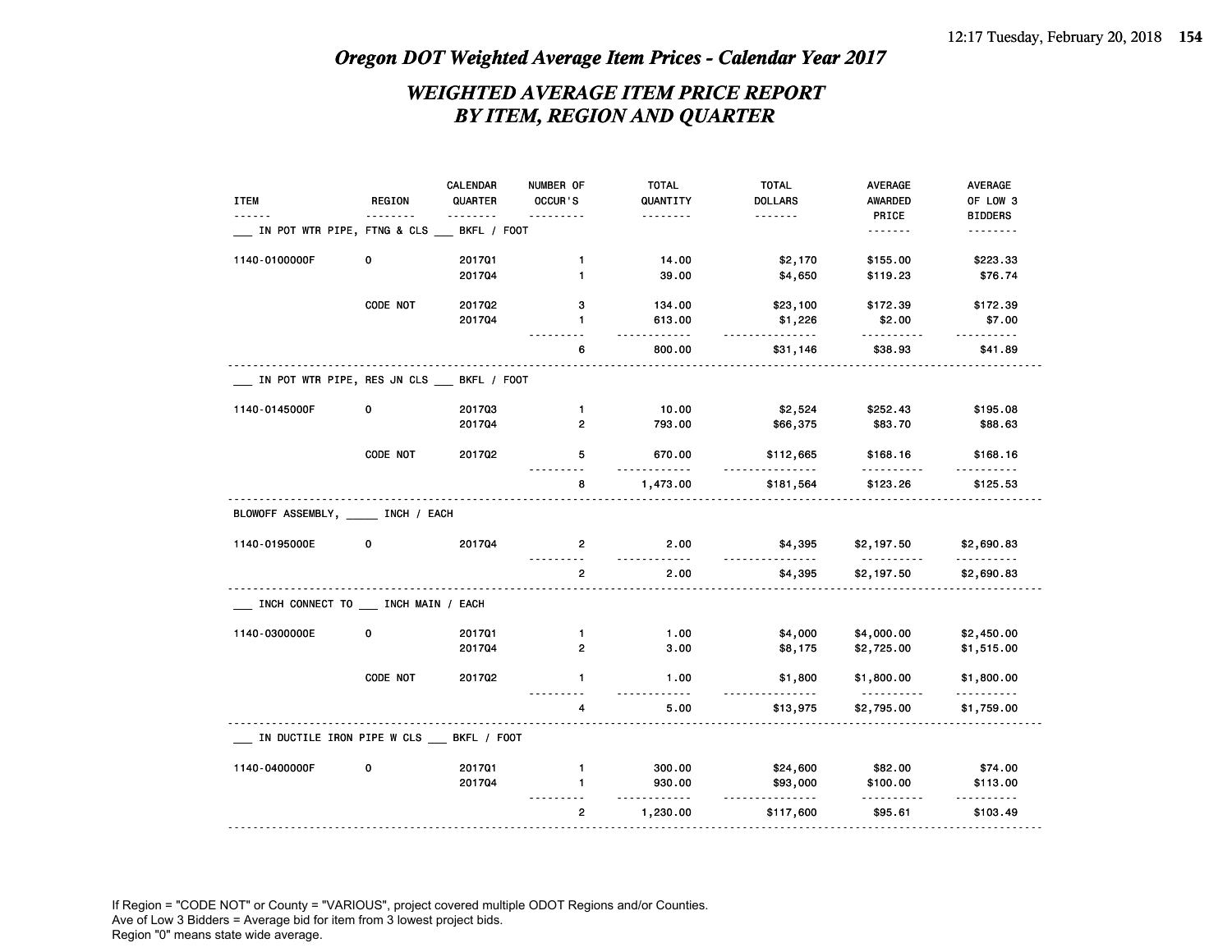### *WEIGHTED AVERAGE ITEM PRICE REPORT BY ITEM, REGION AND QUARTER*

|                                            |               | CALENDAR    | NUMBER OF      | <b>TOTAL</b>          | <b>TOTAL</b>   | <b>AVERAGE</b>  | AVERAGE           |
|--------------------------------------------|---------------|-------------|----------------|-----------------------|----------------|-----------------|-------------------|
| <b>ITEM</b>                                | <b>REGION</b> | QUARTER     | OCCUR'S        | QUANTITY              | <b>DOLLARS</b> | <b>AWARDED</b>  | OF LOW 3          |
|                                            | <u>.</u>      | <u>.</u>    | .              | <u> - - - - - - -</u> | .              | PRICE           | <b>BIDDERS</b>    |
| IN POT WTR PIPE, FTNG & CLS                |               | BKFL / FOOT |                |                       |                | .               | .                 |
| 1140-0100000F                              | 0             | 201701      | 1              | 14.00                 | \$2,170        | \$155.00        | \$223.33          |
|                                            |               | 201704      | 1              | 39.00                 | \$4,650        | \$119.23        | \$76.74           |
|                                            | CODE NOT      | 201702      | 3              | 134.00                | \$23,100       | \$172.39        | \$172.39          |
|                                            |               | 201704      | 1              | 613.00<br><u>.</u>    | \$1,226        | \$2.00<br>.     | \$7.00            |
|                                            |               |             | 6              | 800.00                | \$31,146       | \$38.93         | ------<br>\$41.89 |
| IN POT WTR PIPE, RES JN CLS __ BKFL / FOOT |               |             |                |                       |                |                 |                   |
| 1140-0145000F                              | 0             | 201703      | $\mathbf{1}$   | 10.00                 | \$2,524        | \$252.43        | \$195.08          |
|                                            |               | 201704      | 2              | 793.00                | \$66,375       | \$83.70         | \$88.63           |
|                                            | CODE NOT      | 201702      | 5              | 670.00<br>.           | \$112,665<br>. | \$168.16        | \$168.16<br>.     |
|                                            |               |             | 8              | 1,473.00              | \$181,564      | .<br>\$123.26   | \$125.53          |
| BLOWOFF ASSEMBLY, INCH / EACH              |               |             |                |                       |                |                 |                   |
| 1140-0195000E                              | 0             | 201704      | 2<br><u>.</u>  | 2.00<br><u>.</u>      | \$4,395        | \$2,197.50<br>. | \$2,690.83<br>.   |
|                                            |               |             | $\overline{2}$ | 2.00                  | \$4,395        | \$2,197.50      | \$2,690.83        |
| INCH CONNECT TO INCH MAIN / EACH           |               |             |                |                       |                |                 |                   |
| 1140-0300000E                              | 0             | 201701      | $\mathbf{1}$   | 1.00                  | \$4,000        | \$4,000.00      | \$2,450.00        |
|                                            |               | 201704      | $\overline{2}$ | 3.00                  | \$8,175        | \$2,725.00      | \$1,515.00        |
|                                            | CODE NOT      | 201702      | $\mathbf{1}$   | 1.00                  | \$1,800        | \$1,800.00      | \$1,800.00        |
|                                            |               |             | 4              | 5.00                  | \$13,975       | \$2,795.00      | \$1,759.00        |
| IN DUCTILE IRON PIPE W CLS BKFL / FOOT     |               |             |                |                       |                |                 |                   |
| 1140-0400000F                              | 0             | 201701      | $\mathbf{1}$   | 300.00                | \$24,600       | \$82.00         | \$74.00           |
|                                            |               | 201704      | $\mathbf{1}$   | 930.00                | \$93,000       | \$100.00        | \$113.00          |
|                                            |               |             |                |                       |                |                 |                   |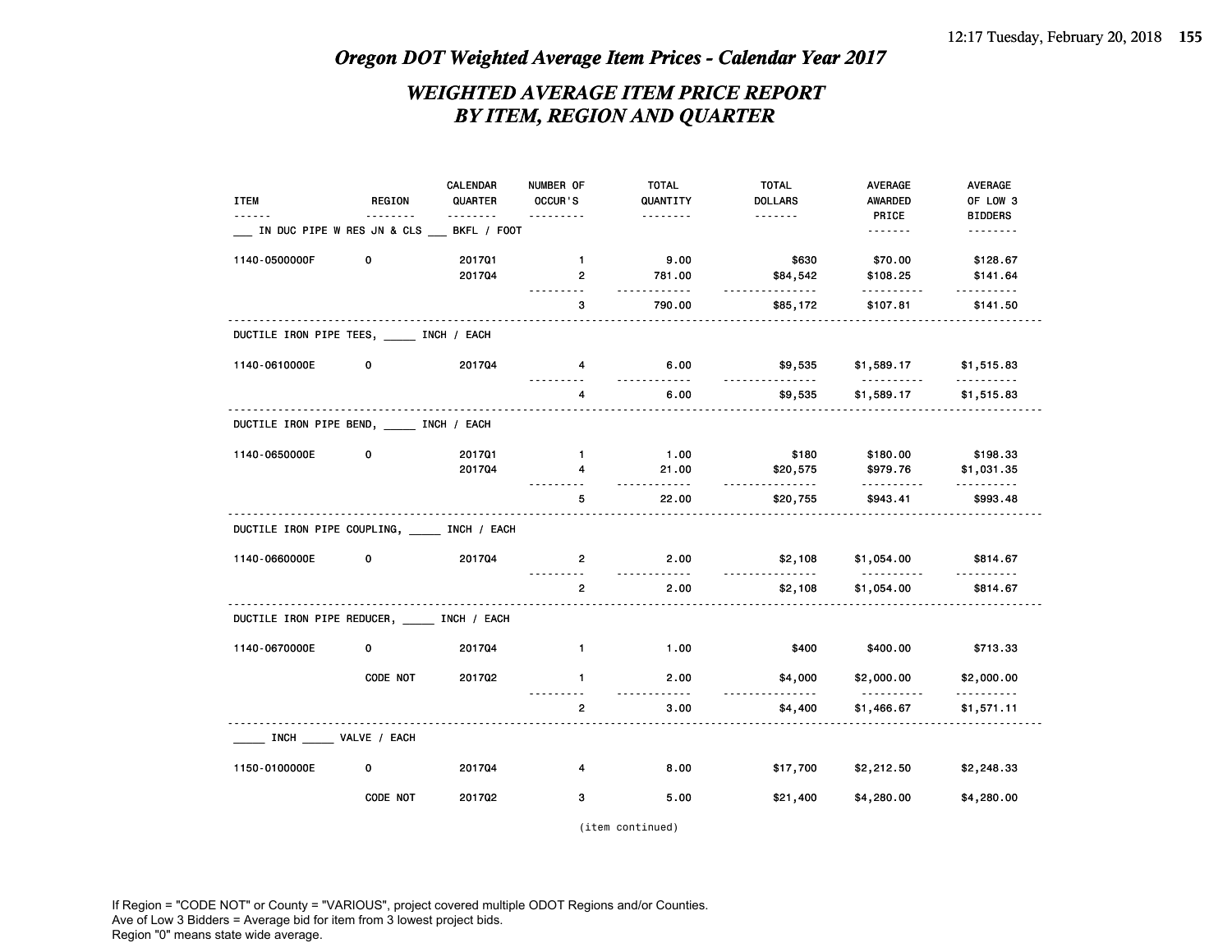### *WEIGHTED AVERAGE ITEM PRICE REPORT BY ITEM, REGION AND QUARTER*

|                                               |               | <b>CALENDAR</b> | NUMBER OF           | <b>TOTAL</b>          | <b>TOTAL</b>        | AVERAGE                | AVERAGE         |
|-----------------------------------------------|---------------|-----------------|---------------------|-----------------------|---------------------|------------------------|-----------------|
| <b>ITEM</b>                                   | <b>REGION</b> | QUARTER         | OCCUR'S             | QUANTITY              | <b>DOLLARS</b>      | AWARDED                | OF LOW 3        |
|                                               | <u>.</u>      |                 | .                   | .                     | <u>.</u>            | PRICE                  | <b>BIDDERS</b>  |
| IN DUC PIPE W RES JN & CLS                    |               | BKFL / FOOT     |                     |                       |                     | <u>.</u>               | <u>.</u>        |
| 1140-0500000F                                 | 0             | 201701          | $\mathbf{1}$        | 9.00                  | \$630               | \$70.00                | \$128.67        |
|                                               |               | 201704          | $\overline{2}$<br>. | 781.00<br><u></u>     | \$84,542<br>.       | \$108.25<br>.          | \$141.64<br>.   |
|                                               |               |                 | 3                   | 790.00                | \$85,172            | \$107.81               | \$141.50        |
| DUCTILE IRON PIPE TEES, INCH / EACH           |               |                 |                     |                       |                     |                        |                 |
| 1140-0610000E                                 | 0             | 201704          | 4                   | 6.00<br><u></u>       | \$9,535<br>.        | \$1,589.17<br>.        | \$1,515.83<br>. |
|                                               |               |                 | 4                   | 6.00                  | \$9,535             | \$1,589.17             | \$1,515.83      |
| DUCTILE IRON PIPE BEND, INCH / EACH           |               |                 |                     |                       |                     |                        |                 |
| 1140-0650000E                                 | 0             | 201701          | $\mathbf{1}$        | 1.00                  | \$180               | \$180.00               | \$198.33        |
|                                               |               | 201704          | 4                   | 21.00                 | \$20,575            | \$979.76               | \$1,031.35      |
|                                               |               |                 |                     | <u>.</u>              | .                   | .                      |                 |
|                                               |               |                 | 5                   | 22.00                 | \$20,755            | \$943.41               | \$993.48        |
| DUCTILE IRON PIPE COUPLING, _____ INCH / EACH |               |                 |                     |                       |                     |                        |                 |
| 1140-0660000E                                 | 0             | 201704          | $2^{\circ}$         | 2.00                  | \$2,108<br><u>.</u> | \$1,054.00<br>.        | \$814.67        |
|                                               |               |                 | $\overline{2}$      | 2.00                  | \$2,108             | \$1,054.00             | \$814.67        |
| DUCTILE IRON PIPE REDUCER, INCH / EACH        |               |                 |                     |                       |                     |                        |                 |
| 1140-0670000E                                 | 0             | 201704          | $\mathbf{1}$        | 1.00                  | \$400               | \$400.00               | \$713.33        |
|                                               | CODE NOT      | 201702          | $\mathbf{1}$        | 2.00<br>$\frac{1}{2}$ | \$4,000<br><u>.</u> | \$2,000.00<br><u>.</u> | \$2,000.00<br>. |
|                                               |               |                 | $\overline{2}$      | 3.00                  | \$4,400             | \$1,466.67             | \$1,571.11      |
| INCH VALVE / EACH                             |               |                 |                     |                       |                     |                        |                 |
| 1150-0100000E                                 | 0             | 201704          | 4                   | 8.00                  | \$17,700            | \$2,212.50             | \$2,248.33      |
|                                               | CODE NOT      | 201702          | 3                   | 5.00                  | \$21,400            | \$4,280.00             | \$4,280.00      |

(item continued)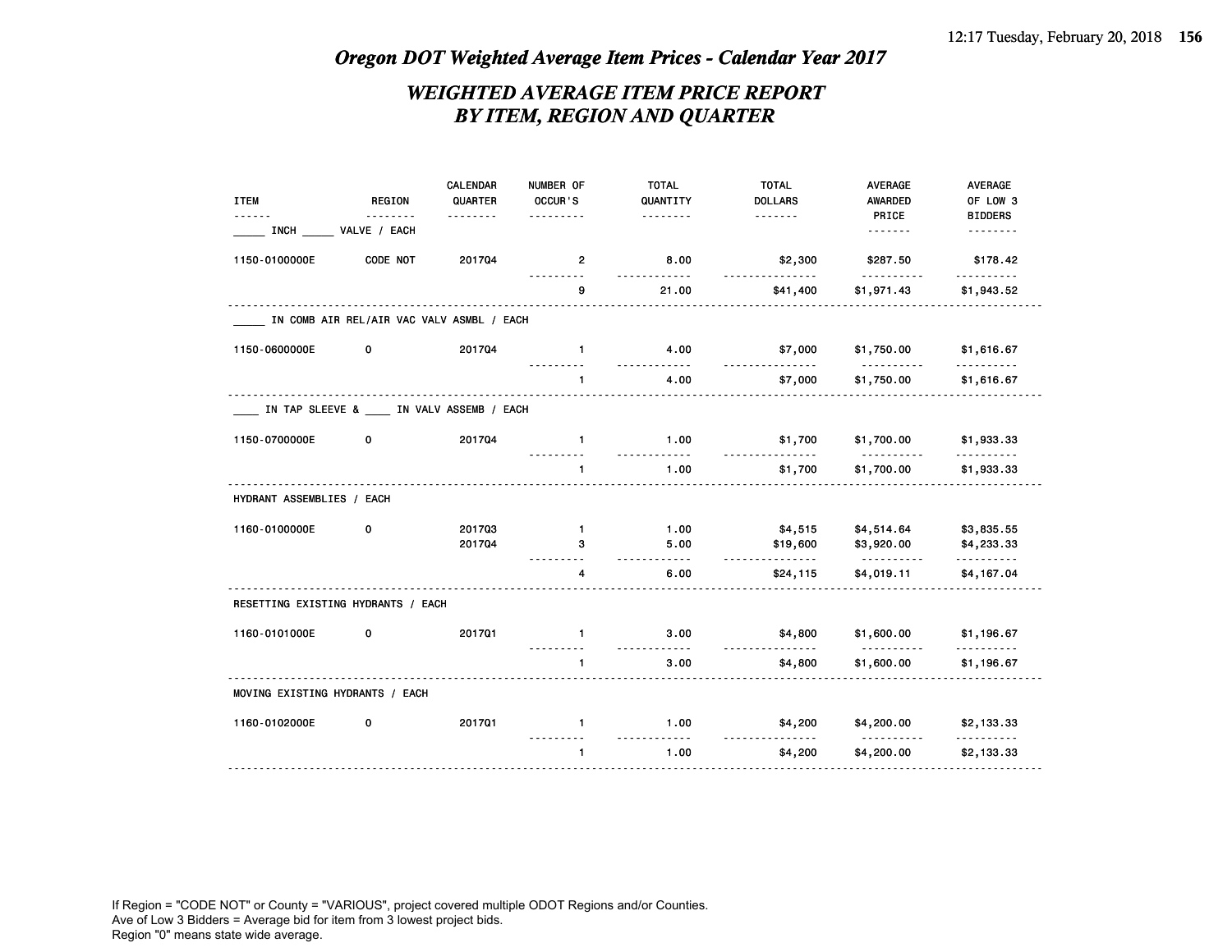### *WEIGHTED AVERAGE ITEM PRICE REPORT BY ITEM, REGION AND QUARTER*

|                                    |                                           | CALENDAR | NUMBER OF      | <b>TOTAL</b>          | <b>TOTAL</b>   | <b>AVERAGE</b>                            | AVERAGE                    |
|------------------------------------|-------------------------------------------|----------|----------------|-----------------------|----------------|-------------------------------------------|----------------------------|
| <b>ITEM</b>                        | <b>REGION</b>                             | QUARTER  | OCCUR'S        | QUANTITY              | <b>DOLLARS</b> | AWARDED                                   | OF LOW 3                   |
| <b>INCH</b>                        | VALVE / EACH                              | .        | $\frac{1}{2}$  | .                     | -------        | PRICE<br>-------                          | <b>BIDDERS</b><br>-------- |
| 1150-0100000E                      | CODE NOT                                  | 201704   | $\overline{2}$ | 8.00                  | \$2,300        | \$287.50                                  | \$178.42                   |
|                                    |                                           |          | 9              | .<br>21.00            | \$41,400       | <u>.</u><br>\$1,971.43                    | .<br>\$1,943.52            |
|                                    | IN COMB AIR REL/AIR VAC VALV ASMBL / EACH |          |                |                       |                |                                           |                            |
| 1150-0600000E                      | 0                                         | 201704   | $\mathbf{1}$   | 4.00                  | \$7,000        | \$1,750.00                                | \$1,616.67                 |
|                                    |                                           |          | 1              | $\frac{1}{2}$<br>4.00 | \$7,000        | <u> - - - - - - - - - -</u><br>\$1,750.00 | .<br>\$1,616.67            |
|                                    | IN TAP SLEEVE & IN VALV ASSEMB / EACH     |          |                |                       |                |                                           |                            |
| 1150-0700000E                      | 0                                         | 201704   | $\mathbf{1}$   | 1.00                  | \$1,700        | \$1,700.00                                | \$1,933.33                 |
|                                    |                                           |          | $\mathbf{1}$   | 1.00                  | \$1,700        | \$1,700.00                                | \$1,933.33                 |
| HYDRANT ASSEMBLIES / EACH          |                                           |          |                |                       |                |                                           |                            |
| 1160-0100000E                      | 0                                         | 201703   | $\mathbf{1}$   | 1.00                  | \$4,515        | \$4,514.64                                | \$3,835.55                 |
|                                    |                                           | 201704   | 3              | 5.00<br>22222         | \$19,600<br>.  | \$3,920.00<br><u>.</u>                    | \$4,233.33<br>.            |
|                                    |                                           |          | 4              | 6.00                  | \$24,115       | \$4,019.11                                | \$4,167.04                 |
| RESETTING EXISTING HYDRANTS / EACH |                                           |          |                |                       |                |                                           |                            |
| 1160-0101000E                      | 0                                         | 201701   | $\mathbf{1}$   | 3.00                  | \$4,800        | \$1,600.00<br>.                           | \$1,196.67                 |
|                                    |                                           |          | 1              | $\frac{1}{2}$<br>3.00 | \$4,800        | \$1,600.00                                | \$1,196.67                 |
| MOVING EXISTING HYDRANTS / EACH    |                                           |          |                |                       |                |                                           |                            |
| 1160-0102000E                      | 0                                         | 201701   | $\mathbf{1}$   | 1.00                  | \$4,200        | \$4,200.00                                | \$2,133.33                 |
|                                    |                                           |          | $\mathbf{1}$   | 1.00                  | \$4,200        | \$4,200.00                                | \$2,133.33                 |
|                                    |                                           |          |                |                       |                |                                           |                            |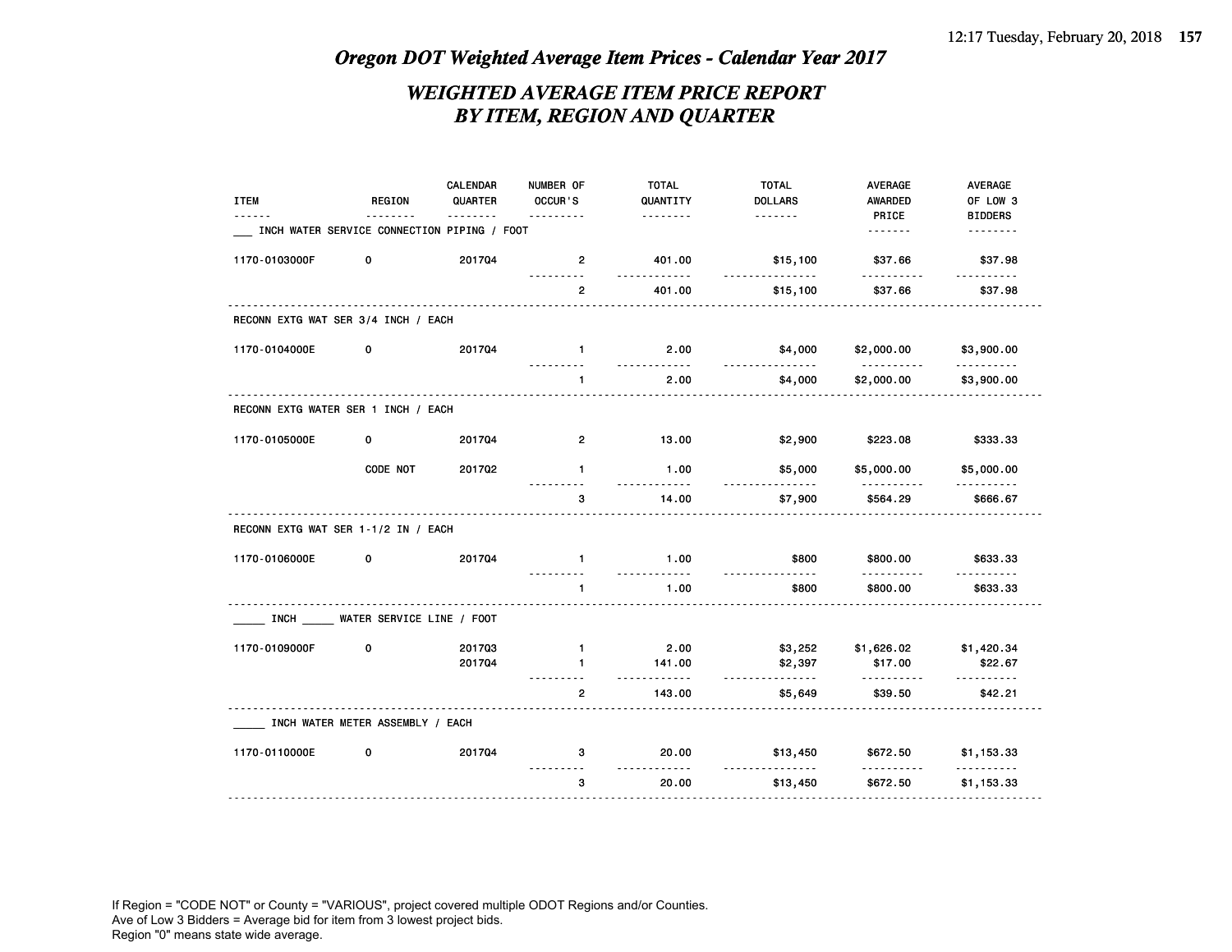### *WEIGHTED AVERAGE ITEM PRICE REPORT BY ITEM, REGION AND QUARTER*

| <b>ITEM</b>                         | <b>REGION</b>                               | CALENDAR<br>QUARTER | NUMBER OF<br>OCCUR'S | <b>TOTAL</b><br>QUANTITY | <b>TOTAL</b><br><b>DOLLARS</b> | <b>AVERAGE</b><br>AWARDED | <b>AVERAGE</b><br>OF LOW 3 |
|-------------------------------------|---------------------------------------------|---------------------|----------------------|--------------------------|--------------------------------|---------------------------|----------------------------|
|                                     |                                             | $- - - -$           |                      | <u>.</u>                 | <u>.</u>                       | PRICE                     | <b>BIDDERS</b>             |
|                                     | INCH WATER SERVICE CONNECTION PIPING / FOOT |                     |                      |                          |                                | <u>.</u>                  | .                          |
| 1170-0103000F                       | 0                                           | 201704              | $\overline{2}$<br>.  | 401.00<br>.              | \$15,100<br>.                  | \$37.66<br>.              | \$37.98<br>.               |
|                                     |                                             |                     | $\overline{2}$       | 401.00                   | \$15,100                       | \$37.66                   | \$37.98                    |
| RECONN EXTG WAT SER 3/4 INCH / EACH |                                             |                     |                      |                          |                                |                           |                            |
| 1170-0104000E                       | 0                                           | 201704              | $\mathbf{1}$         | 2.00<br><u>.</u>         | \$4,000<br>.                   | \$2,000.00<br><u>.</u>    | \$3,900.00<br>.            |
|                                     |                                             |                     | $\mathbf{1}$         | 2.00                     | \$4,000                        | \$2,000.00                | \$3,900.00                 |
| RECONN EXTG WATER SER 1 INCH / EACH |                                             |                     |                      |                          |                                |                           |                            |
| 1170-0105000E                       | 0                                           | 201704              | $\overline{2}$       | 13.00                    | \$2,900                        | \$223.08                  | \$333.33                   |
|                                     | CODE NOT                                    | 201702              | $\mathbf{1}$         | 1.00                     | \$5,000                        | \$5,000.00                | \$5,000.00                 |
|                                     |                                             |                     | 3                    | 14.00                    | \$7,900                        | \$564.29                  | \$666.67                   |
| RECONN EXTG WAT SER 1-1/2 IN / EACH |                                             |                     |                      |                          |                                |                           |                            |
| 1170-0106000E                       | 0                                           | 201704              | $\mathbf{1}$         | 1.00<br><u>.</u>         | \$800                          | \$800.00<br>.             | \$633.33                   |
|                                     |                                             |                     | 1                    | 1.00                     | .<br>\$800                     | \$800.00                  | .<br>\$633.33              |
|                                     | INCH WATER SERVICE LINE / FOOT              |                     |                      |                          |                                |                           |                            |
| 1170-0109000F                       | 0                                           | 201703              | $\mathbf{1}$         | 2.00                     | \$3,252                        | \$1,626.02                | \$1,420.34                 |
|                                     |                                             | 201704              | $\mathbf{1}$         | 141.00<br>.              | \$2,397<br><u>.</u>            | \$17.00<br>.              | \$22.67<br><b></b>         |
|                                     |                                             |                     | $\overline{2}$       | 143.00                   | \$5,649                        | \$39.50                   | \$42.21                    |
|                                     | INCH WATER METER ASSEMBLY / EACH            |                     |                      |                          |                                |                           |                            |
| 1170-0110000E                       | 0                                           | 201704              | 3                    | 20.00                    | \$13,450                       | \$672.50                  | \$1,153.33                 |
|                                     |                                             |                     | 3                    | 20.00                    | \$13,450                       | \$672.50                  | \$1,153.33                 |
|                                     |                                             |                     |                      |                          |                                |                           |                            |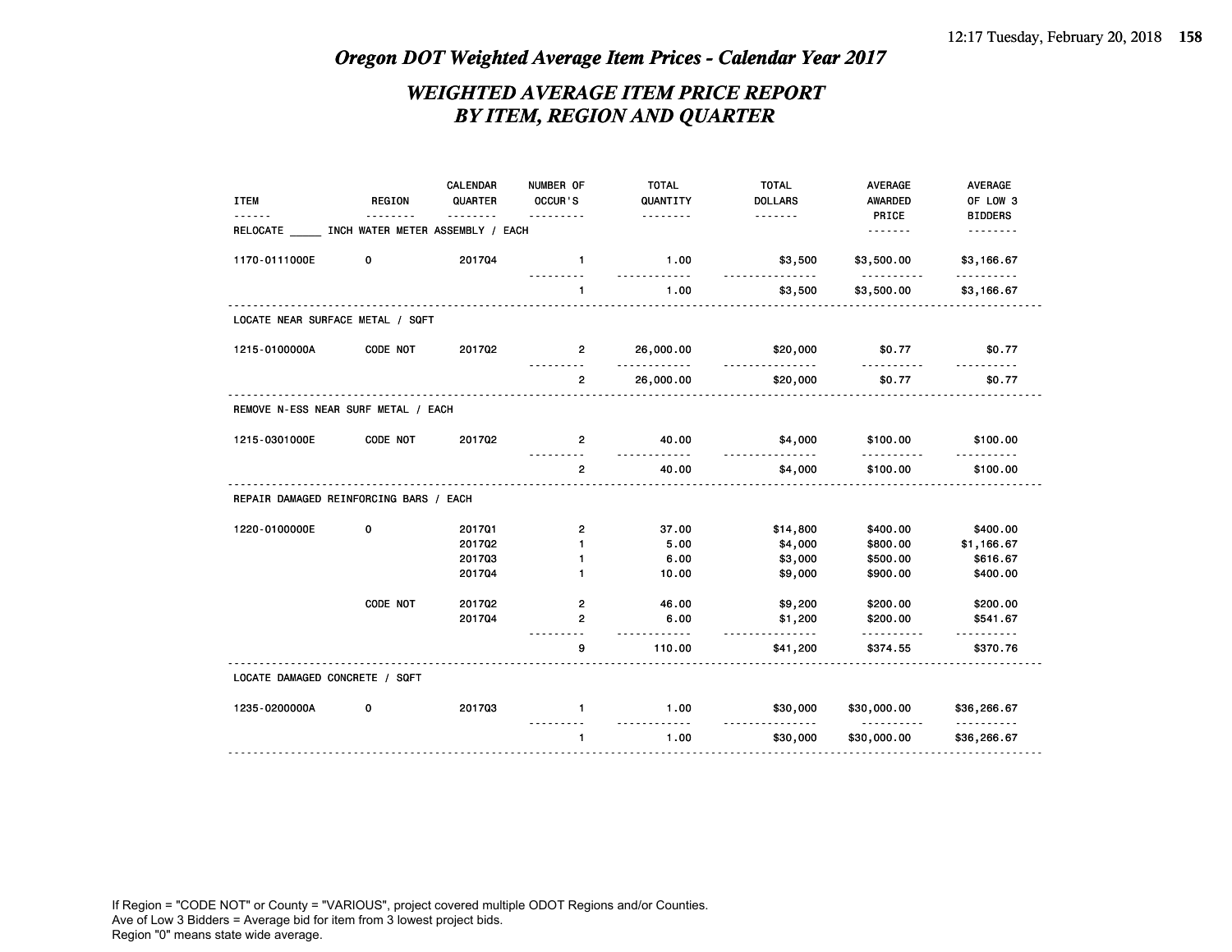### *WEIGHTED AVERAGE ITEM PRICE REPORT BY ITEM, REGION AND QUARTER*

| <b>ITEM</b>                                    | REGION   | <b>CALENDAR</b><br>QUARTER | NUMBER OF<br>OCCUR'S | <b>TOTAL</b><br>QUANTITY | <b>TOTAL</b><br><b>DOLLARS</b> | AVERAGE<br><b>AWARDED</b> | <b>AVERAGE</b><br>OF LOW 3 |
|------------------------------------------------|----------|----------------------------|----------------------|--------------------------|--------------------------------|---------------------------|----------------------------|
| RELOCATE ____ INCH WATER METER ASSEMBLY / EACH |          |                            | .                    | .                        |                                | PRICE                     | <b>BIDDERS</b><br>.        |
|                                                |          |                            |                      |                          |                                |                           |                            |
| 1170-0111000E                                  | 0        | 201704                     | $\mathbf{1}$         | 1.00<br>.                | \$3,500<br>.                   | \$3,500.00<br><u>.</u>    | \$3,166.67<br><u>.</u>     |
|                                                |          |                            | $\mathbf{1}$         | 1.00                     | \$3,500                        | \$3,500.00                | \$3,166.67                 |
| LOCATE NEAR SURFACE METAL / SQFT               |          |                            |                      |                          |                                |                           |                            |
| 1215-0100000A                                  | CODE NOT | 201702                     | $\mathbf{2}$         | 26,000.00<br><u>.</u>    | \$20,000<br>.                  | \$0.77<br><u>.</u>        | \$0.77                     |
|                                                |          |                            | $\overline{2}$       | 26,000.00                | \$20,000                       | \$0.77                    | \$0.77                     |
| REMOVE N-ESS NEAR SURF METAL / EACH            |          |                            |                      |                          |                                |                           |                            |
| 1215-0301000E                                  | CODE NOT | 201702                     | $\mathbf{2}$         | 40.00<br><u>.</u>        | \$4,000<br>.                   | \$100.00<br>.             | \$100.00                   |
|                                                |          |                            | $\overline{2}$       | 40.00                    | \$4,000                        | \$100.00                  | \$100.00                   |
| REPAIR DAMAGED REINFORCING BARS / EACH         |          |                            |                      |                          |                                |                           |                            |
| 1220-0100000E                                  | 0        | 201701                     | $\overline{2}$       | 37.00                    | \$14,800                       | \$400.00                  | \$400.00                   |
|                                                |          | 201702                     | $\mathbf{1}$         | 5.00                     | \$4,000                        | \$800.00                  | \$1,166.67                 |
|                                                |          | 201703                     | $\mathbf{1}$         | 6.00                     | \$3,000                        | \$500.00                  | \$616.67                   |
|                                                |          | 201704                     | $\mathbf{1}$         | 10.00                    | \$9,000                        | \$900.00                  | \$400.00                   |
|                                                | CODE NOT | 201702                     | $\overline{2}$       | 46.00                    | \$9,200                        | \$200.00                  | \$200.00                   |
|                                                |          | 201704                     | $\overline{2}$       | 6.00<br>.                | \$1,200<br><u>.</u>            | \$200.00<br>.             | \$541.67                   |
|                                                |          |                            | 9                    | 110.00                   | \$41,200                       | \$374.55                  | \$370.76                   |
| LOCATE DAMAGED CONCRETE / SQFT                 |          |                            |                      |                          |                                |                           |                            |
| 1235-0200000A                                  | 0        | 201703                     | $\mathbf{1}$         | 1.00<br>.                | \$30,000                       | \$30,000.00               | \$36,266.67<br><u>.</u>    |
|                                                |          |                            | $\mathbf{1}$         | 1.00                     | .<br>\$30,000                  | <b></b><br>\$30,000.00    | \$36,266.67                |
|                                                |          |                            |                      |                          |                                |                           |                            |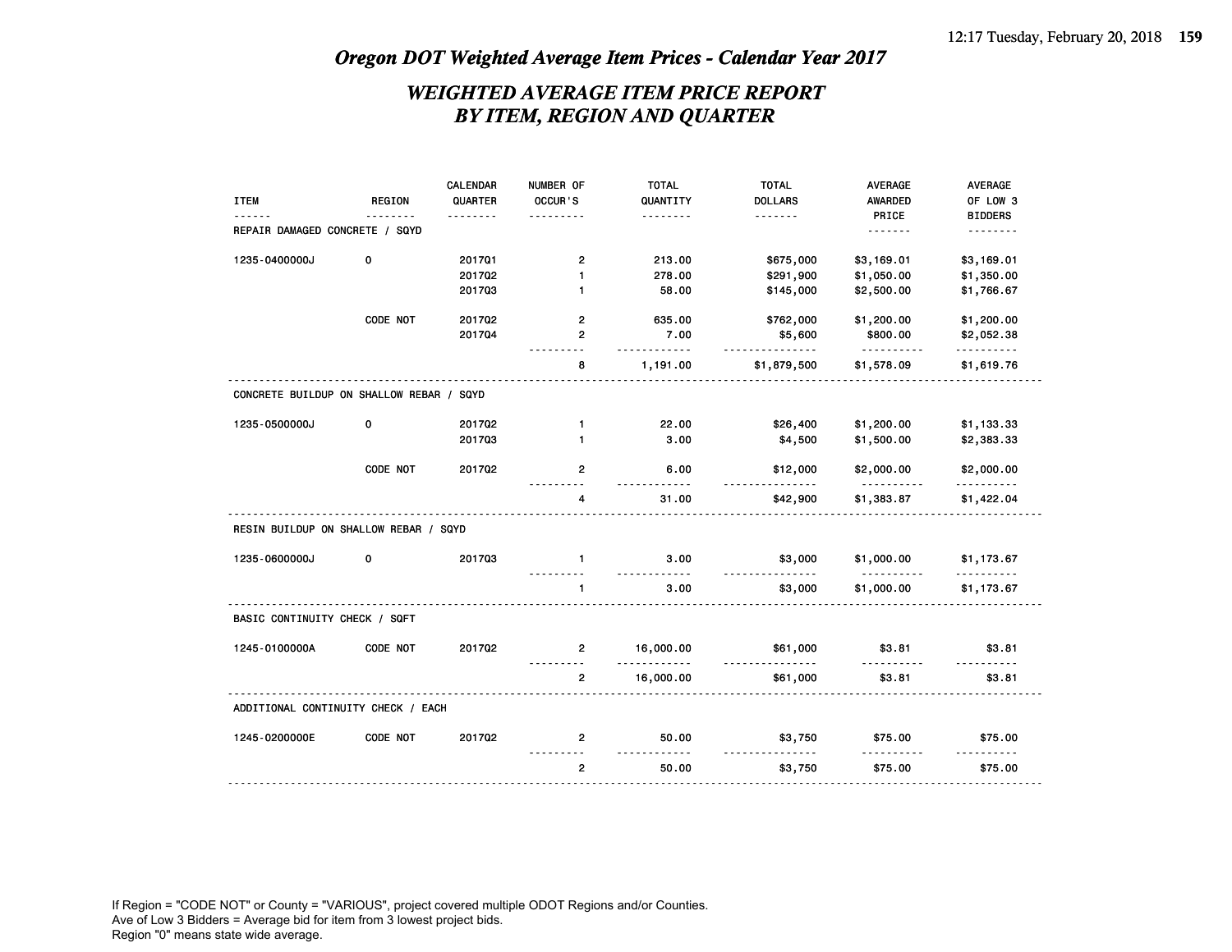### *WEIGHTED AVERAGE ITEM PRICE REPORT BY ITEM, REGION AND QUARTER*

|                                          |               | CALENDAR | NUMBER OF            | <b>TOTAL</b>       | <b>TOTAL</b>   | <b>AVERAGE</b>  | <b>AVERAGE</b>     |
|------------------------------------------|---------------|----------|----------------------|--------------------|----------------|-----------------|--------------------|
| <b>ITEM</b>                              | <b>REGION</b> | QUARTER  | OCCUR'S              | QUANTITY           | <b>DOLLARS</b> | <b>AWARDED</b>  | OF LOW 3           |
|                                          |               | .        | .                    | .                  | <u>.</u>       | PRICE           | <b>BIDDERS</b>     |
| REPAIR DAMAGED CONCRETE / SQYD           |               |          |                      |                    |                | .               | .                  |
| 1235-0400000J                            | 0             | 201701   | $\mathbf{2}$         | 213.00             | \$675,000      | \$3,169.01      | \$3,169.01         |
|                                          |               | 201702   | 1                    | 278.00             | \$291,900      | \$1,050.00      | \$1,350.00         |
|                                          |               | 201703   | $\mathbf{1}$         | 58.00              | \$145,000      | \$2,500.00      | \$1,766.67         |
|                                          | CODE NOT      | 201702   | 2                    | 635.00             | \$762,000      | \$1,200.00      | \$1,200.00         |
|                                          |               | 201704   | $\overline{2}$       | 7.00               | \$5,600        | \$800.00        | \$2,052.38         |
|                                          |               |          | . <b>.</b>           | .                  | .              | .               | .                  |
|                                          |               |          | 8                    | 1,191.00           | \$1,879,500    | \$1,578.09      | \$1,619.76         |
| CONCRETE BUILDUP ON SHALLOW REBAR / SQYD |               |          |                      |                    |                |                 |                    |
| 1235-0500000J                            | 0             | 201702   | 1                    | 22.00              | \$26,400       | \$1,200.00      | \$1,133.33         |
|                                          |               | 201703   | $\mathbf{1}$         | 3.00               | \$4,500        | \$1,500.00      | \$2,383.33         |
|                                          |               |          |                      |                    |                |                 |                    |
|                                          | CODE NOT      | 201702   | 2                    | 6.00               | \$12,000       | \$2,000.00      | \$2,000.00         |
|                                          |               |          | $- - - - - - -$<br>4 | 1.1.1.1.1<br>31.00 | .<br>\$42,900  | .<br>\$1,383.87 | .<br>\$1,422.04    |
| RESIN BUILDUP ON SHALLOW REBAR / SQYD    |               |          |                      |                    |                |                 |                    |
| 1235-0600000J                            | 0             | 201703   | $\mathbf{1}$         | 3.00               | \$3,000        | \$1,000.00      | \$1,173.67         |
|                                          |               |          | $\mathbf{1}$         | 3.00               | \$3,000        | \$1,000.00      | \$1,173.67         |
| BASIC CONTINUITY CHECK / SQFT            |               |          |                      |                    |                |                 |                    |
| 1245-0100000A                            | CODE NOT      | 201702   | $\mathbf{2}$         | 16,000.00<br>.     | \$61,000<br>.  | \$3.81<br>.     | \$3.81<br><u>.</u> |
|                                          |               |          | $\overline{2}$       | 16,000.00          | \$61,000       | \$3.81          | \$3.81             |
| ADDITIONAL CONTINUITY CHECK / EACH       |               |          |                      |                    |                |                 |                    |
| 1245-0200000E                            | CODE NOT      | 201702   | 2                    | 50.00              | \$3,750        | \$75.00         | \$75.00            |
|                                          |               |          | $\mathbf{2}$         | 50.00              | \$3,750        | \$75.00         | \$75.00            |
|                                          |               |          |                      |                    |                |                 |                    |